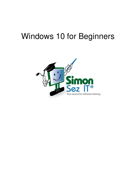# Windows 10 for Beginners

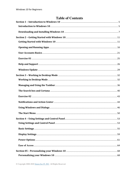# **Table of Contents**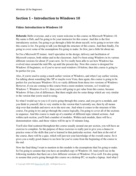# <span id="page-4-0"></span>**Section 1 – Introduction to Windows 10**

#### <span id="page-4-1"></span>**Video: Introduction to Windows 10**

**Deborah:** Hello everyone, and a very warm welcome to this course on Microsoft Windows 10. My name is Deb, and I'm going to be your instructor for this course. And this is the first introductory section. I'm going to go through a little bit about myself, we're going to review who this course is for. I'm going to talk you through the structure of this course. And then finally, I'm going to cover some of the assumptions I'm going to make. So first, just a little bit about me.

So I'm a Microsoft IT trainer. And I specialize in the design, delivery and facilitation of Microsoft courses, both online and in the classroom. And I've been using Windows in its various different versions for about 25 years now. So I've really been able to see how Windows has evolved since around the mid-90s, up until the present day. Now this course is designed for Windows 10 beginners, so if you've never used windows 10 before, then this course is going to be perfect for you.

Also, if you're used to using a much earlier version of Windows, and when I say earlier version, I'm talking about something like XP or maybe even Vista, then again, this course is going to be perfect for you because Windows 10 is so vastly different from those two versions of Windows. However, if you are coming to this course from a more modern versions, so I would say Windows 7, Windows 8 or 8.1, then you're still going to get value from this course, because Windows 10 has a lot of differences. But there might also be some things which are very similar to the version that you're used to using.

So what I would say to you is if you're going through this course, and you get to a module, and you think to yourself, this is very similar to the version that I currently use, then by all means skip over that module and move on to the next one. And when it comes to the structure of this course, I'm going to try and go through the course logically, I'm going to cover all of the sections in sequence. And this course is made up of a number of different topic related sections. And within each section, you'll find a number of modules. Within each module, there will be a demonstration video, and those videos will be up to 15 minutes long.

You'll also find scattered throughout this course usually around one per section, you will have an exercise to complete. So the purpose of these exercises is really just to give you a chance to practice some of the skills that you've learned in that particular section. And then at the end of the course, there will be a quiz, which will just test your knowledge of the overall course. So it gives you a really good chance to see how far you've come from the beginning of the course to the end.

Now the final thing I want to mention in this module is the assumptions that I'm going to make. So I'm going to assume that you have an installed copy of Windows 10. And you'll see in the following modules that there are a few different versions of Windows 10 as well. I'm also going to assume that you're going through this course on a desktop PC, or maybe a laptop. And what I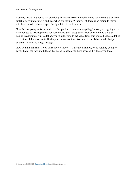mean by that is that you're not practicing Windows 10 on a mobile phone device or a tablet. Now tablet is very interesting. You'll see when we get into Windows 10, there is an option to move into Tablet mode, which is specifically related to tablet users.

Now I'm not going to focus on that in this particular course, everything I show you is going to be more related to Desktop mode for desktop, PC and laptop users. However, I would say that if you do predominantly use a tablet, you're still going to get value from this course because a lot of the features I demonstrate in Desktop mode are not that dissimilar to the Tablet mode, but just bear that in mind as we go through.

Now with all that said, if you don't have Windows 10 already installed, we're actually going to cover that in the next module. So I'm going to head over there now. So I will see you there.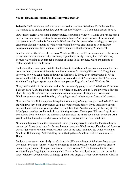### <span id="page-6-0"></span>**Video: Downloading and Installing Windows 10**

**Deborah:** Hello everyone, and welcome back to this course on Windows 10. In this section, we're going to be talking about how you can acquire Windows 10 if you don't already have it.

Now just for clarity, I am using a laptop device. It's running Windows 10, and you can see here I have a very nice desktop picture background of a beach. And this is just one of the standard backgrounds that's available from within Windows. And I'm going to be showing you how you can personalize all elements of Windows including how you can change up your desktop background picture in later modules. But this module is about acquiring Windows 10.

And I would say that if you already have Windows 10, on your PC or on your laptop, this is one of the sections that you can skip. However, if you don't already have it, then stick with me, because we're going to go through a number of things in this module, which are going to be really important for you to know.

So the first thing we're going to talk about is how to identify which version you are on. I'm then going to show you some of these System Requirements for running Windows 10. I'm going to show you how you can acquire or download Windows 10 if you don't already have it. We're going to talk a little bit about the difference between Microsoft Accounts and Local Accounts. And then I'm going to speak to you about how you can Upgrade or Install Windows 10.

Now, I will add that in this demonstration, I'm not actually going to install Windows 10 because I already have it. But I'm going to show you where to go, how you do it, and give you a few tips along the way. So let's start out this module with how you can identify which version of Windows you're using. And for this, you're going to need to look at your System Information.

Now in order to pull that up, there is a quick shortcut way of doing that, you need to hold down the Windows key. So if you've never used the Windows key before, if you look down at your keyboard, and find where your spacebar is, you'll find that it's either one key or two keys to the left of your spacebar. And it looks like a little tiny window. That is your Windows key. So what you need to do is hold down the Windows key and press the Pause key on your keyboard. And you'll find that located somewhere over on that top row towards the right-hand side.

Now some keyboards and this does include mine, you may have to add in the Function key in order to get Pause to activate. So for me, I need to press the Windows key, Function and Pause to quickly get to my system information. And you can see here, I can now see which version of Windows 10 I'm using. And it's telling me at the top there, Windows edition, Windows 10 Home.

So this moves me on quite nicely to talk about the different editions of Windows that you can download. So I'm just on the Windows homepage of the Microsoft website. And you can see here it's saying to me; "Compare Windows 10 Home versus Pro". So these are the two main versions that you're going to be dealing with; Home or Pro. And I just want to point out at this stage, Microsoft do tend to like to change up their web pages. So what you see here or what I'm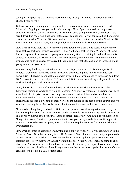seeing on this page, by the time you work your way through this course this page may have changed very slightly.

But as always, if you jump onto Google and type in Windows Home or Windows Pro and Microsoft, it's going to take you to the relevant page. Now if you want to do a comparison between Windows 10 Home versus Pro to see which one's going to best suit your needs, if we scroll down this page, you'll see you get the direct comparison. So you can see all of the features that are included in Windows 10 Home, and all of the features that are included in Windows 10 Pro. And as you would expect, you do get slightly more features in Windows 10 Pro.

Now I will say and there are a few more features down here, there's only really a couple more extra features that you get with Windows 10 Pro. So the fact that I'm using Windows 10 Home for the purposes of this course, is going to be absolutely fine. Everything I need to show you is covered in Windows 10 Home. But if you are considering which one you want to download, I would come on to this page, have a read through, and then make the decision as to which one is going to best suit your needs.

And one thing I will say is that Windows 10 Home is probably suitable for the majority of people. I would only download Pro if I needed to do something like maybe join a business domain. So if I needed to connect to a domain at work, then I would need to download Windows 10 Pro. Now if you're not really a 100% sure, it's definitely worth checking with your IT team at work and asking for their advice as well.

Now, there's also a couple of other editions of Windows, Enterprise and Education. The Enterprise version is available by volume licensing. And most very large organizations will have some kind of enterprise license. I will say that you can't just walk into a shop and buy the Enterprise version. And the same is also true for the Education version, which is mainly for teachers and schools. Now, both of these versions are outside of the scope of this course, and we won't be covering them. But just be aware that there are those two additional versions as well.

Now another thing that you should definitely check prior to downloading Windows 10 is your System Requirements. And what we mean by that is what is the minimum required in order to be able to run Windows 10 on your PC, laptop or tablet successfully. And again, if you jump on or Google Windows 10 system requirements, it will take you through to the Microsoft support site. And you can see there on this page, what your System Requirements are for running Windows 10 successfully.

Now when it comes to acquiring or downloading a copy of Windows 10, you can jump on to the Microsoft Store. Now I'm currently in the US Microsoft Store, but make sure that you go into the correct one for your location. And you can see here I have an option to purchase the various different copies of Windows 10. And if we jump into the Windows 10 Home, I'm going to click shop now. And you can see that you have two ways of obtaining your copy of Windows 10. You can choose to download it and I would say these days that is the most popular, it's instant. Or you can choose to get it on a USB or flash drive.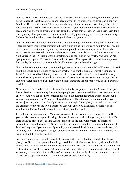Now as I said, most people do get it via the download. But it's worth bearing in mind that you're going to need at least three gig of spare space on your PC to enable you to download a copy of Windows 10. Also, if you don't have a particularly great internet connection, it might be better for you to get the USB version. Because sometimes if your internet connection isn't particularly great, and you choose to download a very large file, which this is, that can take a very, very long time tying up all of your system resources, and possibly preventing you from doing other things. So bear that in mind when you're choosing which option you want.

Now the Microsoft Store isn't the only place that you can go to purchase a copy of Windows 10. There are many, many other websites out there which are selling copies of Windows 10. I would advise however, that you do try and buy from a reputable source. And also we still have the, what is sometimes termed as the old fashioned way, you can walk into your local computer store. So if you're in the UK, that might be something along the lines of PC World. And you can pick up a physical copy of Windows 10 to install onto your PC or laptop. So a few different options for you. By far, the most convenient is this Download option from this page.

Now in the following modules, we are going to set up an account on our PC in Windows 10. And one thing you're going to need to decide is whether you want to use a Microsoft Account or a Local Account. And by default, you will be asked to use a Microsoft Account. And it's a very straightforward process to set this up on microsoft.com. And we are going to go through that in one of the later modules. But I just want to briefly introduce the concept to you in this particular module.

Now there are pros and cons to each. And I've actually just jumped on to the Microsoft support forum. So this is a community forum where people post questions and then other people provide answers. And you can see here someone has asked the question regarding Microsoft Accounts versus Local Accounts on Windows 10. And they actually get a really good comprehensive answer just here, which is definitely worth a read through. But to give you a basic overview of the difference between the two, a Microsoft Account gives you essentially a single sign on, which is similar to a Google account or something like Facebook.

If you log in or operate under a Microsoft Account, it gives you access to things like OneDrive, you can also download apps. So using a Microsoft Account makes things really convenient. But there is a little bit of a cost to that. And the majority of the cons with regards to Microsoft Accounts are related to security. Now, I'm not going to delve into this too much at the moment. But I will say that if you're not really sure if you understand the difference between the two, it's definitely worth jumping onto Google, googling Microsoft Account versus Local Account, and doing a little bit of further reading.

As I said, I am going to go into this a little bit more when we get to that module, but it's good to give yourself some background knowledge. And this particular answer is pretty detailed, which is why I like to show this particular answer, definitely worth a read. Now, a Local Account is one that's just set up locally on your PC. And it's worth noting that if you do choose to set up a Local Account, you can switch it to a Microsoft Account later. And with a Local Account, each user of the PC has a separate account, it's standalone, so it's good for security.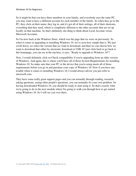So it might be that you have three members in your family, and everybody uses the same PC, you may want to have a different account for each member of the family. So when they go to the PC, they click on their name, they log in, and it's got all of their settings, all of their shortcuts, everything that they need, which is completely different to the other accounts that are set up locally on that machine. So that's definitely one thing to think about Local Account versus Microsoft Accounts.

So I'm now back at the Windows Store, which was the page that we were on previously. So when it comes to upgrading or installing Windows 10, we've seen how simple that is. We just scroll down, we select the version that we want to download, and then we can choose how we want to download that either by electronic download or USB. If I just click back to go back to this homepage, you can see at the top here, it says; "Ready to upgrade to Windows 10"?

Now, I would definitely click on Check compatibility if you're upgrading from an older version of Windows. And again, this is where you'll have all of those System Requirements for installing Windows 10. So make sure that your PC or the device that you're using meets all of those requirements before you go in and purchase your copy of Windows 10. Now if you have any trouble when it comes to installing Windows 10, I would always advise you just refer to microsoft.com.

They have some really great support pages and you can normally through reading, research, asking questions, seeing other people's questions, you can normally fix your own problem. So having downloaded Windows 10, you should be ready to start using it. So that's exactly what we're going to do in the next module where I'm going to walk you through how to get started using Windows 10. So I will see you over there.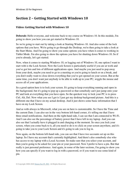# <span id="page-10-0"></span>**Section 2 – Getting Started with Windows 10**

## <span id="page-10-1"></span>**Video: Getting Started with Windows 10**

**Deborah:** Hello everyone, and welcome back to my course on Windows 10. In this module, I'm going to show you how you can get started in Windows 10.

So we're going to start out by taking a look at Starting Windows 10. And also some of the lock options that you have. We're going to go through the Desktop, we're then going to take a look at the Start Menu. And I'm going to show you some options you have when it comes to working in Tablet Mode. I'm also going to show the options you have for shutting down Windows 10. So if you're already, let's get started.

Now, when it comes to starting Windows 10, or logging out of Windows 10, one option I want to start with is the Lock Screen. Now the Lock Screen is particularly useful if you are at work and you've got lots and lots of different applications open. And maybe you just need to pop away from your desk, maybe you need to go to a meeting or you're going to lunch or on a break, and you don't really want to close down everything that you've got opened on your screen. But at the same time, you don't want just anybody to be able to walk up to your PC, wiggle the mouse and access all of your applications.

So a good option here is to lock your screen. It's going to keep everything running and open in the background, but it's going to pop up a password so that somebody can't just jump onto your PC and look at everything that you have open. So the quickest way to lock your PC is to press Ctrl, Alt, Del. Now what you see I get is I just get my desktop background picture. And this is a different one that I have on my actual desktop. And it just shows some basic information that I have on my Lock Screen.

And as with always in Microsoft, what you see on here is customizable. So I have the Time and the current Date. I can also see in the very bottom left-hand corner, it's telling me that I have three email notifications. And then on the right-hand side, I can see that I am connected to Wi-Fi. And I can also see the percentage of battery power that I have left in my laptop. And you can also see that I actually have it plugged in and charging at the moment. So once you lock your screen, when you come back to it, all you need to do is to click on your screen anywhere, and it's going to take you to your Lock Screen and it's going to ask you to log in.

Now again, on the bottom left-hand side, you can see that I have two accounts set up on this laptop. So I have my account that's currently highlighted. And there's also somebody else who has access to my laptop with a Local Account. So make sure that you select your account, and then you're going to be asked for your pin or your password. Now I prefer to have a pin. But that really is just personal preference. And again, in some of the later sections, I'm going to show you how you can specify if you want to log in with a password, or if you want to use some kind of pin.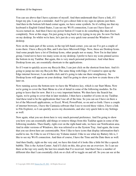You can see above that I have a picture of myself. And then underneath that I have a link, if I forget my pin, I can get a reminder. And I've got a direct link to my sign-in options just there. And then in the bottom left-hand corner again, we have some symbols. So it's telling me that my keyboard is English United States, I can see my Wi-Fi connection, I can see I have Ease of Access turned on. And then I have my power button if I want to do something like shut down completely. Now at this stage, I'm just going to log back in by typing in my pin. So now I'm back on my desktop. So whilst we're here, let's just do a very quick tour around the Windows 10 desktop.

Now on the main part of the screen, in the top left-hand corner, you can see I've got a couple of icons there. I have a Recycle Bin, and I also have Microsoft Edge. Now, these are Desktop Icons. And some people have a lot of Desktop Icons, other people not so many. Now I'm in that latter group, I tend not to have too many icons on my desktop, I prefer to have my icons pinned across the bottom in my Taskbar. But again, this is very much personal preference. And what these Desktop Icons are, are essentially shortcuts to the applications.

So if I want to quickly access my Recycle Bin, I can just click on the shortcut from here. And it's going to jump me into my Recycle Bin. The same thing with Edge, if I wanted to open up the Edge internet browser, I can double click and it's going to take me there straightaway. So Desktop Icons will appear on your desktop. And I'm going to show you how to create those a bit later on.

Now running across the bottom now we have the Windows key, which is our Start Menu. Now we're going to cover the Start Menu in a lot of detail in some of the following modules. So I'm going to leave that for now. But it is a very important button. We then have the Search bar. Again, we're going to cover that in later modules. I then have a number of icons on my Taskbar. And these tend to be the applications that I use all of the time. So you can see I have on there a lot of the Microsoft applications, so Excel, Word, PowerPoint, so on and so forth. I have a couple of internet browsers, I have the Camtasia software that I use to record these videos, I have a link to File Explorer, so I can quickly access my documents, and also very quick link to my Settings as well.

Now again, what you see down here is very much personal preference. And I'm going to show you how you can essentially add things or remove things from this Taskbar again in some of the following modules. Then finally, right over on the right-hand side, we have our Notification area. And in older versions of Windows, this was referred to as the System Tray. And again, the icons that you see down here are customizable. Now I like to have icons that display information that's useful to me. So I like to see if I have my Volume muted. I like to see what my Battery life is, I like to see my Wi-Fi connection. And then of course, I have the Time and the Date there as well.

And then finally, right on the very end, we have this kind of it looks like a little bit like a speech bubble. This is the Action Center. And if I click on this, this gives me an overview. So I can see there at the top very easily the last two emails that I've received. And then I have a number of different tiles that I can essentially click on or click off to toggle on and off. So you can see at the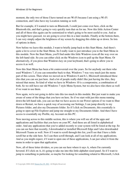moment, the only two of those I have turned on are Wi-Fi because I am using a Wi-Fi connection, and I also have my Location running as well.

But for example, if I wanted to turn on Bluetooth, I could just come over here, click on the Bluetooth tile, and that's going to very quickly turn that on for me. Now this little Action Center and all of these tiles again can be customized to what's going to be most useful to you. And as you might have guessed, we are going to cover this in a later module. Finally at the bottom there, I can very simply adjust the brightness of my screen by dragging this slider up or down. So lots of options in there.

Now before we leave this module, I want to briefly jump back to this Start Menu. And there's quite a lot to cover in the Start Menu. So I really want to just introduce you to the Start Menu in this module. Now the Start Menu, you'll find under this little Windows icon all the way over on the left-hand side. So you can either click on the Windows icon to pull up the Start Menu. Or alternatively, if you press that Windows key on your keyboard, that's going to allow you to access it as well.

Now this Start Menu has been a bit controversial over the years. So for anybody out there who used Windows 7, if you can remember back to that, Windows 7 was very much just the menu part of this screen. Then when we moved on to Windows 8 and 8.1, Microsoft introduced these tiles that you can see just here. And a lot of people really didn't like just having the tiles, they missed that menu. So kind of what we have in Windows 10 is a compromise, a combination of both. So we still have our old Windows 7 style Menu System, but we also have tiles there as well if we want to use them.

Now again, we're not going to delve into this too much in this module. But just want to make you aware of some of the things that you have on here. So if we start with just this menu running down the left-hand side, you can see that we have access to our Power options if we want to Shut down or Restart, we have a quick way of accessing our Settings, I can jump directly to my Pictures folder, and also my Documents folder. So if I click on Documents, this essentially is going to open up File Explorer and jump me straight to my Documents folder. And then I have access to essentially my Profile, my Account on this PC.

Now moving across to this middle section, this is where you will see all of the apps and applications and facilities that you have on your PC. And these are all listed in alphabetical order. And any applications that you've added recently to your system will be listed at the top. So you can see here that recently, I downloaded or installed Microsoft Edge and I also downloaded Microsoft Teams as well. Now if I want to scroll through this list, you'll see that I have a little scroll bar at the side here. So I can then scroll through, and I can look at all of my applications. And as you might expect, if I want to open one of these applications, I can just select it from the menu in order to open that application.

Now, all of these letter dividers, so you can see here where it says A, where I'm currently hovered. If I click on A, it's going to take me into this little alphabet sized panel. So if I want to jump to something in particular, so maybe I'm looking for something related to Microsoft, I click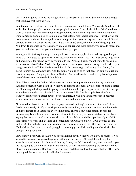on M, and it's going to jump me straight down to that part of the Menu System. So don't forget that you have that there as well.

And then on the right, we have our tiles. So these are very much those Windows 8, Windows 8.1 style tiles. Some people love these, some people hate them, I am a little bit like I don't tend to use them so much. But I do know a lot of people who do really like using them. Now I don't have mine particular customized or set up in any particularly nice logical sequence. But what you can do is you can add any of your applications or apps as tiles, you can organize them into different groups. So you can see at the top here, I have Life at a Glance, which is one of the groups that Windows 10 automatically creates for you. You can rename these groups, you can add more, and you can add whatever tiles you want to into those groups.

And again, it's just a quick way of being able to access your applications and any apps that you have. So if I wanted to open Excel, I can just click on this Excel tile. And that's going to go away and open Excel for me. So very, very simple to use. Now, as I said, I'm not going to speak a lot in this course about Tablet Mode. But I just want to show you if you are using a tablet where you can go to switch on Tablet Mode essentially. So I'm going to go back to my Start Menu, I'm going to press my Windows key. And I'm actually going to go to Settings, I'm going to click on this little cog icon. I'm going to click on System. And you'll see here in this long list of options, one of the options we have is Tablet Mode.

Now I like to keep the, "when I sign-in option to use the appropriate mode for my hardware". And that's because when I sign-in, Windows is going to automatically detect if I'm using a tablet, or if I'm using a desktop. And it's going to switch the mode depending on which one it picks up. And when you switch into Tablet Mode, what it essentially does is it optimizes all of the windows features for a tablet device. So for example, it will give you more room in between icons, because it's allowing for your finger as opposed to a mouse cursor.

Now you don't have to have the, "use appropriate mode setting", you can set it to use Tablet Mode permanently. So if you work permanently on a tablet, you can just switch into that mode and have it start up in that mode every single time. There's a few other options in here for customizing Tablet Mode, which you might want to look at if you do use a tablet device. Now saying that, an even quicker way to switch into Tablet Mode, and this is particularly useful if sometimes you work on a desktop and sometimes you work on a tablet. If we go back to that Action Center in the bottom right-hand corner, you can see one of the titles that I have here is Tablet Mode. So I can very quickly toggle it on or toggle it off depending on what device I'm using at any given time.

Now finally, I just want to talk to you about shutting down Windows 10. Now, of course, if you wanted to, you can just press the power button on your device. Although I would say that sometimes that's quite a harsh way of shutting down your PC. I would always recommend if you are just going to switch it off, make sure that you've fully saved everything and properly exited all of your applications. Don't leave them all open and then just turn the power button off. That's never good. It's what we would call a hard shutdown.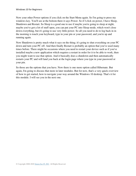Now your other Power options if you click on the Start Menu again. So I'm going to press my windows key. You'll see at the bottom there it says Power. So if I click on power, I have Sleep, Shutdown and Restart. So Sleep is a good one to use if maybe you're going to sleep at night, maybe you've got a lot of stuff open, you can put your PC into Sleep mode, which won't close down everything, but it's going to use very little power. So all you need to do to log back in in the morning is touch your keyboard, type in your pin or your password, and you're up and running again.

Now Shutdown is pretty much what it says on the thing; it's going to shut everything on your PC down and turn your PC off. And then finally Restart is probably an option that you've used many times before. There might be occasions where you need to restart your device such as if you've installed maybe a new application which requires a restart in order for it to be able to work, then you might want to use that option. And it basically does a shutdown and then automatically restarts your PC and will land you back at the login page where you type in your password or your pin.

So those are the options that you have. Now there is one more option called Hibernate. But again, I'm going to discuss that more in later modules. But for now, that's a very quick overview of how to get started, how to navigate your way around the Windows 10 desktop. That's it for this module. I will see you in the next one.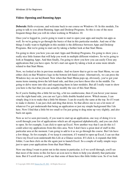## <span id="page-15-0"></span>**Video: Opening and Running Apps**

**Deborah:** Hello everyone, and welcome back to our course on Windows 10. In this module, I'm going to talk to you about Running Apps and Desktop Programs. So this is one of the most frequent things that you will do when working in Windows 10.

Once you've logged in, you're going to want to start to open your apps and maybe run apps as well. So we're going to go through the basics of that in this particular module. And one of the things I really want to highlight in this module is the difference between Apps and Desktop Programs. But we're going to start out by taking a further look at that Start Menu.

I'm going to show you how you can start Apps and Desktop Programs, I'm going to show you a really nice little feature that will help you work in multiple different windows. So we're going to look at Snapping Apps. And then finally, I'm going to show you how you can easily Close any applications that you have open. So let's start out again by taking a look at some more details related to that Start Menu.

Now, we looked at this in previous modules. And we know that to get to our Start Menu, we can either click on that Windows logo in the bottom left-hand corner. Alternatively, we can press the Windows key on our keyboard. Now when that Start Menu pops up, obviously, you've got your menu items running down the left-hand side, and then you have those tiles in the middle. I'm going to delve more into tiles and organizing them in later modules. But all I really want to show you here is the fact that you can actually modify the size of this Start Menu.

So if you're finding this a little bit too big, a bit too cumbersome, then if you hover your mouse over the right-hand side, you can see I get a little double headed arrow. Which means, I can simply drag it in to make that a little bit thinner. I can do exactly the same at the top. So if I want to make it shorter, I can just click and drag that down. So that allows me to see a lot more of whatever I've got underneath that being an application or just my simple background like I do here. Now I find that a little bit too small so I'm just going to drag mine up very slightly, and also back out again.

Now as we've seen previously, if you want to start up an application, one way of doing it is to scroll through your list of applications which are all organized alphabetically, and you can click to open. So for example, I can click to open up Excel. Now another way that I can do this is I could select my applications from this tiles area. Now I don't have a great deal of stuff in this particular area at the moment. I am going to add to it as we go through the course. But I do have a few things. So for example, if we keep it consistent, if I wanted to open up Excel, I can see that I have my Excel icon underneath this Life at a Glance section. If I click it, it expands that little folder, I can then click on the tile again just to launch Excel. So a couple of really simple ways just to open your applications from that Start Menu.

Now one thing I want to point out in this menu in particular, is if we scroll through, you'll see that most of the items in this list have an icon next to them to help you identify that particular item. But if I scroll down, you'll see that some of them have this little folder icon. So if we look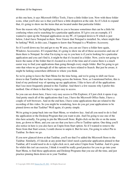at this one here, it says Microsoft Office Tools, I have a little folder icon. Now with these folder icons, what you'll also see is that you'll have a little dropdown at the side. So if I click to expand that, it's going to show me the items that are located under that particular folder.

Now the reason why I'm highlighting this to you is because sometimes that can be a little bit confusing when you're searching for a particular application. If I give you an example, if I wanted to open up the Notepad application on my PC, if I jumped down to N which is just below, I don't have Notepad in there. Now I know that Notepad is installed. So, where might that be lurking? Well, in this case, I happen to know that Notepad is a Windows Accessory.

So if I scroll down my list and get to my W area, you can see I have a folder here again, Windows Accessories. If I expand that, it's going to show me all of those accessories and one of them there is Notepad. So what I'm trying to say to you here is if you're looking for a particular application and you can't find it, it might be that it's located in a folder. Now, you're not going to know the name of the folder that it's located in a lot of the time and of course there is a much easier way to find your applications than going through every single folder. But I'm going to get onto that when we go through all of the options we have related to Search. But just be aware, it might be lurking somewhere different to where you think.

So we're going to leave the Start Menu for the time being, and we're going to shift our focus down to that Taskbar that we have running across the bottom. Now, as I mentioned before, this is kind of my preferred way of opening up my applications. I like to have all of the applications that I use most frequently pinned to this Taskbar. And there's a few reasons why I prefer this method. One of them is that they're super easy to access.

So you can see down here, I have very easy access to File Explorer, if I just click it opens it up. And pretty much all of the applications that I use, I have the Microsoft Office Suite, I have a couple of web browsers. And on the end here, I have some applications that are related to the recording of this video. So you might be wondering, how do you get your applications to be pinned down on that Taskbar? Well again, it's pretty simple.

We're going to jump back into our Start Menu, so windows key. And all you need to do is find the application or the Desktop Program that you want to pin. And I'm going to use one of the tiles here actually, I'm going to pin the Microsoft Store. Right-click on the tile or on the menu item, go down to More, and you can see that you have a Pin to Taskbar option. One thing you'll also notice in here is you also have an Unpin from Start option. So if I wanted to remove the Store from that Start screen, I could choose to unpin it. But for now, I'm going to select Pin to Taskbar. So there we go.

If you now glanced down at that Taskbar, you'll see that I've added the Microsoft Store to the Taskbar. Similarly, if I decide at any point that I don't need a particular application pinned to that Taskbar, all I would need to do is right-click on it, and select Unpin from Taskbar. And it's gone. So whilst this isn't an exercise, I think it would be really good practice for you to go into your Start Menu, to find those applications and Desktop Programs that you use all the time, and just practice pinning them down on to your Taskbar.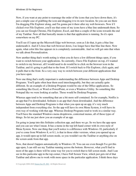Now, if you want at any point to rearrange the order of the icons that you have down there, it's just a simple case of grabbing the icon and dragging it to its new location. So you can see there I'm dragging File Explorer along, and I'm gonna put it there after my web browsers. Now if I clicked over File Explorer, you'll see that some of my icons have a blue line underneath them. So you can see Google Chrome, File Explorer, Excel, and then a couple of the icons towards the end of my Taskbar. Now all that basically means is that that application is running. So it's open somewhere on my PC.

You'll see if I open up the Microsoft Edge web browser, soon as I do that, it gets a blue line underneath it. And if I close that web browser down, I no longer have that blue line there. Now again, what color this line appears in is completely customizable. And we will get onto that when we talk about Personalization.

Now another thing that's worth noting is when you do have a few different things open, if you want to switch between your applications. So currently, I have File Explorer on top, if I wanted to switch to my browser, all I would need to do would be to click on the browser icon in the Taskbar, and it's going to pull that to the front. If I switch back to File Explorer, click again, and it pulls that to the front. So a very easy way to switch between your different applications that you have open.

Now one thing that's really important is understanding the difference between Apps and Desktop Programs. You'll quite often hear them used interchangeably, but they are actually quite different. So an example of a Desktop Program would be one of the Office applications. So something like Excel, or Word or PowerPoint, or even a Windows Utility. So something like Notepad like we were looking at earlier. Those would be Desktop Programs.

Whereas apps tend to be something that are a bit more self-contained. So for example, Netflix is an app that I've downloaded. Solitaire is an app that's been downloaded. And the difference between Apps and Desktop Programs is that when you open up an app, it's very much independent from everything else. So the app will have its own Menu System, it will have its own way of working with that app. Whereas Desktop Programs tend to work in a similar way. You'll have the standard Windows menu dropdowns, contextual menus, all of those types of things. So let me just show you an example of an app.

I'm going to jump into this Solitaire collection app, and there we go. So we have the app open and you can see what I mean. It has a menu in the top left-hand corner with its own style of Menu System. Now one thing that you'll notice is a difference with Windows 10, particularly if you've come from Windows 8, or 8.1, is that in those older versions, when you opened up an app, it would open up in full screen mode, so you wouldn't see the Taskbar or anything else on the screen aside from that app.

Now, that doesn't happen automatically in Windows 10. You can see even though I've got this app open, I can still see my Taskbar running across the bottom. However, what you'll find in most of the apps is there will be some way for you to switch that to full screen mode. And I can see in this particular app in the top corner, I have Full Screen View, which just gets rid of that Taskbar and allows me to work with more space in the particular application. I think these days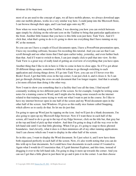most of us are used to the concept of apps, we all have mobile phones, we always download apps onto our mobile phones, works in a very similar way here. I could jump into the Microsoft Store, I can browse through their apps, and I can load apps onto my PC.

Now when we were looking at the Taskbar, I was showing you how you can switch between apps simply by clicking on the relevant icon on the Taskbar to bring that particular application to the front. Another little feature that you have is this little icon just here; Task View. And if I click that, what that's going to do is it's going to show me everything that I have running on my PC at the moment.

So you can see I have a couple of Excel documents open, I have a PowerPoint presentation open, I have my recording software, because I'm recording this tutorial. And you can see that I can scroll through and see other items that I had open earlier today, yesterday, and even further back than that. And if I want to switch to them, I can just simply click to pull that into view. So this Task View is a great way of really kind of getting an overview of everything that you have open.

Another thing that I like to do in here is I like to come in here to close apps. So if I've got about 20 different things open, sometimes a little bit tedious to go through switching to each application and closing things down. If I go into Task View, you can see if I hover over this Book1 Excel, I get that little cross in the top corner, I can just click it, and it closes it. So I can just go through clicking the cross on each document that I no longer require. And that is actually a lot more efficient than doing it the other way.

Now I want to show you something that is a facility that I use all the time, I find myself constantly working in two different parts of the screen. So for example, I might be writing some notes for a training course in Word, and I might also be doing some research on the internet related to that training course trying to work out what I want to put in the course. So I like to have my internet browser open in one half of the screen and my Word document open in the other half of the screen. And Windows 10 gives us this really nice feature called Snapping, which allows us to easily do that. So let me do just that.

I'm going to open up Word just by tapping on the icon. And we'll just do a blank documents. I'm also going to open up my Microsoft Edge browser. Now if I want these in each half of the screen, all I need to do is go up to the top of my Edge browser, click on the title bar, that gray bar at the top and kind of pick up that window. And then I'm going to drag it all the way over to the left-hand side until I see that little ghosting. When I let go, it's going to snap to those ghosted boundaries. And cleverly, what it does is it then minimizes all of my other running applications. And I can choose which one I want to display in the other half of the screen.

So in this case, I want to display the Word document. So I just select it, and I now have them both organized perfectly in each half of the screen. Now, it's also worth noting that you can do this with up to four documents. So I could have four documents in each corner if I wanted to. Again what I would do if I maximize that, if I grab Internet Explorer, and this time, instead of dragging it over to the left-hand side, I'm going to drag it more up towards the corner. And you can see I get that a little ghost in just there let go and it puts it in the corner. I can then choose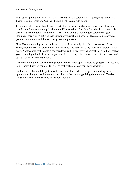what other application I want to show in that half of the screen. So I'm going to say show my PowerPoint presentation. And then I could do the same with Word.

I could pick that up and I could pull it up to the top corner of the screen, snap it in place, and then I could have another application there if I wanted to. Now I don't tend to like to work like this, I find the windows a bit too small. But if you do have much bigger screen or bigger resolution, then you might find that particularly useful. And now this leads me on to my final point in this module and that is closing down applications.

Now I have three things open on the screen, and I can simply click the cross to close down Word, click the cross to close down PowerPoints. And I still have my Internet Explorer window open. Another way that I could close this down is if I hover over Microsoft Edge in that Taskbar, you can see I get that little window preview. If I move up, I have a lot of cross in the corner and I can just click to close that down.

Another way that you can shut things down, and if I open up Microsoft Edge again, is if you like using shortcut keys if you do Ctrl F4, and that will also close your window down.

So that's it for this module quite a lot to take in. as I said, do have a practice finding those applications that you use frequently, and pinning them and organizing them on your Taskbar. That's it for now, I will see you in the next module.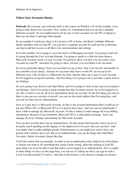#### <span id="page-20-0"></span>**Video: User Accounts Basics**

**Deborah:** Hi everyone, and welcome back to this course on Windows 10. In this module, we're going to talk about User Accounts. Now, earlier on, I mentioned that you can have multiple different accounts. So you might need to set up one or more accounts on your PC or laptop so that you can share it amongst other people.

So an example I would give there is if you have a PC at home, and there's multiple different family members who use that PC, you can have a separate account for each person so that they can log in and have access to all their own customizations and settings.

So in this module, we're going to cover the basics of Managing Accounts. I'm going to start out by going through the User Account Settings. I'm going to speak to a little bit more about a Microsoft Account versus a Local Account. I'm going to show you how you can create a new Account on your PC. And then I'm going to show you how you can Delete User Accounts.

So on my particular laptop, I have two accounts set up on here. One is for myself, and another is for a member of my family. And the two accounts that I have on this PC are set up in two different ways. One of them is a Microsoft Account, and the other one is just a Local Account. So I'm logged in as myself currently. And first thing we're going to do is just take a quick look at my Settings.

So we're going to go down to our Start Menu, and we're going to click on the cog icon to jump to our Settings. And we're going to jump straight into this Accounts section. So as I'm logged in as me, this is where I can see all of my information about my account. So the first thing you can see there is you can see a picture of myself, you can see the email address that I'm using here, and you can see that I am an Administrator.

Now as I said, this is a Microsoft Account. So this is the account information that I would use to log into Office 365, or Microsoft 365 as it is known these days. And you can see underneath, I have a link to manage my Microsoft Account. So this is where I could manage all of my billing information. Because if you remember, Microsoft 365 is a subscription package. And I can manage all of my Settings surrounding my Microsoft Account.

You can also see here that I am an Administrator. So that means that basically I have access to do pretty much anything on this laptop, it's the highest level of access that you can have. And you might want to make multiple people Administrators or you might just want to have one person, that's entirely up to you. But as an Administrator, you can do things like Add Other Accounts, Delete Accounts, things like that.

You'll also notice that occasionally, in order to run an application with a high level of privileges, so maybe you want to do something that could if done wrong, affect the running of your PC, quite often you won't be able to run that unless you're logged in as Administrator. Now a couple of other things we have on this page here, you can see it's telling me that I can sign in with a Local Account instead if I want to. And then at the bottom, I can choose to change my picture.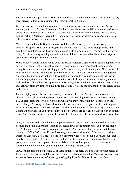So I have a camera option here. And I can also browse for a picture if I have one saved off to my local drives. So this all comes under the Your Info tab in Settings.

Let's move down to Email and Accounts. So again, at the top here, you can see that I've got my account, which is a Microsoft Account. But I also have the option to Add an account and we are going to add an account in a moment. And you can see all the different options that you have, you can set up a Microsoft Account or Google account, you can set up a Local Account, lots of different kinds of accounts that you can create.

The next option down is Sign-in options. And this really allows you to control how you log into your PC or laptop. And you can see, particularly with some of the newer laptops or PCs that you'll buy, you'll have now these signing options will vary depending on the device that you're using. So I have a very new laptop, so I pretty much have access to all of the different sign-in options. For example, Windows Hello.

What Windows Hello allows you to do is instead of typing in a password or a pin to log into your device, you can essentially use the camera on your laptop, which uses facial recognition to recognize it's you and then it will log you in. So that's a really cool little feature. Now one that I have set up on here is the one that I prefer actually and that is this Windows Hello Fingerprint. So again, this may or may not apply to you. It really depends if you have a device that has an inbuilt fingerprint scanner. Now mine does, it's just a little square, just underneath my number pad. And basically, when I set up fingerprint scanning, it scanned my fingerprint and now to log in, I can just place my finger on that little square and it will log me straight in. So it's really quick and efficient.

It's also highly secure, because no two fingerprints are the same. So there's not too much of a chance of anybody else being able to come along, put their finger on the pad and login to your PC. So aside from those two new options, which you may or may not have access to on the device that you're using, we have all of the other options as well. So you can choose to sign-in with a Pin as opposed to a Password, you can sign-in with a physical Security key, you can have a standard password, or you can even have a Picture Password as well. So a lot of sign-in options there. And it's really down to you as to personal preference and also what your device is capable of.

Now, if I wanted to do something as simple as resetting my password to log into this device, because I'm using a Microsoft Account, if I scroll down to the bottom here, you can see that it says "Changing your Microsoft Account password". And that essentially is going to take me through to Office 365 where I'll need to change my password. And that's because I'm using a Microsoft Account. You'll see it's a little bit different when you're using a Local Account that simply resides on this PC. But if you are looking for that option, you can jump to here, it's then going to ask you to open up one of your web browsers. And it's going to take you to some information which will talk you through how to change that password.

Now, I'm not going to go through all of these options over here. But I do want to jump across to Family and Other users. And this is where I want to delve more into that Microsoft versus Local Accounts. Now there's lots of advantages to logging in with a Microsoft Account. So for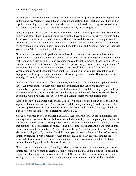example, this is the account that I use across all of the Microsoft products. So when I log into my laptop using my Microsoft Account, and I open up applications like Excel, and Word, it's all tied together, it's all logged in under my same Microsoft Account. And I have easy access to things like OneDrive, my files, and it's just a very consistent way of working for me.

Now, it might be that you don't necessarily want that maybe you don't particularly use OneDrive or anything along those lines, and you're happy just to have an account which you log into on the PC so you can surf the web and do various different bits. And that is where you might want to use a Local Account. Now I want to show you a common mistake that people make when they're trying to add a new account. They'll come into here, into Email and Accounts. And you'll see that you have an Add Account button at the top.

Now this is where you would go if you wanted to add an account that's connected to another application. So if you want to add an account for someone who has a Google account, you can do that from here. If they have an iCloud account, you can do that from here. If they have an Office account, you can do that from here. But what if the person that you want to add, maybe you don't know what their login details are, maybe you don't know if they have an Office account or a Gmail account. What if you simply just want to set up a new profile, a new account on your laptop without having to type in their email address and password details? That is where you would go down to Family and Other users.

Now again, if you want to add a family member, you can add a family member up here. And it says; "Add your family so everybody gets their own sign in and their own desktop". So essentially, people can customize what their desktop looks like. And then it says; "you can help kids stay safe with appropriate websites, time limits, apps and games". So if that sounds like an option that would be useful for you, you can add a family member account from there.

At the bottom we have Other users and it says; "allow people who are not part of your family to sign in with their own accounts. And this won't add them to your family". And you can see there that I set up Ben Lee as a Local Account. So what I'm going to do now is I'm going to log in as Ben so you can see some of the differences that we have.

So I've now logged in as Ben and Ben has a Local Account. And you can see immediately that it's very much personal to Ben so he has his own desktop background completely independent of my account. He has his own Desktop Icons. And if we jump down into the Start Menu, you'll see that his tiles look a lot different to mine. He has different tiles available. And if we jump up into Settings and go into Accounts, you'll see that it says Local Account underneath there. And it is also worth noting that if you set up Local Account, you can switch that to a Microsoft Account simply by signing in with a Microsoft Account instead. So basically all of his settings are independent to his profile. So, I can't then go in and try and access something like OneDrive because I'm not logged in with a Microsoft Account.

Now what I'm going to do next, I'm going to show you how to set up a new account, it's a super simple process, we're going to create a Local Account on this PC. So I'm going to log back in as myself, and I'm going to show you how to do that. So I'm now logged back in as myself. And we're going to run through the process of creating a Local Account on this machine. And the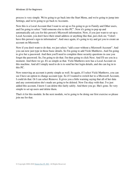process is very simple. We're going to go back into the Start Menu, and we're going to jump into Settings, and we're going to go back to Accounts.

Now this is a Local Account that I want to set up so I'm going to go to Family and Other users, and I'm going to select "Add someone else to this PC". Now it's going to pop up and automatically ask you for this person's Microsoft information. Now, if you just want to set up a Local Account, you don't have their email address or anything like that, just click on; "I don't have this person's sign-in information". And once again, it's going to try and get you to create an account on Microsoft.

Now if you don't want to do that, we just select; "add a user without a Microsoft Account". And you can now just type in those basic details. So I'm going to add Vicki Matthews. And I'm going to give her a password. And then you'll need to complete three security questions in case you forget the password. So, I'm going to do that. I'm then going to click Next. And I'll see you in a moment. And there we go. It's as simple as that. Vicki Matthews now has a Local Account on this machine. And all I simply need to do is to send her her login details, and she can log in to this PC.

Now removing an account is pretty simple as well. So again, if I select Vicki Matthews, you can see I have an option to change account type. So if I wanted to switch her to a Microsoft Account, I could do that. Or I can select Remove. It gives you a little warning saying that all of her data and any customization she's made are going to be deleted. Now I'm okay with that. I've just added this account, I know I can delete this fairly safely. And there you go. She's gone. So very simple to set up users and delete them.

That's it for this module. In the next module, we're going to be doing our first exercise so please join me for that.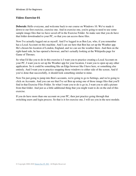#### <span id="page-24-0"></span>**Video: Exercise 01**

**Deborah:** Hello everyone, and welcome back to our course on Windows 10. We've made it down to our first exercise, exercise one. And in exercise one, you're going to need to use some sample image files that we have saved off in the Exercise Folder. So make sure that you do have that folder downloaded to your PC, so that you can access these files.

Now I've actually logged out as myself. And I've logged in as Ben Lee, who, if you remember has a Local Account on this machine. And I can see here that Ben has set up the Weather app. He's chosen his location of London, England, and we can see the weather there. And then on the right-hand side, he has opened a browser, and he's actually looking at the Wikipedia page for Game of Thrones.

So what I'd like you to do in this exercise is I want you to practice creating a Local Account on your PC, I want you to set up the Weather app for your location, I want you to open up any other application. So it could be something like an Edge browser like I have here, or something else entirely. And I want you to practice snapping those windows to either side of the screen. And if you've done that successfully, it should look something similar to mine.

Now I'm just going to jump into Ben's accounts, we're going to go to Settings, and we're going to click on Accounts. And you can see that I've set Ben up using one of those image files that you'll find in that Exercise Files Folder. So what I want you to do is go in, I want you to add a picture from that folder. And just as a little additional thing that you might want to do on the end of this exercise.

If you do have more than one account on your PC, then just practice going through that switching users and login process. So that is it for exercise one, I will see you in the next module.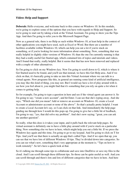## <span id="page-25-0"></span>**Video: Help and Support**

**Deborah:** Hello everyone, and welcome back to this course on Windows 10. In this module, we're going to explore some of the options that you have with regards to Help and Support. So we're going to start out by taking a look at the Virtual Assistant, I'm going to show you the Tips App. And then I'm going to refer you to the Microsoft Support Page.

Now as a general rule, there is no Help as such within Windows 10, at least help in the context of other applications you might have used, such as Excel or Word. But there are a number of facilities available within Windows 10, which can help you out a lot if you're stuck on something, or if you're looking for more information about something. Now, something that was really helpful in slightly older versions of Windows 10, than the one I'm currently running is that they had a really useful Get Started app, which contained lots of topics and tutorials and videos. And I found that really, really helpful. But it seems that that has now been removed and replaced with a couple of other alternatives.

So I'm going to click on my Windows key. Now I'm going to scroll down to G, which is where it Get Started used to be found, and you'll see that instead, we have this Get Help area. And if we click on that, it's basically going to take us into this Virtual Assistant where we can talk to a virtual agents. Now programs like this, in general are running some kind of artificial intelligence, you may like this kind of thing, you may not. But I would say have a lot of play around with it, see how you feel about it, you might find that it's something that you rely on quite a lot when it comes to getting help.

So for example, I'm going to type a question in here and see if the virtual agent can answer it. So I'm going to say; "create a new account", and hit Enter. I can see that she's typing away. And she says, "Which one did you mean? Add or remove an account on Windows 10, create a Local Account or administrator account or none of the above". So that's actually pretty helpful. I want to create a Local Account let's say, so I can click on that link. And immediately the help page guiding me through how I would do this pops up. I'm going to give her a little bit of feedback, I'm going to say; "yes, that did solve my problem". And she's now saying; "great, you can ask me another question".

So really, what this does is it takes your input, and it pulls back the relevant help pages. So virtual assistant is definitely one to have a little play around with if you're stuck on a particular thing. Now something else we have in here, which might help you out a little bit. If we press the Windows key again and this time, I'm going to go to my keypad. And I'm going to click on T for Tips. And you'll see that there is actually an app that's called Tips. And if we open that up, you can see that we have lots of different Windows 10 tips. They're divided down into categories. So you can see what's new, something that's very appropriate at the moment is; "Tips on how to work remotely". So let's have a quick look at that.

So it's talking me through some tips to collaborate and save into OneDrive or save my files to the cloud. And I can scroll through these different tips. So those can be quite useful as well. And you can scroll through and there's lots and lots of different categories that we have in here. And here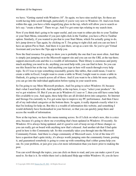we have; "Getting started with Windows 10". So again, we have nine useful tips. So these are worth having little scroll through, particularly if you're very new to Windows 10. And even from within this app, you have a little magnifying glass in the top, which will allow you to search so let's say; "create a theme". There we go. And I've got some tips relating to my search item.

Now if you think that's going to be super useful, and you want to either pin this to your Taskbar or your Start Menu, remember if you just right-click in the Taskbar, you have a Pin to Taskbar option. Similarly, if you wanted to pin that to your Start Menu, which I'm actually going to do, let's jump down to Tips again, by clicking on T. I'm going to right-click and you can see here I have an option Pin to Start. And there it is just there, set up as a new tile. So you've got Virtual Assistant and you have the Tips app to help you.

Now the final resource I'm going to show you is probably the one that I use most often. And that is simply just jumping on to the Microsoft support site and you can see the URL at the top there; support.microsoft.com and this is a wealth of information. Their library is enormous and pretty much anything you need to do, anything you need help with, you can find in here. So you can use this Search bar at the top. And anything you type in here will search through every help topic. So if I was to type something reasonably generic like tables, that could mean, I want to create a table in Excel, I might want to create a table in Word, I might want to create a table in Outlook, it's going to search across all of those. And if you want to be a little bit more specific, you can go into the individual application before typing in your search term.

So I'm going to say More Microsoft products. And I'm going to select Windows 10, because that's what I need help with. And hopefully at the top here, it says; "select your products". So we've got windows 10. But if you are an in Windows 8.1 user or 7, then you still have some help files available to you. And again, these help files are all divided down into categories. So Internet and Storage I'm currently in, I've got some tips to improve my PC performance. And then I have all of my individual categories at the bottom there. So again, it really depends exactly what it is that I'm looking for help on. But this is a wealth of information this website, and something I would definitely have bookmarked in your browser, so that you can quickly jump there and access the wealth of information.

Now at the top here, we have this menu running across. So if I click on what's new, this is a nice area, because it's going to show me everything that's been updated in Windows 10 recently. So Windows 10 is always being updated, and it's good to sort of keep on top of those changes so you can really get on board with anything new that's released. And another tab that I find quite good in here is this Community tab. So this essentially takes you through into the Microsoft Community Forum. And there is a huge community of Microsoft users. A lot of the time if I have a question that's quite tricky, it's always worth jumping onto the community forum, posting it, and guaranteed somebody is going to come up with something that's either gonna help you out, fix your problem, or just give you a lot more information than you knew prior to making the post.

You can scroll through the topics, you can click on them to read, and you can make a post if you need to. So that is it. So whilst there isn't a dedicated Help app within Windows 10, you do have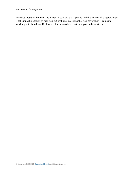numerous features between the Virtual Assistant, the Tips app and that Microsoft Support Page. That should be enough to help you out with any questions that you have when it comes to working with Windows 10. That's it for this module, I will see you in the next one.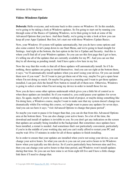### <span id="page-28-0"></span>**Video: Windows Update**

**Deborah:** Hello everyone, and welcome back to this course on Windows 10. In this module, we're going to be taking a look at Windows updates. So I'm going to start out by running you through some of the Basics of Updating Windows, we're then going to look at some of the Advanced Options that you have. And then finally, we're going to take a look at how you can keep all your Apps Updated. But first, let's start out with those Windows Update Basics.

Now, your Windows 10 system will update automatically, but you do have some options and also some control. So let's jump down to our Start Menu, and we're going to head straight for Settings. And right at the bottom, the last option in the list is Update and Security. And this is where you'll find all of your Windows updates. So you can see this first page that I get to here, it's telling me all of the updates that are currently available for my PC. And you can see that they're all showing as pending install. And I have quite a few here in my list.

Now the way that this works is that all of these updates will automatically install. So if I do nothing, these updates are going to install themselves. And you can see right at the bottom there, it says; "we'll automatically install updates when you aren't using your device. Or you can install them now if you want". So if I want to just get them out of the way, maybe I've got a spare hour where I'm not doing so much. Or maybe I'm going to a meeting and I want to get those updates installed, I can just click the Install Now button to install all of them now. Otherwise, Windows is going to select a time when I'm not using my device in order to install those for me.

Now you do have some other options underneath which gives you a little bit of control as to when these updates are installed. So if you wanted to, you could pause your updates for seven days. So again, maybe if you're working on some kind of project, or maybe doing something like I'm doing here, a Windows course, maybe I want to make sure that my system doesn't change too dramatically whilst I'm writing this course, so I might want to pause any updates for seven days. And you can see here it says; "visit Advanced Options to change that pause period".

So maybe you want to pause it for longer than that, you can do that from this Advanced Options area at the bottom there. You can also change your active hours. So a lot of the time, the download and install of updates is invisible to you. So you don't get any indication on the screen that updates are actually being installed in the background. But sometimes once updates have been installed, a restart is needed. And sometimes that's not particularly convenient, particularly if you're in the middle of your working day and you can't really afford to restart your PC and maybe wait 10 to 15 minutes in order for all of those updates to finish installing.

So in order to ensure that your updates are installed when you're not using your device, you can change your active hours. So what you can do is you can set your active hours to let Windows know when you typically use this device. So if you're particularly busy between nine and five, then you can change your active hours to that time period, and Windows won't install updates during that time. So you can see here mine is set from eight till five and I have a little change link there if I need to change that.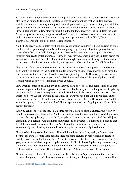If I want to look at updates that I've installed previously, I can view my Update History. And you also have an option to Uninstall Updates. So maybe you've noticed that an update that was installed yesterday is causing some problems with your system, you can essentially uninstall that update and roll your system back. And then finally at the bottom, we have Advanced Options. Now in here we have a few other options. So at the top there it says; "receive updates for other Microsoft products when you update Windows". Now I like to have this turned on because it's really important to me to make sure all of my other applications such as Word, Excel, PowerPoint, Outlook, are all kept up to date constantly.

So, I like to receive any updates for those applications when Windows is being updated as well. So, I have that option toggled on. Now I'm not going to go through all of the options that we have in here. But what I will highlight is this; "restart this device as soon as possible when a restart is required to install an update". Now as I was saying, sometimes when updates occur, the system will restart and then after that restart, there might be a number of things that Windows has to do to make that system usable. So, your system can be out of action for a little while.

Now again, if you want to have some kind of control as to when that happens, so maybe you don't want it to happen in the middle of the day when you're super busy and you don't have the time to wait for those updates, I would leave this option toggled off. Because, you don't want it to restart the device as soon as possible. So definitely check those Advanced Options as well when it comes to how you're managing your updates.

Now when it comes to updating any apps that you have on your PC, and again, those of us that use mobile phones that have apps on them, we're probably fairly used to that process of updating our apps. And it works in a very similar way in Windows. So I'm going to jump across to the Microsoft Store. And if you want to see if any of your apps need updating, if you click on the three dots in the top right-hand corner, the top option you have there is Downloads and Updates. And this is going to do a quick check of all your applications, and it's going to see if any of them require an update.

And you can see there at the top, I have three apps that have updates available. And it's a very simple process of just clicking the, "update all button" in order to update those. And if you want to check for any updates, you have the "get updates" button at the top there. And that will just essentially do a refresh. And if anything new needs to be updated, it's going to be added to that list at the top. And you can see there as I've clicked that button, we have one of them automatically downloading and then the others require me to manually install them.

Now another thing to check up here is if we click on those three dots, again, let's jump into Settings for our Microsoft Store because there are some features in here which also relate to updates. You can see the top one there, "Update apps automatically", I have that turned on. And you just saw one of those apps that updates automatically. So I have Update apps automatically turned on. And I do recommend that you do have that turned on, because that's just going to make everything a lot more efficient. And I also have "Show products on tile turned on".

Now we haven't really spoken too much about Live Tiles so let's just talk about that for one moment. I'm going to click the cross to come out of here, and I'm going to go back to my tiles.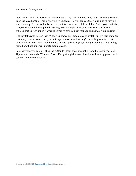Now I didn't have this turned on on too many of my tiles. But one thing that I do have turned on is on the Weather tile. This is showing live updates. So you can see that tile is kind of moving, it's refreshing. And so is that News tile. So this is what we call Live Tiles. And if you don't like that, some people find it quite distracting, you can right-click go to More and say "turn live tile off". So that's pretty much it when it comes to how you can manage and handle your updates.

The key takeaway here is that Windows updates will automatically install, but it's very important that you go in and you check your settings to make sure that they're installing at a time that's convenient for you. And when it comes to App updates, again, as long as you have that setting turned on, those apps will update automatically.

Alternatively, you can just click the button to install them manually from the Downloads and Updates section in the Windows Store. Fairly straightforward. Thanks for listening guys. I will see you in the next module.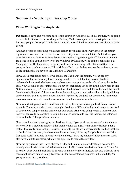# <span id="page-31-0"></span>**Section 3 – Working in Desktop Mode**

#### <span id="page-31-1"></span>**Video: Working in Desktop Mode**

**Deborah:** Hi guys, and welcome back to this course on Windows 10. In this module, we're going to talk a little bit more about working in Desktop Mode. Now apps run in Desktop Mode. And for many people, Desktop Mode is the mode used most of the time unless you're utilizing a tablet device.

And just a recap of something we learned earlier. If you click all the way down in the bottom right-hand corner and click on the Action Center, if you need to switch into Tablet Mode, you have the option to do so from here. So it's a very quick toggle on, toggle off. So in this module, I'm going to give you an overview of the Windows 10 Desktop, we're going to take a look at Managing your Desktop Icons, I'm going to show you something called Peek and Show. I'm going to show you how you can Utilize Multiple Desktops. So let's start out by reviewing some of the options that we have on the Windows 10 Desktop.

Now, as I've mentioned before, if we look at the Taskbar at the bottom, we can see any applications that we currently have running based on the fact that they have a blue line underneath them. And whichever one we have open on top, that one is referred to as the Active task. Now a couple of other things that we haven't mentioned yet so far, again, down here in that Notifications area, you'll see that we have this little keyboard icon and this is the touch keyboard. So obviously, if you don't have a touch enabled device, you can actually still use this by clicking on the number pad using your mouse. But this is primarily designed for people who have touch screens or some kind of touch device, you can type things using your finger.

Now your desktop may look a bit different to mine, the aspect ratio might be different. So for example, I'm using a wide screen, you might also have a different background image to me. And of course, you can personalize this to your own tastes. And we're going to talk a lot more about how you can really personalize it, set up the images you want to use, the themes, the colors, all of those kinds of things in later modules.

Now when it comes to managing our Desktop Icons, if you recall, again, we spoke about these very briefly in a previous module. I don't tend to have too many icons on my desktop, I don't really like a really busy looking Desktop. I prefer to pin all my most frequently used applications to the Taskbar. However, I do have three icons up there, I have my Recycle Bin because I find that quite useful to be able to jump to really quickly. I have my Microsoft Edge browser. And I also have a link to Camtasia, which is the app I use to record these videos.

Now the only reason that I have Microsoft Edge and Camtasia on my desktop is because I've recently downloaded those and Windows automatically creates that desktop shortcut for me. So in reality, what I would probably do is come in and delete those shortcuts because I already have those applications pinned to my Taskbar. But for demonstration purposes in this module, I'm going to leave them just there.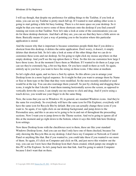I will say though, that despite my preference for adding things to the Taskbar, if you look at mine, you can see my Taskbar is pretty much full up. If I wanted to start adding other icons is going to start getting a little bit busy looking. There is a lot more space on your desktop. So it might be that you want to move some of those shortcuts onto the desktop if you find yourself running out room on that Taskbar. Now let's take a look at some of the customizations you can do for these desktop shortcuts. And that's all they are, you can see that they have a little arrow on them. Basically means it's just a way of pointing you to the location where this particular application is stored.

And the reason why that is important is because sometimes people think that if you delete a shortcut from this desktop, it deletes the entire application. Don't worry, it doesn't, it simply deletes that shortcut link. So let's take a look at some of the other things that we can do to customize these icons and our desktop. So I'm going to right-click my mouse anywhere on that empty desktop. And you'll see the top option there is View. So this lets me customize how large I have those icons. So at the moment I have them as Medium. If I wanted to do them as Large you can see they're extremely big, a bit too big there. Or you have small in there as well. So again, entirely up to you how you want to have the sizing on those icons. I like mine at medium.

So let's right-click again, and we have a Sort by option. So this allows you to arrange your Desktop Icons in a more logical sequence. So it might be that you want to arrange them by Name or Size or Item type or the Date that they were modified. So the most recently installed or used would be at the top. You can also rearrange them yourself. So just by clicking and dragging these icons, it might be that I decide I want them running horizontally across the screen, as opposed to vertically down the screen, I can simply use my mouse to click and drag. And if you're using a touch device, you would use your finger to do the same thing.

Now, the icons that you see in Windows 10, in general, are standard Windows icons. And they're the same for everybody. So everybody will have the same icon for File Explorer, everybody will have the same icon for Recycle Bin by default. But you can actually change these icons if you want to. So again, if we right-click on our desktop background, and jump down to the Personalize area, and this is an area we're going to be in and out of throughout the proceeding sections. Now I want you to jump down to the Theme section. And we're going to ignore all of this at the moment and go right down to the bottom, where it says this little link here Desktop Icon settings.

Now these Desktop Icons with the checkboxes next to them, these are like your standard Windows Desktop Icons. And you can see that I only have one of them checked, because I'm only showing the Recycle Bin on my desktop, I don't have my Computer or Network or Control Panel or anything like that. But if you wanted to, you could take these if you wanted to see more of them. So again, if I click on Computer and click on Ok, and just move this window out the way, you can see I now have that Desktop Icon that's been created, which jumps me straight to this PC in File Explorer. So let's jump back into that link. And I'm going to untick Computer because I don't want that on there.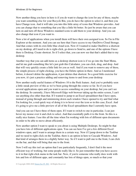Now another thing you have in here is if you do want to change the icon for any of these, maybe you want something else for your Recycle Bin, you do have the option to select it, and then you have Change icon. And it will take you into this little array of icons that Windows provides. And you can change that to something that you like a little bit better. So just be aware that you can turn on and turn off those Windows standard icons to add them to your desktop. And you can also change that icon if you want to.

Now a lot of applications when you install them will have their own assigned icon. So I'm in File Explorer at the moment. And you can see here that I have access to my OneDrive Cloud Storage. And that comes with its own little blue cloud icon. Now if I wanted to make OneDrive a shortcut on my desktop, all I need to do is right-click, go down to Send to, and one of the options I have there is Desktop, Create shortcut. So if I select that, you can now see that that's added that to my desktop.

Another way that you can add items as a desktop shortcut icon is if we go into the Start Menu, and let me grab something like let's just grab this Calculator, you can click, drag, and drop. And that will very quickly create a little link for you as well. And if you want to remove any of these, the simple process of right-clicking, you have the Delete option in there. And as I mentioned before, it doesn't delete the application, it just deletes that shortcut. So a good little exercise for you now, it's just a practice adding and removing items to and from your desktop.

Now another really useful feature of Windows 10 is the Peek feature. And you've probably seen a little sneak preview of this as we've been going through the course so far. So if you have several applications open and you want to access something on your desktop, but you can't see the desktop. So currently, I have Microsoft Edge web browser taking up the entire screen, I can't see anything else other than that. If I wanted to jump to an Excel spreadsheet that I have open, instead of going through and minimizing down each window I have opened to try and find what I'm looking for, a real quick way of doing it is to hover over the icon so in this case, Excel. And it's going to give me a little preview of all of the Excel spreadsheets that I currently have open.

And you can see I have three of them open. If I want to switch to one in particular, I can just hover my mouse over it and click to select. And that essentially pulls it to the front. So this is a really nice feature. I use this all the time when I'm working with lots of different open documents in order to be able to move about efficiently.

Now another option I want to speak to you about is using Multiple Desktops. So might be that you have lots of different applications open. You can see here I've got a few different Excel windows open, and I want to arrange them in a certain way. Now if I jump down to the Taskbar and we need to right-click on the Taskbar, there is an option in here to Cascade Windows. And that kind of arranges them in a slightly better way. So if I want to pull one to the front, I can click on the bar, and that will bring that one to the front.

Now I will say this isn't an option that I use particularly frequently, I don't find it the most efficient way of working, but some people really like it. So just remember that you have access to it in that right-click menu in the task bar. Now, if you're someone who really does work with lots and lots of different apps, and constantly has lots of things open, so much so that your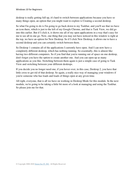desktop is really getting full up, it's hard to switch between applications because you have so many things open, an option that you might want to explore is Creating a second desktop.

So what I'm going to do is I'm going to go back down to my Taskbar, and you'll see that we have an icon there, which is just to the left of my Google Chrome, and that is Task View, we did go into this earlier. But if I click it, it shows me all of my open applications in a way that's easy for me to see all in one go. Now, one thing that you may not have noticed in this window is right at the top, we have an option for New Desktop. So if I click New Desktop, it allows me to have a second desktop and you can certainly switch between them.

So Desktop 1 contains all of the applications I currently have open. And I can now have a completely different desktop, which has nothing running. So essentially, this is almost like having two different computers. So if you find that you're running out of space on one desktop, don't forget you have the option to create another one. And you can open up as many applications as you like. Switching between them again is just a simple case of going to Task View and switching between your different desktops.

If you decide you no longer need one, if you hover over, in this case, Desktop 2, you have that little cross to get rid of that desktop. So again, a really nice way of managing your windows if you're someone who has loads and loads of things open at any given time.

All right, everyone, that is all we have on working in Desktop Mode for this module. In the next module, we're going to be taking a little bit more of a look at managing and using the Taskbar. So please join me for that.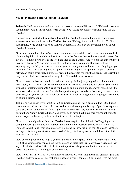## <span id="page-35-0"></span>**Video: Managing and Using the Taskbar**

**Deborah:** Hello everyone, and welcome back to our course on Windows 10. We're still down in section three. And in this module, we're going to be talking about how to manage and use the Taskbar.

So we're going to start out by walking through the Taskbar Contents, I'm going to show you some options that you have within Taskbar Settings. We're going to look at Taskbar Toolbars. And finally, we're going to look at Taskbar Contents. So let's start out by taking a look at our Taskbar Contents.

Now this is something that we've touched on in previous modules, we're going to go into a little bit more depth in this module and look at some of the features that we haven't yet discussed. So firstly, let's move down over to the left-hand side of the Taskbar. And you can see that we have a box there that says; "Type here to search'. So this is your Search bar. If you're looking for anything on your PC, you can come in here you can type your search term, and it's going to go away and find it. So that might be an application, that might be an app, that might be even a setting. So this is essentially a universal search that searches for your keyword across everything on your PC. And that also includes things like files and documents as well.

Now we have a whole section dedicated to searching. So I'm just going to leave that there for now. Now, just to the left of that where you can see that little circle, this is Cortana. So Cortana would be something similar to Siri, if you have an apple mobile phone, or even something like Amazon's Alexa device. It uses Speech Recognition so you can talk to Cortana, you can ask her questions, and you can get her to deliver the answer to you. And again, we're going to do a demo of this in a later module.

But just so you know, if you want to start up Cortana and ask her a question, that is the button that you can click on in order to do that. And it's worth noting at this stage if you don't happen to see that Cortana button there, if you right-click on your Taskbar, you can see that you have an option there; "Show Cortana button". So if you don't have that ticked, then you're not going to see it. So just make sure you have a little tick next to that option.

Now we've already talked about our Taskbar icons in quite a lot of detail. So I'm going to move straight across again to this Notifications area. So my Notifications area is kind of full at the moment. And if I click this little up arrow, it's going to show me all of the little icons that there isn't space for in my notifications area. So don't forget in that up arrow, you'll have other little icons in there as well.

Now one thing you can do to give yourself a little bit more space in this Taskbar area is if you right-click your mouse, you can see there's an option there that I currently have ticked and that says; "Lock the Taskbar". So it locks it into its position, the position that it's in now, and it doesn't let me make it any bigger or any smaller.

Now if you turn this off, so let's just uncheck that option. What that means is I can now grab this Taskbar, and you can see I get that double headed arrow, I can drag it up, and it gives me more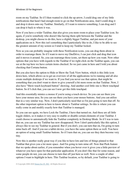room on my Taskbar. So if I then wanted to click the up arrow, I could drag one of my little notifications that hasn't had enough room to go on that Notifications area, And I could drag it and drop it down onto my Taskbar. Similarly, if I want to remove something, I can drag and I can drop it back to where it was.

Now if you have a wider Taskbar, that also gives you more room to place your Taskbar icon. So again, if you're somebody who doesn't like having them split between the Taskbar and the desktop, you might choose to do this, have a slightly bigger Taskbar, and put more of your applications on it. Now this isn't something that I particularly like to do, I like to be able to see the greatest amount of my screen so I tend to keep my Taskbar locked.

Now as you can probably imagine with these Notification icons, you can drag them about in order to rearrange them. So if I want to move my OneDrive, I can just click and drag that icon and it moves it around. So, you can rearrange those icons, set them up how you want. Now other options that you have with regards to the Taskbar if we right-click on the Taskbar again, you can see at the top here we have certain items checked. So we just came in here and I told you about checking that Cortana button.

But you also have the option to Hide or Show the Task View button, which is this little icon down here, which allows us to get an overview of all the applications we're running and all also create multiple desktops if we want to. If you find you never use that option, that might be something that you don't want to show to give yourself a bit more room on that Taskbar. Now, I also have "Show touch keyboard button" showing. And another cool little one is Show touchpad button. So if I click that, you can see I now get this little touchpad.

And this essentially mimics a mouse if you're using a touch device. So you can see there you have your mouse area. So you can see there you have your mouse buttons. And you can utilize that in a very similar way. Now, I don't particularly need that so I'm just going to turn that off. So the other important option in here to know about is Taskbar settings. So this is where you can really come in and modify exactly how that Taskbar is managed.

So you can see again, we have Lock the Taskbar, I have that turned on. And these are all little toggle sliders, so it makes it very easy to enable or disable certain elements of your Taskbar. I could choose to automatically hide the Taskbar completely in Desktop Mode. So if I was to turn that on, you can see my Taskbar has now disappeared. Now I don't particularly like this option, I always like to see my Taskbar in general. But if you don't, you can turn that on, I'm going to turn mine back off. And if you use a tablet device, you have the same option there as well. You have an option of using small Taskbar buttons. So if I turn that on, you can see they then become very tiny.

Now this is another really great way if you like to have lots and lots of things pinned to that Taskbar that gives you a lot more space. And I'm going to turn mine off. Now that Peek feature that we spoke about earlier, if you remember when you hover over it gives you a little preview of whatever you have open for that particular application. If you don't like that for some reason, and some people do not, you can choose to turn that off just here as well. Now a couple of other options I want to highlight in here. This Taskbar location, so by default, your Taskbar is going to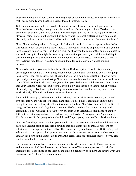be across the bottom of your screen. And for 99.9% of people this is adequate. It's very, very rare that I see somebody who has their Taskbar located somewhere else.

But you do have some options, I could place it at the top of my screen, which puts it up there. Now that looks incredibly strange to me, because I have been using it with the Taskbar at the bottom for years and years. You could also choose to put it on the left or the right of the screen. Now, as I said, I prefer on the bottom, but it's very much personal preference. Now something else that you have is this Combine Taskbar buttons and I have mine set to; "Always hide labels".

Now if I was to change this to Never, just look down in the Taskbar what happens when I select this option. Now I've got quite a lot on there. So this option is a little bit pointless. But if you did have less apps pinned to your Taskbar, it's going to show you the name of that application next to it as well. So again, that might be something that you find particularly useful if you find it quite difficult distinguishing between the different applications purely based on the icon. So I like to say; "Always hide labels". So a few options in there for you to definitely check out and customize.

Now another option you have in here is this Show Desktop option. Now this is particularly useful again, if you have a lot of things open on your screen, and you want to quickly just jump back to your plain old desktop, then clicking this icon will minimize everything that you have open and just show you your desktop. Now there is also a keyboard shortcut for this as well. And that is Windows Key D. that will take you back to your desktop and minimize everything down into your Taskbar whenever you press that option. Now also staying on that theme. If we rightclick and go up to Toolbars right at the top, you have an option here for desktop as well, which works slightly differently to the one we've just looked at.

So if I click desktop, you'll see now in the Taskbar, I get this little Desktop option, and there's two little arrows moving off to the right-hand side. If I click that, it essentially allows me to navigate around my desktop. So if I want to select a file from OneDrive, I can select OneDrive, I can go to Documents and it's going to show me all of my folders. So I can go through and essentially it's like working in File Explorer, but from your Taskbar. So that might be another little option that you quite like to have down on your Taskbar. Now again, I don't particularly like this option. So I'm going to jump back in and I'm just going to turn off that Desktop feature.

Now the final thing I want to talk to you about in a Taskbar settings is if we right-click and jump back into Taskbar settings, let's scroll down to this little Notifications area. So here, we can select which icons appear on the Taskbar. Or we can turn System Icons on or off. So let's go into select which icons appear. And you can see here, this is where we can customize what icons we actually see down in this Notifications area. And again, these are just slider toggles. So you can see the ones that I have turned on.

So I can see my microphone, I can see my Wi-Fi network, I can see my OneDrive, my Power and my Volume. And then I have many of these turned off because they're not of particular interest to me, I don't need to see them all the time. So definitely go in there and review what you can see on that Taskbar Notifications area.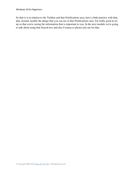So that is it in relation to the Taskbar and that Notifications area, have a little practice with that, play around, modify the things that you can see in that Notifications area. I'm really good at set up so that you're seeing the information that is important to you. In the next module we're going to talk about using that Search box and also Cortana so please join me for that.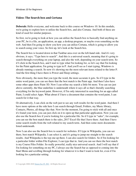### **Video: The Search box and Cortana**

**Deborah:** Hello everyone, and welcome back to this course on Windows 10. In this module, we're going to explore how to utilize the Search box, and also Cortana. And both of these are kind of used for similar purposes.

So first, we're going to look at how you can utilize the Search box to basically find anything on your PC, be it a file, an application, an app, a desktop program, or maybe even something on the web. And then I'm going to show you how you can utilize Cortana, which is going to allow you to search using your voice. So first up, let's look at the Search box.

The Search box is located down in that Taskbar area over on the left-hand side. And it's very obvious, it says; "Type here to search". And this is a universal search, meaning that it's going to search through everything on your laptop, and also the web, depending on your search term. So if I click in the Search box, and I start to type what I'm looking for, so let's say that I'm looking for the Paint application, I'm going to type in P. And you'll see as I start typing, Windows is already running a search. So now it's showing me the most relevant items related to the letter P. And the first thing I have there is Power and Sleep settings.

Now obviously, the more that you type the word, the more accurate it gets. So if I type in the entire word paint, you can see there that the best match is the Paint app. And then I also have some other apps there Paint 3D. Now I can refine my search a little bit more. You can see just above currently, the blue underline is underneath where it says all so that's literally searching everything for the keyword paint. However, if I'm only interested in searching for an app called Paint, I could select Apps. What about if I have a document that contains the word paint, I can search for it that way.

Or alternatively, I can click on the web just to see any web results for the word paint. And then I have more options at the side here I can search through Email, Folders, my Music library, Contacts, Photos, all things like that. Now for the moment, I'm going to stick with all and once it's found your item, you can just click on it to open up that particular application. Now you can also use the Search box if you're looking for a particular file. So if I type in "sales", for example, you can see the best match there is the sales\_2017 Excel file that I have there. And then I have some search results from the web related to my search term. And then some more documents listed underneath.

Now I can also use the Search box to search for websites. If I type in Wikipedia, you can see there, best match Wikipedia. I can select it, and it's going to jump me straight to the search results. And Wikipedia is the top one up there. I can also search for folders. So if I'm looking for a particular folder within File Explorer, I can type that in. And you can see there the best match is my Course Files Folder. So really powerful, really nice universal search. And I will say that if I'm looking for something on my PC, I always use the Search bar as opposed to coming into the Start Menu and scrolling through looking for whatever it is that I want to look for, even if I'm looking for a particular setting.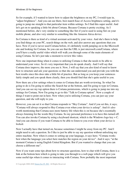So for example, if I wanted to know how to adjust the brightness on my PC, I would type in, "adjust brightness". And you can see there, best match Ease of Access brightness setting, and it's going to jump me straight to that particular item within settings. So I find this super useful. And let's get on to speaking a little bit about Cortana. Because Cortana is pretty exciting. As I mentioned before, she's very similar to something like Siri if you're used to using Siri on your mobile phone, and also very similar to something like the Amazon Alexa device.

So Cortana is there as kind of a virtual assistant activated by your voice. And she's there to help you find things on your PC, search things on the web, and also answer any questions that you have. Now if you've never used Cortana before, it's definitely worth jumping on to the Microsoft site and looking for Cortana. So you can see that the URL is just microsoft.com/Cortana, where you'll have a really useful video which will walk you through some of the main elements of using Cortana. So let's just take a moment to review this video.

Now one important thing when it comes to utilizing Cortana is that she needs to be able to understand your voice. So it's very important that you do speak clearly. And I will say that Cortana does improve, the more you use it. Now, I will say that you also kind of need to know how to structure and ask your questions so that she can understand you and provide you with the best results since this does take a little bit of practice. But as long as you keep your sentences fairly simple and you speak them clearly, then you should find that she's quite useful to you.

Now there are a few settings when it comes to Cortana that are worth reviewing. So what I'm going to do is I'm going to utilize the Search bar at the bottom, and I'm going to type in Cortana. And you can see my top option there is Cortana permissions, which is going to jump me into my settings for Cortana. Now I'm going to go to this "Talk to Cortana option". Now a couple of things I want to point out in here. Now when you're utilizing Cortana, you can just say your question, and she will reply to you.

However, you can set it so that Cortana responds to "Hey Cortana". And if you set this, it says; "Cortana will always respond to Hey Cortana even when your device is asleep". And it's also worth mentioning that Cortana uses more battery life when this is on because she's essentially always listening for the words Hey Cortana. So my personal preference is to have this turned off. You can also invoke Cortana by using a keyboard shortcut, which is the Windows logo key  $+ C$ . And you can choose if you want Cortana to be able to listen to you even when your device is locked.

Now I actually have that turned on, because sometimes I might be away from my PC. And I might need to ask a question. So I like to just be able to say my question without unlocking my entire machine. Now when it comes to setting up your language, it says here; "Cortana works best when the language you select here matches the region on your device". And it says; "at the moment Cortana is using English United Kingdom. But if you wanted to change that you can choose a different one".

Now if you want some tips about how to structure questions, how to chat with Cortana, there is a link at the bottom here which is going to take you through to a web page which will give you some useful tips when it comes to interacting with Cortana. Now probably the most important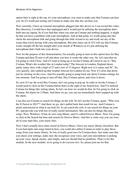option here is right at the top, it's your microphone, you want to make sure that Cortana can hear you. So it's worth just testing out Cortana to make sure that she can hear you.

Now currently, I have an external microphone plugged into this device so I can record this video. But otherwise, I would have that unplugged and it would just be utilizing the microphone that's built into my laptop. So if you find that when you start up Cortana and nothing happens, it might be that you have a problem with your microphone. And at that point, it's worth going into this check the microphone link and going through this little wizard to try and work out any of the issues that you're having with your microphone. But nine times out of 10 I will say that Cortana works straight off the bat straight after your install of Windows as it's just utilizing the microphone that's built into your device.

Now for the purpose of this demonstration, I'm actually going to turn on this option here for Hey Cortana and then I'll turn it off and show you how it works the other way. So, let's turn that on. I'm going to click Close. And if I want to bring up or invoke Cortana all I need to say is; "Hey Cortana. What's the weather like in London today? The forecast in London, England shows partly sunny skies with a high of 27 and a low of 15 degrees. Right now it is sunny and 26". So, very quickly, she's pulled up that weather forecast for London for me. Now if I close that down just by clicking on the cross. And I'm actually going to jump back into those Cortana settings for one moment. And I'm going to turn off that, Hey Cortana option, and close it down.

So, now if I say the word Hey Cortana, she's not going to pop up. In order to invoke Cortana, I would need to click on the Cortana button that's to the right of my Search box. And I've utilized Cortana for things like setting alarm. So let's see how we would do that. So I'm going to click on Cortana. Set alarm for 2:59pm. And there we go, you can see immediately that's popped up with the alarm.

I can also use Cortana to search for things on the web. So let's invoke Cortana, again, "Who won the X Factor in 2012"? And there we go, she's pulled back that result for me. And Cortana is pretty unrestricted in what it can look for. It can search the web, it can search for things on your PC, and provide you with lots of really useful information. She can also do things like play songs. Now, Windows 10 has its own song library, and it's called Groove Music. Now, I'm going to click in the Search bar here and search for Groove Music. And this is some way you can store all of your mp4 files, your music files.

Now I don't actually have mine stored in Groove Music, I have my music library elsewhere. But if you had mp4s and songs listed in here, you could also utilize Cortana in order to play those songs from your music library. So lots of really good uses for Cortana there. Just make sure that you check your settings, make sure she recognizes your voice, and your microphone is picking up your voice. Speak clearly, and simply, and you should find no problems. That's it for this module. In the next module, we're going to do exercise two. So, please join me for that.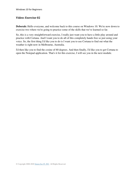#### **Video: Exercise 02**

**Deborah:** Hello everyone, and welcome back to this course on Windows 10. We're now down to exercise two where we're going to practice some of the skills that we've learned so far.

So, this is a very straightforward exercise, I really just want you to have a little play around and practice with Cortana. And I want you to do all of this completely hands free so just using your voice. So, the first thing I'd like you to do is I want you to use Cortana to find out what the weather is right now in Melbourne, Australia.

I'd then like you to find the cosine of 60 degrees. And then finally, I'd like you to get Cortana to open the Notepad application. That's it for this exercise, I will see you in the next module.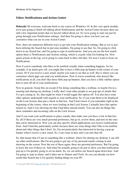### **Video: Notifications and Action Center**

**Deborah:** Hi everyone, welcome back to our course on Windows 10. In this very quick module, we're just going to finish off talking about Notifications and the Action Center because there are still a few important points that we haven't talked about yet. So we're going to start out just by going through your Notification settings. And then I'm going to show you how you can customize what you see in your Action Center.

Now, there are numerous different ways to get into your Notification settings. But as we've just been utilizing the Search bar in previous modules, I'm going to use that. So, I'm going to click down in my Search bar, and I'm going to type in notifications. And you can see the best match option there is Notifications and Actions setting, which is exactly what I'm looking for. Now quick actions at the top, we're going to come back to that a bit later. For now I want to focus on Notifications.

Now if you're somebody who likes to be notified visually when something happens. So for example, if an alarm goes off, you might like to have a little pop up banner in the corner of your screen. Or if you receive a new email, maybe you want to see that as well, this is where you can customize which apps can send you notifications. Now if you're somebody who doesn't like notifications at all, you don't like those little pop up banners, then you have a little sidebar option here to turn off all of your notifications.

Now in general, I keep this on except if I'm doing something like a webinar, or maybe I'm in a meeting and sharing my desktop, I really don't want other people to see pop ups of emails that I've got coming in. So, that might be when I would toggle this option off. You also have some other options underneath with regards to your notification. So, if you want them to be displayed on the Lock Screen, then put a check in that box. And I don't know if you remember right at the beginning of the course, when we were looking at that Lock Screen, I actually have this option turned on. And it was showing me that I had three unread emails. You can also do things like show reminders and incoming calls on the Lock Screen.

And if you want your notifications to place sounds, then make sure you have a tick in that box. So, all of these are very much personal preference, but go in, review them, and turn on the ones that you're interested in. Now you can also specify which applications you receive notifications from. And I find this particularly useful, because there are some things that I like to be notified about and other things that I don't. So, I'm not particularly that interested in having a pop up banner when I receive a new email. So, I can come in here and I can turn that off.

So, that means that if I am in something like a webinar, where I'm sharing my desktop, I can still see other notifications. But I'm not going to get any of my personal emails coming in and showing on the screen. Now the rest of these again, these are personal preference. But I'm going to leave the rest of these on. And what I'm actually going to do just to show you that notification pop up is I'm quickly going to set an alarm. So, we can utilize our Search again down here. And I'm going to type in alarm, and it takes me to Alarms and Clock. So you can already see how useful that Search bar is for quickly finding things on your PC.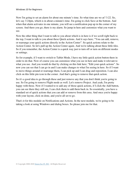Now I'm going to set an alarm for about one minute's time. So what time are we at? 3:22. So, let's say 3:24pm, which is in about a minute's time. I'm going to click Save at the bottom. And when that alarm activates in one minute, you will see a notification pop up in the corner of my screen. And there you go, there is my alarm. So jump in here and customize what you want to see.

Now the other thing that I want to talk to you about which is in here is if we scroll right back to the top, I want to talk to you about these Quick actions. And it says here; "You can add, remove, or rearrange your quick actions directly in the Action Center". So quick actions relate to the Action Center. So let's pull up the Action Center again. And we're talking about these little tiles. So if you remember, the Action Center is a quick way just to turn off or turn on different modes or settings.

So for example, if I want to switch to Tablet Mode, I have my little quick action button there in order to do that. Now of course you can customize what you see in here and make it relevant to what you use. And you would do that by clicking on this link here; "Edit your quick actions". So now you can see that I can go in and I can make changes to what I'm seeing in here. So if I want to move things around or rearrange them, I can pick up and I can drag and reposition. I can also click on this little pin icon in the corner. And that's going to remove that quick action.

So it's a good idea to go through these and just remove any that you don't think you're going to use. So I'm going to remove Flight mode as well. Let's remove Project. And yeah, I'm pretty happy with those. Now if I wanted to re add any of those quick actions, if I click the Add button, you can see there they still are, I can click them to add them back in. So essentially, you have a standard set of quick actions that you can add or remove from this area. And once you're happy with your layout, click on done, and you're all set to go.

That's it for this module on Notifications and Actions. In the next module, we're going to be taking a look at using Windows and dialog boxes. So please join me for that.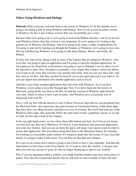## **Video: Using Windows and Dialogs**

**Deborah:** Hello everyone, welcome back to our course on Windows 10. In this module, we're going to be taking a look at using Windows and Dialogs. Now if you've used an earlier version of Windows 10, this is one of those sections that you can probably give a miss.

Because what we're going to do is we're going to look at the Ribbon interface. And if you haven't used Windows before, then this section is very important. So we're going to be looking at the general use of Windows and Dialogs. And we're going to be using a couple of applications. So I'm going to start out by running you through the Features of Windows, we're going to move into Moving and Resizing Windows, we're going to talk about Dialogs, Menus, and finally, the Ribbon.

So first, let's start out by taking a look at some of the features that are integral to Windows. And to do that, I'm going to open an application and I'm going to open the Notepad application. So I'm gonna use my Search box at the bottom, I'm going to type in Notepad, I can see there it is at the top click to open. Now, Notepad is essentially a very simple little window, which just allows you to type in any notes that you have very quickly and easily. And you can save these files, and they save as .txt files. And they can then be used for you to just open and read if you want to. Or you can import that information into another application such as Excel.

And this is one of the standard applications that will come with Windows. So if you have Windows, you're going to have the Notepad app. Now if we delve back into the history of Microsoft, going all the way back to the 80s, we had this concept of Windows right from the very start, which of course is how it got its name. And Windows give a consistent way of interacting with your PC.

Now, I will say that with the advent of some of these Universal Apps that we can download from the Microsoft Store, this consistency has gone because as I mentioned before, within these apps, they have their own Menu Systems and their own way of working. But you'll find with any of the Windows native apps, they generally follow the same kind of rules, guidelines, layout, so on and so forth. So let's take a look at this window.

In the top right-hand corner, we have these three little buttons just here. So if I hover my mouse over this first one, this one is Minimize. If I click it, it just minimizes that particular application down into my Taskbar. And you can see there the app is still open, I just need to click in order to restore that application. The next button along that I have is the Maximize button. So currently, I'm working in a reasonably small window. If I wanted to make this full screen, if I just click that button, it's going to make it full screen. You can then see that that icon changes.

So it says to me restore down which is going to put it back to how it was originally. And then the final button we have there is the Close button. So if I want to close this window, I can just click that cross and you can see it's gone. It's also no longer displaying as open in my Taskbar.

Now if you are operating within a window, you might find that window may have many panes or panels. Now this one in particular doesn't, but we will look at some examples of that a bit later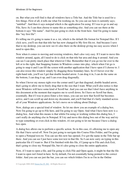on. But what you will find is that all windows have a Title bar. And the Title bar is used for a few things. First of all, it tells me what I'm working on. So you can see here it currently says; "untitled". And then it says notepad which is the application I'm using. If I was to go in and say File, Save As I can then choose to name this as something else. And you can see there at the bottom it says "file name". And I'm just going to click in the front here. And I'm going to name this "my first file".

It's telling me it's going to name it as a .txt, which is the default file format for Notepad files. If I click save, you'll see that that title bar has now changed to My first file.txt. And because I save that to my desktop, you can now see it's also there on the desktop giving me easy access when I need to open this.

Now when it comes to moving and resizing windows, that's also very easy. If I want to move this window around, again, all I need to do is click on that title bar area and drag it around. And you can see I can pretty much place that wherever I like. Remember that if you go too far over to the left or to the right, that Snapping feature in Windows comes into play, which when I let go is going to snap it and I can fill the screen with another application that I have open if I choose to. I can also resize this window simply by dragging those boundary lines. So if I hover over the right-hand side, you'll see I get that double headed arrow. I can drag it in, I can do the same on the bottom, I can drag it up, and I can even drag diagonally.

So when I hover my mouse right over the corner until I get that diagonal, double headed arrow, that's going to allow me to freely drag that to the size that I want. What you'll also notice is that most Windows will have some kind of Scroll bar. And you can see that I don't have anything in this document at the moment that requires me to scroll down. So I have no Scroll bar there, essentially. But if I was to press Enter a few times, you can see now that Scroll bar becomes active, and I can scroll up and down my document, and you'll find that it's fairly standard across all of your Windows applications. So let's move on to talking about Dialogs.

Now, dialogs are a special kind of window. So let me show you an example of a dialog box. Now I'm going to go up to File here, and I'm going to say Open. And what I have here now is a dialog box. And what this means is that whilst I'm using or working within this dialog box, I can't really do anything else in Notepad. If I try and move this dialog box out of the way and try to type something or even click in this window, it's not going to let me because I have a dialog box open.

A dialog box allows me to perform a specific action. So in this case, it's allowing me to open any file that I have saved off. Now I'm just going to navigate this Course Files Folder, and I'm going to open a Notepad text.txt. You can see this now has opened, I've got the name in the Title bar up there. And you can see I just have some test text in that file. So I can now carry on typing in this particular file if I want to. But if I'm finished with this file, if I jump up to File and click Exit, that's going to close my Notepad file, but it's also going to close the entire application.

Now, if I want to open a file, and I'm going to click File and Open again, it might be that the file I want to open isn't listed in here. So by default, I'm not essentially being pointed to the correct folder. And you can see just the bar, you can see which folders I'm in so I'm in the Online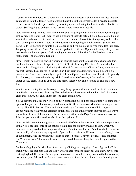Courses folder, Windows 10, Course files. And then underneath it show me all the files that are contained within that folder. So it might be that if this is the incorrect folder, I need to navigate to the correct folder. So I just do that by scrolling up and selecting the location where that file is stored. So I'm going to go back to my desktop where I have My first file.txt.

Now another thing I can do from within here, and I'm going to make this window slightly bigger just by dragging it out, is if I want to see a preview of that file before I open it, so maybe I'm not sure if this is the correct file, and I need to see the contents, I have this little option just here that says "Show preview pane". Now this file doesn't have anything in it whatsoever. So what I'm going to do is I'm going to double click to open it, and I'm just going to type some text into here. I'm going to say File and Save. And now if I go back to File and Open, click on my file, you can now see in the Preview pane, it's displaying the contents of that file. So the Preview pane is a really useful little feature to turn on.

Now it might be now I've started working in this file that I want to make some changes to this, but I want to make those changes in a different file. So I can say File, Save As, and what I'm going to do is I'm going to call this My first file v2 for version two. Click on Save, you can now see that that title has changed in the Title bar. I can carry on adding information into this file. I can say File, Save. But essentially if I go to File and Open, I now have two files. So if I open My first file.txt, you can see there is my original version. And of course, if I wanted just a blank Notepad file, again, I can go up to the File menu, select New, and it's going to give me a new file.

And it's worth noting that with Notepad, everything opens within one window. So if I wanted a new file in a new window, I can say New Window and I get a second window. And of course to close these down, just click on the cross to close them down.

So I've reopened that second version of my Notepad file just so I can highlight to you some other options that you have that are very windows specific. So we have our Menu bar running across the top; File, Edit, Format, View, and Help. And as you've seen, when we click, we get a dropdown menu with various different options that we can utilize within this window. So we've seen a few of these at the top here. But we also have things like Page Setup, we can choose to Print this particular file. And we also have the option to Exit.

Now the Edit menu, I'm not going to go through all of these, but one thing I do want to point out is that you'll see that some of the options within here are slightly grayed out. Now when you come across a grayed out menu option, it means it's not accessible, so it's not available for me to use. And if you're wondering why well, if you look at it this way, if I want to select Copy, I can't at the moment. And the reason why I can't do that is because I haven't got any text highlighted. So, Windows doesn't know what I want to copy. And the same thing there would apply to the Cut option.

So, let me highlight this first line of text just by clicking and dragging. Now if I go to the Edit menu, you'll see that both Cut and Copy are available for me to select because I now have some text highlighted. If I select Cut, it's going to remove it, I can then jump down to the bottom of my document, go to Edit and say Paste to paste that piece of text in. And it's also worth noting that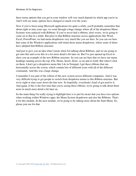these menu options that you get in your window will very much depend on which app you're in. And I will say many options have changed so much over the years.

Now if you've been using Microsoft applications for quite a while, you'll probably remember that about eight or nine years ago, we went through a huge change where all of the dropdown Menu Systems were replaced with Ribbons. If you've never had a ribbons, don't worry, we're going to come on to that in a while. But prior to that Ribbon structure across applications like Word, Excel, PowerPoint, we had menu dropdowns very much like you see here. So you can see here that some of the Windows applications still retain those menu dropdowns, where some of them have adopted that Ribbon structure.

And just to give you an idea what I mean when I'm talking about Ribbons, and we are going to get onto this and cover this in a lot more detail a bit later on. But I've just opened up Excel to show you an example of the new Ribbon structure. So you can see here that we have our menu headings running across the top; File, Home, Insert, Draw, so on and so forth. But when I click on them, I don't get a dropdown menu like I do in Notepad, I get these ribbons that run horizontally across the screen, which contain lots of different icons with all of the different commands. And this was a huge change.

I remember I was part of the rollout of this new system across different companies. And it was very difficult trying to get people to switch from dropdown menus to this Ribbon structure. But we're eight or nine years down the line now. So hopefully, everybody's kind of got used to it. And again, if this is the first time that you're seeing these ribbons, we're going to talk about them more in much more detail a bit later on.

So the main thing I'm really trying to highlight here is to just be aware that you have two options when working within Windows apps; the Menu System dropdowns and also the Ribbons. That's it for this module. In the next module, we're going to be talking more about the Start Menu. So, please join me for that.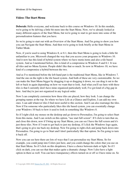## **Video: The Start Menu**

**Deborah:** Hello everyone, and welcome back to this course on Windows 10. In this module, we're going to be delving a little bit more into the Start Menu. Now, we've already looked at many different aspects of the Start Menu, but we're going to start to get more into some of the personalization features that you have.

So we're going to start out with an Overview of the Start Menu. And I'm going to show you how you can Navigate the Start Menu. And then we're going to look briefly at the Start Menu in Tablet Mode.

Now, if you're used to using Windows 8, or 8.1, then this Start Menu is going to look a little bit unfamiliar to you. Microsoft changed the way that you access your programs in Windows 10. And it now has this kind of hybrid system where we have menu items and also a tile based system. And as I mentioned before, this is kind of a compromise in Windows 8 and 8.1. It was all tiles and no Menu System. People didn't like that so much. So now in Windows 10, we have kind of a compromise a hybrid between the two.

And as I've mentioned before the left-hand part is the traditional Start Menu, like in Windows 7. And the one on the right is the tile based system. And both of these are very customizable. So we can make the Start Menu bigger by dragging it up or dragging it down, we can drag it out to the left or back in again depending on how we want that to look. And what you'll see here with these tiles is that I currently don't have mine organized particularly well, I've got kind of a big gap in here. And they're just not organized in any logical order.

Now I can completely customize how these tiles are placed, how they look. I can change the grouping names at the top. So where we have Life at a Glance and Explore, I can add my own ones. I can add whatever tiles I find most useful to this section. And I can also rearrange the tiles. Now if I'm someone who particularly likes this tile based system, you can essentially change your Windows 10 back to how it used to look in something like Windows 8.

So if I right-click my mouse on the desktop and go down to Personalize, I'm going to select Start from this menu. And I can switch on this option, "use start full screen". If I click to turn that on, and close this down, now if I bring up my Start Menu, you can see I have the full screen and it's just those tiles. Now if I want to get back to just my desktop, if I click the Windows logo again, that's going to give me back my desktop. Now I'm going to right-click and jump back down into Personalize. I'm going to go to Start and I don't particularly like that option. So I'm going to turn it back off.

Now you can see here there are lots of ways that I can personalize my Start Menu. So for example, you could jump into Colors just here, and you could change the colors that you use on that Start Menu. So if I click on this dropdown, I have a choice between dark or light. So if I click on dark, you can see that that makes quite a dramatic change. Now I also have a light option in there as well. You can have transparency effects turned on or off so I have mine on. So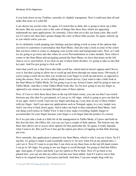if you look down on my Taskbar, currently it's slightly transparent. Now I could turn that off and make that more of a solid fill.

I can choose my accent color. So again, if I switch this to dark, this is going to show up a little bit more. But my accent color is the color of things like these lines which are appearing underneath my open applications. So currently, I have that set to this sea foam color. But you'll see if I select red, then that's gonna change the color of those little accents. So again, entirely up to you which colors you use.

So it's definitely worth jumping into Settings and just taking a look at some of the options that you have to customize or personalize that Start Menu. And also take a look at some of the colors that you have when it comes to changing your accent color and background color. Now, as I said we are going to go more into this when we cover Personalization in a later module. Now when it comes to the Start Menu and navigating around the Start Menu, we have that menu on the left. And as we've seen before, if we click on any of these letter dividers, it's going to take us into that key part. And I'm just going to click on M.

And what you'll see is that I have this little scroll bar, which kind of doesn't appear until I hover over it, but that's going to allow me to scroll up and down through my menu items. Obviously if you're using a touch device then you would use your finger to scroll up and down, as opposed to using the mouse. Now, as we're talking about a touch device, I just want to take a little look at the Start Menu in Tablet Mode. So I'm going to go to my Action Center, and I'm going to turn on Tablet Mode. And this is what Tablet Mode looks like. So I'm now going to use my finger as opposed to my mouse to navigate through some of these options.

Now, if I was to click these three lines in the top left-hand corner, you can see that I can switch between any tiles that I've got pinned, or I can go to All Apps, which is going to give me that list of my apps. And to scroll, I just use my finger and drag up, I can click on any of these folders with my finger. And I can open my applications such as Notepad, again, in a very simple way. And I can close it back down again. And it takes me back to that centralized Start Menu. And one thing you'll notice in Tablet View is that it does make everything slightly bigger to accommodate for your finger because your finger is a lot larger than the pointer of a mouse.

So if we just take a look at a little bit of tile management in Tablet Mode, if I press and hold on this first tile here, the Office tile, you can see I get a couple of little options. The bottom one, the three dots allows me to access more options for this particular tile. So again, it really depends what I want to do. But you'll see I also get the option just above of tapping on that little drawing pin icon.

Now currently, this application is pinned to my Start Menu, which is why I can see it here. So if I tap this, it's going to unpin it and essentially remove it. So now when I'm in my pinned tiles, I can't see it. Now if I want to re-pin that, I can click on my three lines in the top left-hand corner, I can go to All Apps, I'm going to use my finger to scroll through. I'm going to find that Office app. And again, if I press and hold, I get my option to Pin to Start. Now if I go back to my pinned tiles, you can see that my office icon has now been added. And if I want to move that back to its original location, I just press and hold. And then, I can just simply drag with my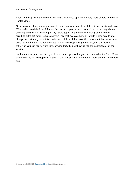finger and drop. Tap anywhere else to deactivate those options. So very, very simple to work in Tablet Mode.

Now one other thing you might want to do in here is turn off Live Tiles. So we mentioned Live Tiles earlier. And the Live Tiles are the ones that you can see that are kind of moving, they're showing updates. So for example, my News app in that middle Explorer group is kind of scrolling different news items. And you'll see that my Weather app next to it also scrolls and changes occasionally. And this is what we call Live Tiles. Now if I didn't want that, what I can do is tap and hold on the Weather app, tap on More Options, go to More, and say "turn live tile off". And you can see now it's just showing that, it's not showing me constant updates of the weather.

So that's a very quick run through of some more options that you have related to the Start Menu when working in Desktop or in Tablet Mode. That's it for this module, I will see you in the next one.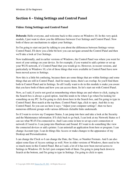# **Section 4 – Using Settings and Control Panel**

# **Video: Using Settings and Control Panel**

**Deborah:** Hello everyone, and welcome back to this course on Windows 10. In this very quick module, I just want to show you the difference between User Settings and Control Panel. Now both of these are mechanisms to adjust your Settings.

So I'm going to start out just by talking to you about the differences between Settings versus Control Panel, I'll show you a little bit how you can navigate around the Control Panel and then we'll take a look at User Settings.

Now traditionally, and in earlier versions of Windows, the Control Panel was where you went for most of your settings on your device. So for example, if you wanted to add a printer or set up your Wi-Fi network, it's Control Panel that you would go to. However, in recent versions, and particularly in Windows 10, a lot of those things that were available in Control Panel have now been moved across to Settings.

Now this is a little bit confusing, because there are some things that are within Settings and some things that are still in Control Panel. And for many items, there's an overlap. So you'll find them both in Control Panel and in Settings. So all I really want to do in this module is make you aware that you have both of them and how you can access them. So let's start out with Control Panel.

Now, as I said, if you're not good at remembering where things are and where to click, typing in the Search box is always a good option. And this tends to be where I go when I'm looking for something on my PC. So I'm going to click down here in the Search box, and I'm going to type in Control Panel. Best match at the top there, Control Panel App, click to open. And this is my Control Panel. So you can see here it says; "Adjust your computer settings", then we have numerous different groups with various different clickable links underneath.

So if I want to review my Computer Status, I can jump into here and take a look at the Security and the Maintenance information. If I click back to go back, I can look at my Network Status so I can see what Wi-Fi I'm connected to. And I can come in here to set up a new connection or network if I need to. I can jump into Hardware and Sound. If I want to do something like view the connected devices or add a printer. I can uninstall an application from here or program. I can change Account type. I can do things like Access or make changes to the appearance of my Desktop and Personalization.

I can change the Clock so I can change the Date, the Time, or Number Formats. And I can also adjust some Ease of Access settings as well. Now in older versions of Windows, there used to be so much more in this Control Panel. But as I said, a lot of it has now been moved across to Settings in Windows 10. So let's just compare both of them. I'm going to jump back down to Search at the bottom, and I'm going to type in Settings. I'm going to click to open.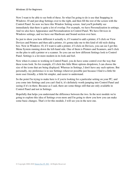Now I want to be able to see both of these. So what I'm going to do is use that Snapping in Windows 10 and just drag Settings over to the right, and then fill the rest of the screen with the Control Panel. So now we have this Window Setting screen. And you'll probably see immediately that there is quite a lot of overlap. For example, we have Personalization in settings. And we also have Appearance and Personalization in Control Panel. We have Devices in Windows settings, and we have our Hardware and Sound section over here.

So just to show you how different it actually is, if I wanted to add a printer, if I click on View Devices and Printers and then add a printer, it's gonna take me to this kind of old style dialog box. Now in Windows 10, if I want to add a printer, if I click on Devices, you can see I get this Menu System running down the left-hand side. One of them is Printers and Scanners, and I click on the plus to add a printer or a scanner. So you can see how different Settings look to Control Panel. Settings is a lot more modern in its look and feel.

Now when it comes to working in Control Panel, you do have some control over the way that these icons look. So for example, if I click this little More options dropdown, I can choose the size of the icons that are being displayed. Whereas in Settings, I don't have any such options. But personally, my preference is to use Settings wherever possible just because I find it a little bit more user friendly, a little bit simpler, and easier to understand.

So the point I'm trying to make here is if you're looking for a particular setting on your PC, and you come into Settings and you can't find it, it's definitely worth jumping into Control Panel and seeing if it's in there. Because as I said, there are some things still that are only available in Control Panel and not in Settings.

Hopefully that helps you understand the difference between the two. In the next module we're going to explore this idea of Settings even more and I'm going to show you how you can make some basic changes. That's it for this module, I will see you in the next one.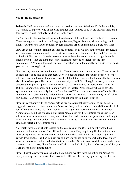# **Video: Basic Settings**

**Deborah:** Hello everyone, and welcome back to this course on Windows 10. In this module, we're going to explore some of the basic Settings that you need to be aware of. And there are a few that you should probably be checking right away.

So I'm going to start out by talking you through some of the Settings that you have for Date and Time, we're going to look at your Language Settings, Region Settings, Mouse settings, and finally your Pen and Touch Settings. So let's kick this off by taking a look at Date and Time.

Now I'm going to jump straight back into my Settings. So as we saw in the previous module, if we click in our Search box and type in Settings, we can select to open that up and I'm going to make that full screen so it's easier to see. And from here, I'm going to jump straight into this middle option, Time and Language. Now in here, the top option there; "Set the time automatically". You can decide if you want to set the Time automatically or not. So if you don't, you can turn that toggle off.

Now the way that your system knows which Time to set it to is that it accesses a Time server. So in order for it to be able to do that accurately, you need to make sure you are connected to the internet if you want to use that option. Now by default, the Time is set automatically, but you can also elect to have your Time zone set automatically as well. So if I toggle this on, you can see underneath it's picked up my Time zone of UTC +00:00, which is the correct Time zone for Dublin, Edinburgh, Lisbon, and London where I'm located. Now you don't have to have the system set these automatically for you. So if I turn off Time zone, and also turn off set the Time automatically, it gives me this option where I can set the Date and Time manually. So if I click on Change, I can now go in and make my manual changes to that if I want to.

Now I'm very happy with my system setting my time automatically for me, so I'm going to toggle that switch on. Now another useful option that you have in here is the ability to add clocks for different time zones. So if you look in the top right-hand corner underneath this related Settings area, you'll see we have a link there; "add clocks for different time zones". So I can select to show this clock which is my current location and I can enter display name. So I might want to change that to London, which is where I'm located. I can also choose to show another clock and select a different time zone.

So I might have lots of clients located on the east coast of the US. So I might want to have another clock set to Eastern Time, US and Canada. And I'm going to say US for that one, and click on Apply and Ok. So now when I click on my Time and Date in the bottom right-hand corner down on that Taskbar, you can see as I hover over, it's telling me what the local time is what the time is in London, and what the time is on the US East Coast. And if I click on that, you can see at the top there, I have London and I also have the US. So, that can be really useful if you work across different time zones.

Now if I scroll down, you can see at the bottom here, we also have the option to; "adjust for daylight saving time automatically". Now in the UK, we observe daylight saving, so I like to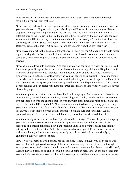have that option turned on. But obviously you can adjust that if you don't observe daylight saving, then you will turn that to off.

Now if we move down to the next option, which is Region, just come in here and make sure that you have the correct Region selected, and also Regional Format. So how do you want Dates displayed? So a good example is that in the UK, we write the short format of the Date in a different way to the US. So in the US, the month is first, followed by the day, and then the year, whereas in the UK, it's the day, then the month, then the year. Now you'll notice that I have mine set to English, United States. And again, if you look down in my Taskbar at the format of my Date, you can see that that is US format. So, we have month first, then day, then year.

Now I have mine set to that because a lot of the work I do is for you US clients so I would rather myself be slightly confused then all of my customers. But, I would just come in here and make sure that you set your Region so that gives you the correct Date format based on where you're located.

Now, let's jump down into Language. And this is where you can specify what Language is used for your display. So again, I'm in the UK, so I have mine set to English United Kingdom. But if I wanted to change my display language, I would need to click on this link; "add a Windows display language in the Microsoft Store". And you can see if I click that link, it takes me through to the Microsoft Store where I can choose to install what they call a Local Experience Pack. So it says; "get windows to speak your language by installing a Local Experience Pack". And you can go through and you can select your Language Pack essentially, so that Windows displays in your chosen language.

And then right at the bottom there, we have Preferred Languages. And you can see I have two set here; English, United States and English, United Kingdom. Again, I tend to switch between the two depending on who the client is that I'm working with at the time, and most of my clients are based either in the UK or in the US. Now you may not want to have to, you may just be using your laptop at home. And if you speak English, or French or German or whatever language you speak, you'll want that to be your default language. So make sure that you click; "Add a preferred language", go through, and add that in if your system hasn't picked it up already.

And then finally at the bottom, we have Speech. And here it says; "Choose the primary language you speak, manage voices for your device and apps, and set up your microphone". So I'm recording on a microphone right now. I am speaking English, so I want to make sure that my setting in there is set correctly. And if I'm someone who uses Speech Recognition, I want to make sure that my microphone is set up correctly. And I can do that from here simply by clicking on that "Get started" button.

Now if you're somebody who possibly has accessibility issues, so maybe you don't see so well, you can choose to get Windows to speak back to you essentially, to kind of talk you through what you're doing. And you can come in here and you can choose a voice. So we have Microsoft, George, David, Susan, so on and so forth. So you can come in here, you can choose a voice that you want Windows to use, you can choose the voice speed, and then you can preview the voice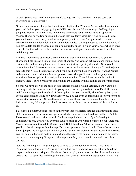as well. So this area is definitely an area of Settings that I've come into, to make sure that everything is set up correctly.

Now a couple of other things that I want to highlight within Windows Settings that I recommend you check before you really get going with Windows is your Mouse settings. So I'm going to jump into Devices. And you'll see in the menu on the left-hand side, we have an option for Mouse. There's only a few options in here and they are fairly basic. So if you do use a Mouse, you want to make sure that you select your primary button. Now I'm right-handed, so my primary button is my left click. But if you are left-handed, you might want to switch that round if you have a left-handed Mouse. You can also adjust the speed in which your Mouse wheel is used to scroll. So if you do have a Mouse that has a wheel on it, you can use that wheel to scroll up and down pages.

And this is where you can specify exactly how far that will jump as you scroll. So you can choose multiple lines at a time or one screen at a time. And you can get even more granular with that and choose how many lines to scroll each time just by adjusting this slider. Now you do have a few other Mouse settings that you can customize. But to access them, you'll need to jump across to this "Related settings area". And you'll see here you have two options; "Adjust Mouse and cursor size, and additional Mouse options". Now what you'll notice is if we jump into Additional Mouse options, it actually takes you through to Control Panel. And this is what I mean by there is such a crossover, some things are available within Settings and other things not.

So once we have a few of the basic Mouse settings available within Settings, if we want to do anything a little bit more advanced, it's going to take us through to the Control Panel. So in here, and I'm not going to go through all of these options, but you can really kind of set up how your Mouse configuration is and how it works for you. You can even do things like specify the type of pointers that you're using. So you'll see as I hover my Mouse over the screen, I just have this little arrow as my Mouse pointer, but I can come in and I can customize some of these if I want to.

I also have a Pointer Options section in there with lots of different settings I might want to look at. I can customize how my wheel operates, which is similar to what we have just here. And then I have some Hardware options as well. So the main point here is that if you're looking for additional options, always look over this Related settings area within Settings. So our Additional Mouse options went through to Control Panel. But if I click on Adjust Mouse and cursor size, you'll see that that stays within Settings. But these options are located in the Ease of Access area. So it's jumped me straight to those. So if you do have vision problems or any accessibility issues, you can come in here and do things like change the size of the pointer, and also make the cursor easier to see when typing. So again, really important for you to come in here and check those settings.

Now the final couple of things I'm going to bring to your attention in here is if we jump to Touchpad, again, this is if you're using a laptop that has a touchpad, you can set how Windows responds when you're using that Touchpad. For example, you can use the Touchpad and you can double tap it to open files and things like that. And you can make some adjustments to how that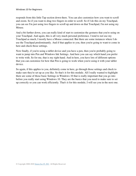responds from this little Tap section down there. You can also customize how you want to scroll and zoom. So if you want to drag two fingers in order to scroll. So if I do this on my Touchpad, you can see I'm just using two fingers to scroll up and down on that Touchpad, I'm not using my Mouse.

And a bit further down, you can really kind of start to customize the gestures that you're using on your Touchpad. And again, this is all very much personal preference. I tend to not use my Touchpad as much, I mostly have a Mouse connected. But there are some instances where I do use the Touchpad predominantly. And if that applies to you, then you're going to want to come in here and check those settings.

Now finally, if you're using a tablet device and you have a pen, then you're probably going to want to jump into Pen and Windows Ink Settings. And here you can say which hand you prefer to write with. So for me, that is my right-hand. And in here, you have lots of different options that you can customize for how that Pen is going to work when you're using it with your tablet device.

So again, if this applies to you, definitely come in here, go through those settings and check to make sure they're set up as you like. So that's it for this module. All I really wanted to highlight there are some of those basic Settings in Windows 10 that is really important that you go into before you really start using Windows 10. They are the basics that you need to make sure to set up correctly so you can work efficiently. That's it for this module, I will see you in the next one.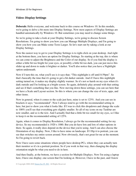# **Video: Display Settings**

**Deborah:** Hello everyone, and welcome back to this course on Windows 10. In this module, we're going to delve a bit more into Display Settings. Now most aspects of Display Settings are handled automatically by Windows 10. But sometimes you may need to change some things.

So we're going to take a look at your Display Settings, we're going to discuss Screen Resolutions. I'm going to show you how you can Manage Multiple Displays, and I'm going to show you how you can Make some Texts Larger. So let's start out by taking a look at our Display Settings.

Now the easiest way to get to your Display Settings is to right-click on your desktop. And right at the bottom there, you have an option for Display Settings. So starting at the top, this is where we can come to adjust the Brightness and the Color of our display. So if you find the display is either a little bit too bright for your eyes, or possibly a little bit too dark, you can just move this slider up and down to make it brighter or darker. You'll also notice that you have a Nightlight option underneath.

Now if I turn this on, what you'll see is it says that; "This nightlight is off until 8:59pm". So that's basically the time that it's going to get a bit darker outside. And if I have this nightlight setting turned on, it makes my display slightly warmer. So it's not so harsh on my eyes when it's dark outside and I'm looking at a bright screen. So again, definitely play around with that setting and see if that's something that you like. Now moving down these settings, you can see here that we have a Scale and Layout section. So this is where you can change the size of texts, apps, and other items.

Now in general, when it comes to the scale just here, mine is set to 125%. And you can see in brackets it says; "recommended". Now I always tend to go with the recommended setting in here, but just to show you what it looks like. If I was to click this dropdown and change the scale to 100% you'll see that everything gets slightly smaller. So all of my icons on my Taskbar are now smaller, and so is the text. And I actually find that a little bit too small for my eyes, so I like to keep it on the recommended setting of 125%.

Again, when it comes to Display Resolution, I always go for the recommended setting for my device. So my recommended is 1920 x 1080. But you do have lots and lots of other options in there. So again, it really does depend on the device that you're using. And I can also choose the Orientation of my display. Now, I like to have mine on landscape. If I flip it to portrait, you can see that switches my entire screen around. Now obviously, that's not great for me at the moment. So I'm going to revert back.

Now I have seen some situations where people have desktop PCs, where they can actually turn their monitor so it's in a portrait position. So if you work in that way, then changing the display orientation might be what you need to do in here.

And then finally, at the bottom, we have a section for Multiple Displays. Now I'm using a laptop here, I have one display; one screen that I'm looking at. However, I have in the past, and I know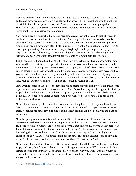many people work with two monitors. So if I wanted to, I could plug a second monitor into my laptop and have two displays. Now you can see that when I click Detect here, it tells me that it didn't detect another display because I don't currently have a second monitor plugged in. However, if I did, I'd be able to see both of those monitors listed under here. And I can choose how I want to display across those monitors.

So for example, if I want what I'm seeing here extended across both, I can do that. If I want to duplicate across the monitors. So if I want what I'm seeing on this screen now to be exactly duplicated on the second monitor, I can do that as well. Now if we look over on the right-hand side you can see we have a few other little links just here. So this Sleep better area, this refers to this Nightlight setting. And you can see it says; "Nightlight can help you get to sleep by displaying warmer colors at night". And one thing we didn't jump into was these Nightlight settings. So, my Nightlight is set automatically to come on when it gets dark outside.

But if I wanted to, I could turn that Nightlight on now by clicking this turn on now button. And what you'll see is that the screen gets slightly warmer in color, which means if you sleep in the same room as your laptop and you have your laptop open, it's a bit of a less harsh light and also it is a lot easier on your eyes when the conditions outside are dark. Now underneath here, you'll see you have different links, which are going to take you to a web browser, which will just give you a little bit more information about setting up multiple monitors. Also how you can adjust the font size, change your screen brightness, and fix any screen flickering as well.

Now when it comes to the size of the text that you're seeing on your display, you can make some adjustments to some of the text in Windows 10. And it's worth noting that this applies to Desktop Applications, and not any of the Universal Apps that you may have downloaded. So in order to demo this, I've opened up Notepad again. And I just want you to look at that title bar and just make a note of the size.

Now if I want to change the size of the text, the easiest thing for me to do is jump down to my Search bar at the bottom. And I'm going to say; "make text bigger". And you can see at the top there, it's telling me make text size bigger is in System settings. And it's actually in the Ease of Access area.

Now I'm going to minimize this window down a little bit so we can still see our Notepad underneath. And what I can do is I can drag this little slider in order to make the text size bigger. I'm going to click on Apply. And you can see now that that title bar in Notepad is a lot bigger. If I adjust it again, just to make it very dramatic and click on Apply, you can see how much bigger it's making that text. And it also is making the text underneath my desktop icons bigger and easier to see as well. But you'll notice that it doesn't make any of the Taskbar icons or anything in that Taskbar bigger, just Desktop items and just these Window Menu Systems.

Now for me that's a little bit too large. So I'm going to take that all the way back down, click on Apply and everything's now set back to normal. So again, a number of different options in there related to setting up your display so that it suits you and the way you work. Definitely jump in there and go through those and change those settings accordingly. That's it for this module, I will see you in the next one.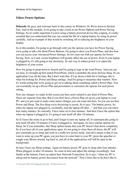# **Video: Power Options**

**Deborah:** Hi guys, and welcome back to this course on Windows 10. We're down in Section four. And in this module, we're going to take a look at our Power Options and Power Saving Settings. So it's really important if you're using a battery powered device like a laptop, it's really essential that you understand that you can extend the life of a laptop battery by using its power carefully. And an example of that would be switching off or reducing the brightness of your display.

So in this module, I'm going to go through with you the options you have for Power Saving, we're going to talk a bit about Power Buttons, I'm going to show you Power Plans, and also how you can access your Advanced Power Settings. So let's start out with our options for Power Saving. Now, as I said, screen brightness will greatly affect the use of power. Even if your laptop is plugged in, it's still going to use electricity. So one way to reduce power is to adjust the brightness of your screen.

Now I'm going to jump down to Search and I'm going to type in the word Power. And you can see here, it's brought up best match PowerPoint, which is probably the most obvious thing. It's an application I use all the time. But I don't want that. If I go down a little bit to Settings, this is what I'm looking for, Power and Sleep settings. And I'm going to maximize that window. Now it's worth noting that we're going to get on to talking about something called a Power Plan. You can essentially set up a Power Plan and personalize or customize the options for each power setting.

Now any changes we make in this screen just here aren't related to any kind of Power Plan. These are separate from that. But if you don't have a Power Plan set up on your laptop or your PC, and you just want to make some minor changes you can come into here. So you can see here Power and Sleep. The first thing we're discussing is screen. So it says; "On battery power. So when my laptop isn't plugged in, essentially, turn the laptop off after..." and then you can select how many minutes. So currently, I have mine set to four minutes. And then I have the option that when my laptop is plugged in, it's going to turn itself off after 10 minutes.

So if I leave the room or go to bed, and I forget to turn my laptop off, it's automatically going to turn itself off after 10 minutes if I have it plugged in. And again, we have similar options for Sleep. So if you remember, that Sleep option means that your PC doesn't shut down completely. So if you have all of your applications open, it's not going to close them all down, the PC will just essentially go to sleep and work in a really low power mode. And all it means is that if you want to wake up your PC again, you just have to come back to your PC, press the spacebar or wiggle your Mouse around, log back in, and all of the applications will still be open in the background.

So here I have my Sleep settings. Again on battery power, PC goes to sleep after four minutes. When plugged, in after 10 minutes. So come in here and adjust the settings accordingly. And finally at the bottom, I have an option here Network Connection. So it says; "when my PC is asleep and on battery power disconnect from the network". Now I don't like to do that I like to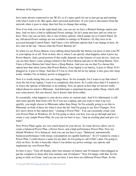have mine always connected to my Wi-Fi, so it's super quick for me to just get up and running with what I want to do. But again, that's personal preference. If you want to disconnect from the network when it goes to sleep, then feel free to change that setting.

Now if we look over on the right-hand side, you can see we have a Related Settings option just here. And we have a link to additional Power settings. So let's jump into here and see what we have. Now you can see here, this is one of those options, which jumps me to Control Panel. So my Advanced Power settings are not available in settings in Windows 10, they have to be accessed through Control Panel. And I have a few different options that I can change in here. So let's start at the top; "choose what the Power Buttons do".

So when we say Power Button, we're talking about basically the button you press to turn your PC or your laptop on or off. Now in here, this is where I can specify what happens when I press my Power Button. And a good portion of this really depends on the features of your device. And you can see here there's some settings related to the Power Button and also to the Sleep Button. Now I have a Power Button but I don't have a Sleep Button. And you can see that I've chosen this option here that when I press that Power Button, if my laptop is on battery, it goes to Sleep. If it's plugged in, it goes to Sleep. And also if I was to close the lid on my laptop, it also goes into sleep mode, whether I'm on battery power or plugged in.

Now it is worth noting that you can change these. So for example, I'm I want to say that when I close the lid of my laptop, I want it to completely shut down. So I could select that if I wanted to, or I have the options of hibernate or do nothing. Now an option in here that we haven't really talked about too much is Hibernate. And hibernate is important because unlike Sleep, which still uses some power, this one doesn't, but it doesn't shut down either.

So essentially, what happens is your device stores its current state. And if it's hibernated, it will start more quickly than from cold. So if you use a laptop, and you want to start it up very quickly, you might choose to Hibernate rather than Sleep. So I'm actually going to set this to Hibernate on both of these for when I close the lid. And I'm going to say Save Changes. Now let's move down to this option here; "creating a Power Plan". You can essentially create your own Power Plans in Windows 10. So I'm going to show you how you can go through and just create a very simple Power Plan. So you can see here it says; "stop an existing plan and give it a name".

Now Power Plans again, are very much based on your device. So some devices allow you to create a balanced Power Plan, a Power Saver, and a high performance Power Plan. Now my default Windows 10 is balanced. And you can see here it says; "Balanced, automatically balanced performance with energy consumption on capable hardware". So if I wanted to create a Power Plan, I could choose a name for my plan. So I'm going to call it Deb's plan. I'm going to click on Next. So this is basically where I can define my power settings, my options and implement my own Power Plan.

So here it says; "Turn off display after four minutes on battery and 10 minutes when plugged in. put the computer to sleep after four minutes and 10 minutes". Now I'm happy with that. So I'm going to click on Create. And you can see here, I now have two different Power Plans. So the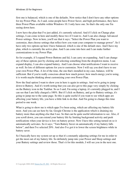first one is balanced, which is one of the defaults. Now notice that I don't have any other options for my Power Plan. As I said, some people have Power Saver, and high performance, they have three Power Plans available within Windows 10. I only have one. So that's the only one I'm seeing down here.

I now have the plan that I've just added, it's currently selected. And if I click on Change plan settings, I can come in here and modify these two if I want to. And I can also change Advanced Power settings. Now in here, you'll see that it says; "Select the Power Plan you want to customize, then choose settings that reflect how you want your computer to manage power". So I have only two options up here I have balanced, which is one of the default ones. And I have my plan, which is currently the active plan. And I can come into here and I can make further customizations to my Power Plan.

So for example, if I expand Power Buttons and lid, I can carry on expanding. And I can change any of these options just by clicking and selecting something from the dropdown menu. I can expand display, I can also expand battery. And I can choose what notifications I want to receive as well. So lots of different options for you to customize. Now I will say you don't have to use your own Power Plan. A lot of the time, the one that's installed in my case, balance, will be sufficient. But if you're really conscious about how much power, how much energy you're using, it is worth maybe thinking about customizing your own Power Plan.

Now the final option I want to show you in here is again in settings. And we're going to jump down to Battery. And it's worth noting that you can also get to this page very simply by clicking on the Battery icon in the Taskbar. So as I said, I'm using a laptop, it's currently plugged in, and I can see that I am fully charged a 100%. But if I click on Battery, and go to Battery settings, it's going to jump me to the same page. So this is quite useful if you want to see which apps are affecting your battery life, you have a little link to do that. And I'm going to change this time period to one week.

What is going to show me is which apps I've been using, which are affecting my battery life most. And you can see here by far, Google Chrome is the application which is draining my battery more than anything else that I use. So that can be quite useful information to see. Also, if you scroll down, you can extend your battery life by limiting background activity and push notifications when your device is low on battery power. Now I have this setting turned on so it automatically activates. So it says; "Turn Battery Saver on automatically if my battery falls below", and then I've selected 20%. And also I've got it to lower the screen brightness while in battery saver.

So I basically have my system set up so that it's constantly adjusting settings for me in order to get the most out of my battery life. So definitely jump into your Power and Sleep settings and your Battery settings and review those. That's it for this module, I will see you in the next one.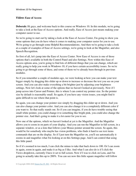#### **Video: Ease of Access**

**Deborah:** Hi guys, and welcome back to this course on Windows 10. In this module, we're going to take a look at the Ease of Access options. And really, Ease of Access just means making your computer easier to use.

So we're going to start out by taking a look at the Ease of Access Center, I'm going to show you some options that you do have when it comes to making your computer easier for you to use. We're going to go through some Helpful Recommendations. And then we're going to take a look at a couple of examples of Ease of Access settings, we're going to look at the Magnifier, and also Speech Recognition.

So first of all, let's jump into the Ease of Access Center. Now Ease of Access is one of those options that's available in both the Control Panel and also Settings. Now within this Ease of Access options area, you're going to find lots of different things that you can change, which are really going to help you work in Windows 10, if you have certain accessibility issues. So we're going to go through some of these, and some of them we've already been through in previous modules.

So if you remember a couple of modules ago, we were looking at how you can make your text bigger simply by dragging this slider up or down to increase or decrease the text you see on your screen. And you can also make everything a bit brighter just by adjusting your brightness settings. Now let's look at some of the options that we haven't looked at previously. Now if I jump across into Cursor and Pointer, this is where I can control my pointer size. So the pointer size by default is reasonably small. So again, if you have any vision issues, you might find it quite difficult to see where that point is.

So again, you can change your pointer size simply by dragging this slider up or down. And you can also change your pointer color. And you can also change it to a completely different color if you want to. So that really stands out. So if you can imagine, if you do have trouble seeing that small white pointer, you could change it to something like bright pink, you could also change the pointer size. And that's going to make it a lot easier for you to see.

Now one of the options, which we haven't looked at yet is the Magnifier. And the Magnifier allows you to zoom in on parts of your display. And you can run the Magnifier in full screen, in a separate window, or as a lens that follows your Mouse pointer around the screen. So again, this would be for somebody who maybe has vision problems, who finds it hard to see text items commands that are on the display. So if I just turn the Magnifier on, you'll see automatically it zooms in and magnifies what I'm looking at on this Settings page. And I can control that using this little panel.

So if it's zoomed in too much, I can click the minus to take that back down to 100. Or I can zoom in again, zoom in again, and make it as big as I like. And what I can also do is if I click the Views dropdown, currently I have it set to full screen. Now if I was to click on Lens, and I'm going to actually take this up to 200%. You can see now this little square magnifier will follow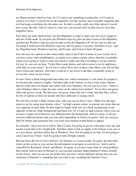my Mouse pointer wherever I am. So if I want to see something in particular, so if I want to zoom in over here, I can just hover the magnifier over this section, and it instantly magnifies that text but keeps everything else the same size. So that's a really, really nice little option if you do have issues like that. And of course to come out, you can just click on that cross to close that magnifier down.

Now there are some shortcut keys for that Magnifier to make it super easy for you to toggle in and out of that mode. If you press the Windows logo key plus the plus to turn on the Magnifier and then the Windows logo key plus Escape to turn the Magnifier off. So let's just try that out. I'm going to hold down the Windows logo key and I'm going to say plus. And there we go. I get my Magnifier back. Windows logo key and Escape, and it turns it back off again.

Now the next two options in this menu really relate to the Color of items on your screen. So if you have issues with colorblindness, or maybe you confuse certain colors, then this is probably where you're going to want to come and check to make sure that everything is set up correctly for you. So you can see here; "Color filters make photos and colors easier to see by applying a color filter to your screen". So if I was to select On to turn on these color filters, you can see that I have Grayscale selected. And what I could do is say invert it and that's essentially going to reverse the colors on my screen.

So now I have a black background and white text, which sometimes is a lot easier for people to see because the contrast is higher. And then right at the bottom, we have some color schemes that are really there for people who suffer with color blindness. So you can see it says, "Select a color blindness filter to make the nine colors on the wheel more distinct". So we have red green, where the green is weak. We then have red green, where the red is weak, and then blue, yellow. So lots of options in there for people who have difficulty in seeing colors.

We also have in here a High contrast area. And you can see here it says; "Make text and apps easier to see by using more distinct colors". So high contrast colors, in general, are colors that are very opposite of each other. So that might be bright white text on a black background, or the opposite of that are white background and black text. So if I turn on high contrast colors, you can see here it makes all of that text very different from the background. And of course, as always, you have different themes that you can select depending on which you prefer. And you can go a little bit further and customize how you want each element in that theme to appear.

So currently, I have text set to yellow. But if I click, I'm going to get my color pane come up, and maybe I want that to be a bright pink. And then when I click on Apply at the bottom, I can save it as a new theme, and then utilize that in Windows. Now I'm not going to do that, I'm just going to click Cancel out of there. And I'm going to turn off high contrast.

Moving down this list we have Narrator. So Narrator is a screen reader. So again, that describes what's on the screen so you can use the information to navigate on your device. And it can be controlled by Keyboard, Touch, and Mouse. So again, if you have some kind of vision problem, then maybe want to turn on Narrator so you can gain a greater understanding of what's actually on the screen. And you can see just below here you have various different options that you can customize if Narrator is something that you want to use, including the Narrator Voice.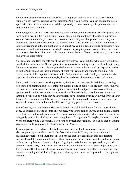So you can select the accent, you can select the language, and you have all of these different sample voices that you can use as your Narrator. And if you want to, you can change the voice speed. So if it's bit slow, you can speed that up. And you can also change the pitch of the voice and also the voice volume.

So moving down our list, we're now moving on to options, which are specifically for people who have trouble hearing. So if we click on Audio, again, we can do things like change our device volume. Now remember, you don't have to come into settings to change the volume on your device, you can do that directly from the Taskbar down here. So you see if I click, I'm actually using a microphone at the moment, and I can adjust my volume. One nice little option down here is how alerts and notifications are handled if you are hearing impaired. So currently, I have it set to no visual alert. But if I wanted to, in order to be notified that I have a notification, I can choose one of these other options.

So I can choose to flash the title bar of the active window, I can flash the whole active window, I can flash the entire screen. Other options that you have is the ability to turn on closed captioning. So you can see here it says; "Make your device easier to use without sound by displaying audio as text". And you can see there a preview of what your captions are going to look like. And every element of this caption is customizable. And you can see underneath you can choose the caption color, the transparency, the style, the size, and even change the caption background.

So if you do have vision or hearing problems, the Ease of Access area is definitely something you should be coming again to set things up that are going to make your life easy. Now finally at the bottom, we have some Interaction options. So let's click on Speech. Now most of these options would be for people who have some kind of limited ability when it comes to reach or strength. So instead of typing maybe you possibly have something wrong with your wrist or your fingers. You can choose to talk instead of type using dictation. And you can see here there is a keyboard shortcut to turn that on. Its Windows logo key plus H to start dictation.

And of course, you can also use Microsoft's inbuilt artificial intelligence Cortana to get things done. So instead of having to jump onto Google, type your question in, you could utilize Cortana to do that for you through your voice. You can also choose to dictate text and control your device using only your voice. And again, that's using Speech Recognition. So maybe you want to open Word and start typing a document, if you turn on Speech Recognition, you can do that by issuing voice commands as opposed to clicking with your Mouse.

If we jump down to Keyboard, this is the section which will help you make it easier to type and also use your keyboard shortcuts. So the first option there is; "Use your device without a physical keyboard". So if I turn that on, you can see that I get essentially this little floating keyboard. And if I'm on a touch device, then I can tap on the screen in order to use this keyboard or I can use my Mouse. Now one thing that's going to make it easier for you to do keyboard shortcuts, particularly if you have some kind of issue with your wrists or your fingers, and you find it quite difficult to press Control, and another key and another key all at the same time, you can use something called Sticky Keys, which allows you to press one key at a time for keyboard shortcuts.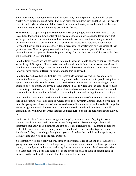So if I was doing a keyboard shortcut of Windows key D to display my desktop, if I've got Sticky Keys turned on, it just means that I can press the Windows key, and then the D in order to execute that keyboard shortcut. I don't have to strain myself trying to do them both at the same time. So Sticky Keys is another really useful little feature.

We also have the option to play a sound when we're using toggle keys. So for example, if we press Caps lock or Num Lock or Scroll up, we can choose to play a sound to let us know that we've got that turned on. And then we have some other options here that you might want to customize. So one of them is the Print Screen shortcut. Now, Print Screen is a key on your keyboard that you can use to essentially take a screenshot of whatever is on your screen at that particular time. Now I'm going to turn this setting on because when I press the Print Screen button, I wanted to open my Screen Snipping utility. And this is a really useful other utility that we'll talk about in later modules.

And the final two options we have down here are Mouse, so I could choose to control my Mouse with a keypad. So again, if I have wrist issues that makes it difficult for me to use my Mouse, I could turn on Mouse Keys to use the numeric keypad to move the Mouse pointer around instead. And you have various different options related to that underneath.

And finally, we have Eye Control. So Eye Control lets you use eye tracking technology to control the Mouse, type using an onscreen keyboard, and communicate with people using text to speech. Now in order for this to work, you need to have an eye tracking device plugged in and installed on your laptop. But if you do have that, then this is where you can come to customize those settings. So those are all of the options that you have within Ease of Access. So if you do have any issues like that, it's definitely worth jumping in here and setting things up to suit you.

Now one final thing I want to show you is we're going to jump into Control Panel because as I said at the start, there are also Ease of Access options from within Control Panel. So you can see here, I'm going to click on Ease of Access. And most of these are very similar to the Settings that we've just gone through. But one thing that you do have in here is a little wizard that will essentially tell Windows 10, which settings you need turned on for the particular issues that you have.

So if I was to click; "Let windows suggest settings", you can see here it's going to take me through this little wizard and I need to answer five questions. So here it says; "Select all statements that apply to you; images and text on TV are difficult to see…Lighting conditions make it difficult to see images on my screen…I am blind…I have another type of vision impairment". So you would go through and you would select the conditions that apply to you. Click Next to take you on to the next question.

So essentially, you can work your way through this wizard. Then at the end of it, Windows is going to turn on and turn off the settings that you require. And of course if it hasn't got it quite right, you could jump in there and make any further minor adjustments. But I wanted to show you that because that does take quite a lot of the stress out of all of those options in Ease of Access. So that is it for this module, I will see you in the next one.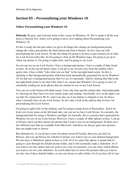# **Section 05 – Personalizing your Windows 10**

#### **Video: Personalizing your Windows 10**

**Deborah:** Hi guys, and welcome back to this course on Windows 10. We've made it all the way down to Section five, where we're going to move on to talking about Personalizing your Windows 10.

So this is really the fun part where we get to do things like change our background picture, change the colors, personalize the Start button and look at themes. So let's start out with personalizing the Lock Screen. So the first thing I'm going to do here is just remind you of what my Lock Screen looks like. So I'm going to click on the Windows logo, I'm going to go up to where my picture is, I'm going to right-click, and I'm going to say Lock.

So you can see on my Lock Screen, I have a background picture, I have a couple of links listed on here. So in the top left-hand corner, I can get to my favorite sites from the taskbar with a quick click, I have a little "Like what you see link" in the top right-hand corner. So this is referring to that background picture which has been automatically generated for me by Windows 10. So that isn't a background picture that I've set, it's automatic. And by clicking that link in the top right-hand corner to say that I like what I see, means that Windows 10 is going to carry on essentially sending me more photos that are similar for use on my Lock Screen.

You can see in the bottom left-hand corner, I have the time and the current date. And underneath, it's showing me that I have two new emails ready and waiting. And finally over on the right I can see that I'm connected to Wi Fi. And I can also see if my battery is charged or not. So that is what I currently have on my Lock Screen. So let's take a look at the options that we have for personalizing that Lock Screen.

I'm going to right-click on the desktop, and I'm going to jump down to Personalize. And if we look over in our menu on the left-hand side, you can see we have Lock Screen. So currently, the background that I'm using is Windows spotlight. So basically, this is a picture that's generated by Windows for use on my Lock Screen. However, I have a couple of other options in here. I can go to Picture, and I can then choose the picture that I want to use on my background. So there are a few different ones that are available from Microsoft. And these are always quite nice pictures that you might want to choose.

But alternatively, if you do have your own photo saved off locally, then you can click on Browse, and you can browse for whichever picture you want to use as your desktop background. We also have a Slideshow option in here as well. So if we select this option, it means that it's going to cycle through the default picture folder, and it will essentially make a slideshow. So if you want to use this option and you want to use your own pictures, you can select which albums you want to use for your slideshow. So you'll either have to move the pictures that you want to use into one of these default folders, or you can choose to add a folder. So if you have all of your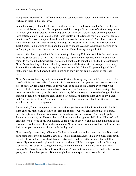nice pictures stored off in a different folder, you can choose that folder, and it will use all of the pictures in there in the slideshow.

And alternatively, if I wanted to just go with one picture, I can browse. And let's go for this one of the hot air balloons, click Choose picture, and there we go. So a couple of different ways there as to how you set that picture in the background of your Lock Screen. Now one thing you will have noticed on my Lock Screen is that it was displaying the date and the time. And you can see here it says; "choose one up to show detailed status on the Lock Screen". And I have that set to my Calendar. Now I'm actually going to change that because I want to see the weather on my Lock Screen. So I'm going to click and I'm going to choose Weather. And what I'm going to do is I'm going to have my Calendar, so the Date and Time showing as a quick status.

So currently I have my mail notification showing, I have my Calendar, which is fine, and I also have my Skype status as well. And if I wanted to, I can click these pluses and I can add other things to show on that Lock Screen. So maybe I want to add something like the Microsoft Store. Now it's worth noting with these that they won't show all the time. So for example, even though I've got Skype selected here as my quick status because I don't have Skype running and I don't really use Skype to be honest, if there's nothing to show it's not going to show on the Lock Screen.

Now it's also worth noting that you can have Cortana showing on your Lock Screen as well. And there's a little link here called Cortana Lock Screen settings. And you can see there is a section here specifically for Lock Screen. So if you want to be able to use Cortana even when your device is locked, make sure that you have this turned on. So now we've set those settings, I'm going to close this down, and I'm going to lock my PC again so you can see the changes that I've made in action. So I'm going to click on the Start Menu, I'm going to right-click on my name, and I'm going to say Lock. So now we've taken a look at customizing that Lock Screen, let's take a look at our desktop background.

So currently, I'm just using one of the standard images that's available in Windows 10. But if I right-click my mouse and go down to Personalize, this is where I can change that. So again, I have the options of Picture, Solid color, or Slideshow. Now in this case, I'm going to go for a Picture. And once again, I have a choice of those standard images available from Microsoft or I can choose to use one of my own photos. So I'm going to Browse, and this time, I'm going to use this image just here and click on choose picture. Now I'm going to minimize this window down a little bit so you can see that picture in the background.

Now currently, where it says Choose a Fit, I've set it to fill the entire space available. But you do have some other options in here, I could say fit. So essentially, now I have two black lines down the side of my picture. Now the difference between Fit and Fill is that when I choose Fill, it essentially zooms into that picture in order to be able to fill the entire space without distorting that picture. But what I'm seeing here is less of the picture than if I choose one of the other options. So it's really entirely up to you. If you don't want it to zoom in, if you do Fit, then you're going to see that whole picture. But you might have some spare space down the side.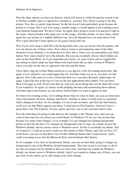Now the other options you have are Stretch, which will distort it a little bit and just stretch it out to fill that available space as opposed to zooming in. you have Tile, which is going to tile that picture. Now this is a pretty large picture. So the tile doesn't look particularly great because the picture is so large. But if you were using a smaller image, it would appear in tiles running across your desktop background. We have Center. So again, that's going to zoom it in and put it right in the center, which actually looks quite nice on this image. And then finally, we have Span, which again fits your picture in a slightly different way. So it all depends how you want that to look. Now I quite liked the Center option so I'm gonna choose that one.

Now if you were using a solid fill as the background color, you can choose from the palette, and you can choose any of these colors. Now when it comes to personalizing some of the other elements of your desktop, if we jump down to Start, this is where you can personalize your Start button. Now mine's kind of set to the defaults. But you can essentially choose which folders are seen on that Start Menu. So if you remember previously, we came in here and we toggled this top setting on which made my Start Menu look much more like an older version of Windows where you only see the tiles as opposed to the tiles and the menu.

I have Show App list in Start Menu turned on so our app list is this list running down here. But again, if you wanted to, you could toggle that off. And then when you go in, you don't see that app list. Now I like mine on so let's switch that back on. I can show Recently Added apps. So again, I quite like this at the top so I can see the last applications that I added. You can show Most Used apps as well. So let's turn that on. And you can do things like use the Start full screen if you wanted to. So again, it's always worth jumping into here and customizing these options. And then right at the bottom, we can choose which folders we want to appear on start.

So when we're looking at this, we're talking about when we click on Start, you can see down here I have Documents, Pictures, Settings and Power. And this is where I would come to customize what's displayed on there. So for example, if I was to turn on music, and click the Start button, you'll now see that Music appears just there. I could turn on File Explorer. And now I have a quick link to my File Explorer. So nice, quick, and easy way to just customize those icons.

Now the final thing I'm going to talk about in this module is this Themes area. And you can come in here and you can choose an overall theme for Windows 10. So you can see here that because I've made some changes, so for example, I've just changed my desktop background picture to this file just here, I've changed my background color to sage, my sounds are just the Windows default, and my mouse cursor is Windows arrow. So this is essentially my theme. And if I wanted to, I could go in and I could save this theme as Deb's Theme, and click on Save. If I scroll down, you can see that there's lots of other different themes that I could choose. And I could even jump across into the Microsoft Store and download other themes.

So for example, if we click on Synchronize Theme, you can see here that's going to change my background to one of the Windows default backgrounds. The color in use is sea foam, so all of my tiles are going to be by default in that sea foam color. And then my sounds are Windows default, my mouse cursor is Windows default. And if you wanted to change any of these, you can just click on the option, go in, and change your color settings.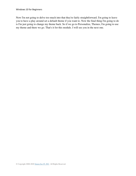Now I'm not going to delve too much into that they're fairly straightforward. I'm going to leave you to have a play around set a default theme if you want to. Now the final thing I'm going to do is I'm just going to change my theme back. So if we go to Personalize, Themes, I'm going to use my theme and there we go. That's it for this module. I will see you in the next one.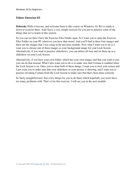#### **Video: Exercise 03**

**Deborah:** Hello everyone, and welcome back to this course on Windows 10. We've made it down to exercise three. And I have a very simple exercise for you just to practice some of the things that we've learnt in this section.

So you can see here I have the Exercise Files Folder open. So I want you to open the Exercise Files Folder on your PC wherever you have that stored. And you'll find in there four images and these are the images that I was using in the previous module. Now what I want you to do is I want you to choose one of these images as your background image for your Lock Screen. Alternatively, if you want to practice slideshows, you can utilize all four and set them up as a slideshow on your Lock Screen.

Alternatively, if you have your own folder, which has your own images and that you want to use, you can do that instead. What I also want you to do is to make sure that Cortana is enabled when the Lock Screen is on. Once you've done both of those things, I want you to lock your screen and I just want you to make sure that your slideshow or your picture is showing, and I want you to practice invoking Cortana from the Lock Screen to make sure that that's been done correctly.

So fairly straightforward. Just a few things for you to do there which hopefully you won't have too many problems with. That's it for this exercise. I will see you in the next module.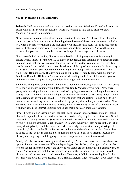## **Video: Managing Tiles and Apps**

**Deborah:** Hello everyone, and welcome back to this course on Windows 10. We're down to the last module in this section, section five, where we're going to talk a little bit more about Managing Tiles and Applications.

Now, we've spoken quite a lot already about this Start Menu area. And I really kind of want to round this part of the course out just by going through some of the options we haven't looked at yet, when it comes to organizing and managing your tiles. Because really this little area here is your central area, is where you go to access your applications, your apps. And you'll see in a moment that you can even come here to access things like web pages and folders as well.

Now currently looking at this, I haven't customized it at all, it pretty much looks the way it looked when I installed Windows 10. So I have some default tiles that have been placed in there. And one thing that you will notice is depending on the device that you're using, you may find that the manufacturer of that device has placed some of their products or some of their web pages in the Start Menu for you. For example, I'm using an HP laptop, and you can see here I have a tile here for HP jumpstarts. That isn't something I installed, it literally came with my copy of Windows 10 on this HP laptop. So bear in mind, depending on the kind of device that you use, and where it's been shipped from, you might have slightly different tiles to me.

So the first thing we're going to talk about in this module is Managing your Tiles, I'm then going to talk to you about Grouping your Tiles, and then finally Managing your Apps. Now we're going to be working a lot with these tiles, and we're going to start out by looking at how we can manage them a bit better. Now one thing to be careful of here when you're doing things like this is that remember, if you click on a tile, it's going to open that application. So just be a little bit careful as we're working through so you don't keep opening things that you don't need to. Now I'm going to take this tile here Microsoft Edge, which is essentially Microsoft's internet browser. You may have used Internet Explorer in the past, this is basically their latest version.

Now if I right-click on that tile, you'll see that I have lots and lots of different options. I could choose to unpin this from the Start area. Now if I do that, it's going to remove it as a tile. Now I actually like having that on my Start Menu. So to add that back, all I would need to do would be to find it in the list here, right-click, and say Pin to Start. What you'll also notice is that if I click on my desktop background, because I have Microsoft Edge as a shortcut on my desktop, if I right-click, I also have the Pin to Start option in there. And there it is back again. Now it's been re-added as the last tile in this list. So I'm going to move this back to its original location by clicking and dragging it and dropping it. So very simple to move your tiles around.

What you'll also notice is if you right-click on a tile, you'll have Resize options. Now the resize options that you see in here are different depending on the tile that you're right-clicked on. So you can see for this particular tile, the only options I have are Medium, which is currently set, or Small. And you can see that that will reduce the size of that particular tile, I'm going to rightclick again and just resize that back to medium. However, if I click on something like Mail up here and right-click, if I go to Resize, I have Small, Medium, Wide, and Large. If we select wide,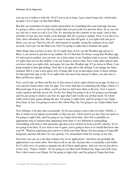you can see it makes a wide tile. Or if I was to go to large, I get a much larger tile, which takes up quite a lot of space on that Start Menu.

But that can sometimes be quite useful, particularly for something like your mail app, because it's going to allow you to see the last emails that you got in the live preview there. So as you can see, this tile is what we call a Live Tile. It's showing me the contents of my email. And as that refreshes if I get any new emails come through, this tile is going to update. Now if you like Live Tiles, that's absolutely fine. But if you want to turn that off again, if you right-click and go to More, you can say Turn live tile off. And instead of actually seeing the contents of my mail account, I now just see the Mail icon. Now I'm going to make that a medium tile again.

Other things that you have in here. So if I right-click on let's say the Weather app and go to More, I can choose to pin this to my taskbar. So if I find that I'm always using that Weather app, if I select pin to taskbar, you can now see it down there in my Taskbar ready to access. Similarly, if I right-click on it in the taskbar, I can say Unpin to remove that. Now some other options that you have when you right-click, and again, let's use this Weather app. If I go down to More, I can jump straight to that app settings. Now this is an app and so the settings I can change are fairly minimal. But it is just a nice quick way of being able to go in and adjust some of those settings for that particular app or tile. If we right-click one more time and go to More, you also have a Rate and Review option.

Now, you'll only see Rate and Review in this menu if you're right-clicked on an app. So that is a very specific feature that's only for apps. You won't find that on something like Edge, which is a Microsoft app. If we go to More, you'll see that we don't have Rate or Review. Now I want to really organize and tidy up my tile. So the first thing I'm going to do is I'm going to go through and I'm just going to remove any tiles for apps that I don't really use all that much. So I don't really tend to play games during the day, I'm going to right-click, and I'm going to say Unpin from Start. In fact, I'm going to remove this whole Play tile, I'm going to say Unpin folder from Start.

Now Solitaire, I do play that occasionally. So I'm just going to move that over here. Netflix, I like to watch on my laptop occasionally so that can stay. I don't tend to go into Tips too much so I'm going to right-click, and I'm going to say Unpin from Start. Now this is probably an appropriate time to mention that unpinning from Start is very different to uninstalling. Uninstalling will remove that particular app that you're clicked on from your PC entirely. So it's not going to be there. If you want to use it again, you're going to have to re install that back onto your PC. Whereas unpinning just removes it from your Start Menu. I'm also going to Unpin HP Jumpstart, and also McAfee. So very quickly, I've streamlined what I'm seeing on my tiles.

Now here you can see a tile that contains lots of my applications. And these are probably the applications I use most often. Now they're all in one tile, because this is essentially a tile folder. So if I click on it, it's going to separate out all of those applications. And you can see just above it now says; "Name a folder". So I'm going to say Microsoft Productivity Apps and click away. Now I don't tend to use Skype. So I'm going to right-click, and I'm going to Unpin that from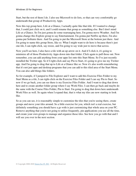Start, but the rest of them I do. I also use Microsoft to do lists, so that can very comfortably go underneath that group of Productivity Apps.

Now this top group here, Life at a Glance, I actually quite like that title. If I wanted to change that, I could just click on it, and I could rename that group as something else. But I don't mind Life at a Glance. So I'm just gonna do some rearranging here, I'm gonna move Weather. And I'm gonna change this Explore group to say Entertainment. I'm gonna put Netflix up there, I'm also gonna put Solitaire there. And I'm going to put the Microsoft Store at the bottom just there. And I'm going to name this group Store, like so. What I might want to do here is because there's just one tile, I can right-click, say resize, and I'm going to say wide just to move that across.

Now you'll see here, I also have a tile with an up arrow on it. And if I click it, it's going to minimize all of those Productivity Apps down into that folder. Click again to pull those out. Now remember, you can add anything from your apps list onto this Start Menu. So I've just recently installed the Twitter app. So if I right-click and say Pin to Start, it's going to give me my Twitter app. And I'm going to drag that up to Life at a Glance like so. Now it's also worth remembering that it's not just apps and desktop programs that you can add to this tiled area of the Start Menu. You can also add things like folders.

So for example, if I jumped to File Explorer and I want to add this Exercise Files Folder to my Start Menu as a tile, I can right-click on the Exercise Files Folder and I can say Pin to Start. So now if we go back, you can see there is my Exercise Files Folder. And I want to drag that down here and to create another folder group where I say Work Files. I can then go back and maybe do the same with the Course Files Folder, Pin to Start. I'm going to drag that down here underneath Work Files as well. So again when I expand that, that is what my tiles are now starting to look like.

So as you can see, it is reasonably simple to customize the tiles that you're seeing there, create groups and move your tiles around. So a little exercise for you, which isn't a real exercise, but definitely something you should have a go with is just customizing that whole area on your PC. Remove anything that you're not going to utilize frequently, pin applications you use all the time, and create your own groups to manage and organize those tiles. See how you go with that and I will see you over in the next section.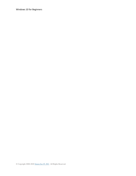Windows 10 for Beginners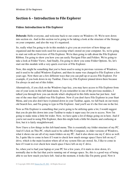# **Section 6 – Introduction to File Explorer**

## **Video: Introduction to File Explorer**

**Deborah:** Hello everyone, and welcome back to our course on Windows 10. We're now down into section six. And in this section we're going to be taking a look at the structure of the Storage on your computer, and also the way it's organized.

So, really what I'm going to do in this module is give you an overview of how things are organized and the main tools used for accessing what's stored on your computer. So, we're going to start out with an Overview of File Explorer. We're then going to talk about the File Explorer Ribbon. I'm going to show you how you can easily Navigate Files and Folders. We're going to take a look at Folder Views. And finally, I'm going to show you some Folder Options. So, let's start out this module with a very quick overview of File Explorer.

Now, this might be something that you've been used to using in previous versions of Windows, and it used to be called Windows Explorer, and then its name was changed to File Explorer a few years ago. Now there are a few different ways that you can pull up or access File Explorer. For example, if you look down in my Taskbar, I have my File Explorer pinned down there because I'm always in and out of this folder.

Alternatively, if you click on the Windows logo key, you may have access to File Explorer from one of your icons in this left-hand menu. If you remember in one of the previous modules, I talked you through how you can decide what's displayed in this little menu bar just here. And one of the ones that I added was File Explorer. Now if you don't have File Explorer in your Start Menu, and you also don't have it pinned down in your Taskbar, again, we fall back on our trusty old Search box, and I'm going to type in File Explorer. And you'll see it's the first one in the list.

Now as File Explorer is something that you're going to be utilizing quite a lot, I would suggest that you do pin this down into your Taskbar to make it super easy for you to access. Now I'm going to make mine a little bit wider. Now, we have quite a lot of things going on in here. And if you're not used to using File Explorer, then this might look a little bit chaotic and confusing at first, but it is fairly straightforward.

Now I have a few things in this left-hand menu. This is essentially my folder structure of my PC. And if I click on This PC, which used to be called My Computer, in older versions of Windows, what it shows me are all of my main folders on my PC. And it also shows me my C drive as well. So, I quite like to come in here if I want to check how much storage space I have left on my C drive, which is the main location where all of my system files are stored. So, I like to come in here if I want to ever check how much space I have left on my C drive.

So, when you've had your laptop or your PC for a few years, if it starts to slow down, it's normally due to the fact that you're running out of storage space. So, this is a good way of being able to see how much you have left. And at the moment, it looks like I'm pretty good. Now it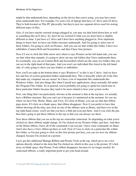might be that underneath here, depending on the device that you're using, you may have more items underneath here. For example, I've seen a lot of laptops that have a C drive and a D drive. They're both located on This PC physically, but they're just two separate drives used for storing different types of files.

Also, if you have maybe external storage plugged in, you may see that listed down here as well as something like an E drive. So, don't be too worried if what you see down here is slightly different to mine. I just have a C drive and I don't have anything plugged in. Now important things to know here we have our folder structure underneath. And I'm going to select one of these folders, I'm going to click on Pictures. And you can see that within this folder, I have two subfolders; Camera Roll and Screenshots, and then I have four pictures.

Now if I was to click this little arrow next where it says Pictures on the left-hand side, you can see that when that expands, it's going to show me any sub folders that I have underneath there. So essentially, you can see Camera Roll and Screenshots which are the same two folders that you can see in the right-hand of that pane. And you won't see individual files listed in the left-hand side, it's only going to show you any folders or subfolders.

Now you'll see right at the bottom there it says Windows C so this is my C drive. And we have lots and lots of system generated folders underneath here. This is basically where all of the files that make my computer run are stored. So I have a lot of important files underneath this Windows folder. And also things like when I install new applications, those normally fall under this Program Files folder. So in general, you're probably not going to spend too much time in these particular folders because they tend to be more related to how your system works.

Now, one thing that's not particularly obvious at the moment is that at the top here, we actually have a Ribbon structure. But you can't see it because it's minimized at the moment. So you see where we have File, Home, Share, and View. If I click on Home, you can see that that ribbon pops down. If I click on a blank space, that ribbon disappears. Now if you prefer to have that ribbon showing all the time, just click on one of the ribbons such as Home, and then over in the top right-hand corner, you'll see that you have a little pin icon just there. And if you click the pin, then that's going to pin those ribbons to the top so that you can always see them.

Now these ribbons that you see at the top are somewhat contextual. So depending on what you're clicked on, these ribbons might change. So I'm clicked on my Pictures folder, just here. And then on the Home ribbon, I have all of the commands I can execute. I have some commands on Share. And I also have a View ribbon up there as well. Now if I was to click on a particular file within this folder, so I'm just going to click on this first picture just here, you can see now my ribbons changed, because I'm clicked on a picture.

I now get this additional Manage Ribbon and Picture Tools at the top, which gives me a few options directly related to the item that I'm clicked on, which in this case is the picture. If I click away on blank space, that Picture Tools ribbon disappears, because it's no longer needed. So contextual ribbons, a really important point to get your head around.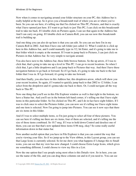Now when it comes to navigating around your folder structure on your PC, this Address bar is really helpful at the top. So it gives you a breadcrumb trail of where you are or where you've been. So you can see here, it's telling me that I'm clicked on This PC, Pictures, and that is exactly what I have opened just here. If I want to go back to just This PC, I can click on this breadcrumb trail to take me back. If I double click on Pictures again, I can see that again in the Address bar. And I can carry on going. If I double click on Camera Roll, you can see now this breadcrumb trail is building up.

And one thing you can also do up here is that you can edit. So you can see here I'm in my Camera Roll in 2002. And then I have one sub folder just called 12. What I could do is click up here in this Address bar, and I could manually type in /12, hit Enter, and it's going to take me to that folder which is empty at the moment. If I want to jump back to Pictures, I can just click on Pictures in that Address bar. So very simple to navigate around.

You also have next to the Address bar, these little browse buttons. So the up arrow, if I was to click that, that's going to take me up a level to This PC. I can go to recent locations. So when I click that, I get a little dropdown and I can jump back to Pictures that way. And then I have these navigation buttons to go back or forward. So if I go back, it's going to take me back to the last folder that I was in. If I go forward, it's going to take me forward.

And then finally, you also have in this Address bar, this dropdown arrow, which will show you your recent location. So again, if I wanted to quickly jump back to that 2002 to 12 folder, I can select from the dropdown and it's gonna take me back to there. Or, I could navigate all the way back to This PC.

Now one thing that you'll see in this File Explorer window as well is that right to the bottom, we have a Status bar. And you'll see in the bottom left-hand corner, it's telling me that I have eight items in this particular folder. So I'm clicked on This PC, and I do in fact have eight folders. If I was to click once to select the Pictures folder, you can now see it's telling me I have eight items and one item is selected. Now I'm going to jump into Pictures. You can see it now says that there are six items in this folder.

And if I was to select multiple items, so I'm just going to select all four of these pictures. You can see here it's telling me there are six items, four of them are selected, and it's telling me the size of those items combined. So 10.7 meg. If I was to hold down Control and deselect one of them, you can see that that's now updated three items 8.98 meg, okay? So some really useful information down in that status bar.

Now another useful option that you have in File Explorer is that you can control the way that you're viewing your files. So if we jump up to the View ribbon, in this Layout group, you can see that Large Icons is currently selected. So let me show you what happens if I change this to Small icons, you can see that my view has now changed. I could choose Extra Large Icons, which gives me something different, I could choose to view my files in a List.

Now the one option that I see people using most often is this Details view. So in here, you can see the name of the file, and you can drag these columns out and in if you need to. You can see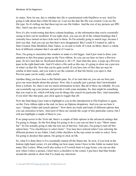its status. Now for me, this is whether this file is synchronized with OneDrive or not. And I'm going to talk about that a little bit later on. I can see the date the file was created, I can see the file type. So it's telling me that these top two are file folders. And the rest of my pictures are JPG files. And I can also see the size.

Now it's also worth noting that these column headings, so the information that you're essentially seeing in here can be modified. If you right-click, you can see all of the column headings that I currently have turned on have ticks next to them. So I'm actually going to untick tags, because I don't use that. And you can see that that's now disappeared. But I could if I wanted to, add in Date Created, Date Modified, Date Taken, so on and so forth. If I click on More, there's a whole host of different columns that I can add in if I want to.

Now, I'm going to maximize this window to make it a bit bigger. And I just want to draw your attention to this first panes group on the View ribbon. So you can see here we have a Preview pane. So let's turn that on. Keyboard shortcut is Alt + P. And what this does, it pops up a Preview pane in the right-hand side. And if I select a file such as this one, it's going to show me a preview of what's in that file. Now that can be quite useful. If you have lots of files that are may be similar in their name, and you want to see the contents of that file before you open it, that Preview pane can be really, really useful.

Another thing you have here is the Details pane. So, if we turn that on, you can see here just gives me more details about this picture. Now, this is actually just a picture that I downloaded from a website. So, there's not too much information in here. But all of these are editable. So you can essentially tag your picture and provide it with some metadata. So, that might be something that you want to do, which will help you do things like search for particular files. And remember, if you don't like that pane, just click again to toggle that off.

Now the final thing I just want to highlight to you in this introduction to File Explorer is again, on this View ribbon right at the end, we have an Options dropdown. And you can see here it says; "change folder and search options". Now there are loads and loads of different options that you can customize in here. And most of these are outside the scope of this particular course, but I will just highlight a couple of them to you.

If we jump across to the View tab, there's a couple of little options in the advanced settings that I'm going to change. So the first thing I'm going to do is you can see here it says "Show status bar". So I'm actually going to take the tick out of that box. And also, I'm going to turn off this option here; "Use checkboxes to select items". You may have noticed when I was selecting the different pictures in my folder, I had a little checkbox in the top corner in order to select. Now, I'm going to deselect that option. I'm going to click on Ok.

So, what I've done there is I've essentially turned off the Status bar. So now, if you look in the bottom right-hand corner, it's not telling me how many items I have in this folder no matter how many files I select. What you'll also notice is if I switch back to Large Icons, you can see that now when I select a picture, I don't have a checkbox in the corner, I just have that blue border around the outside to show that I've made my selections.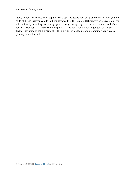Now, I might not necessarily keep these two options deselected, but just to kind of show you the sorts of things that you can do in those advanced folder settings. Definitely worth having a delve into that, and just setting everything up in the way that's going to work best for you. So that's it for this introduction module to File Explorer. In the next module, we're going to delve a bit further into some of the elements of File Explorer for managing and organizing your files. So, please join me for that.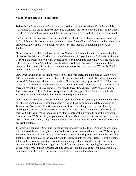## **Video: More about File Explorer**

**Deborah:** Hello everyone, and welcome back to this course on Windows 10. In this module, we're going to talk a little bit more about File Explorer. And we've looked at many of the aspects of File Explorer in the previous module. But now, we're going to look at it in some more detail.

So I'm going to start out by talking to you a little bit about User Folders, we're going to take a look at Libraries. I'm going to show you how you can Create Files and Folders, and also how you can Copy, Move, and Delete Folders and Files. So, let's kick off with taking a look at User Folders.

Now I've opened up File Explorer, and in my Navigation Pane on the left, you can see that I'm clicked on the Windows C drive. And one of the folders that you'll always find underneath your C drive is the Users Folder. So, if I double click to drill down into that, what you'll see are all the different users of this PC, and each user has their own folder. So, you can see mine just there, deb a but I also have a folder for the two other accounts that I have on this PC, one for Ben Lee and one for Vicki Matthews.

Now what you'll also see is that there is a Public folder in there, and I'm going to talk to you a little bit more about exactly what that is a little bit later on in this module. So, let's jump into my personal folder and see what we have in there. Now this is where my personal User Folders are stored. And these will include a default set of folders created by Windows 10. So, you can see in there we have things like Documents, Downloads, Favorites, Music, OneDrive, so on and so forth. Now some of these folders correspond to particular applications. So, for example, the Favorites Folder is what holds all of my Internet Explorer favorites.

Now if you're looking at your User Folder on your particular PC, you might find that your list is slightly different to mine. But fundamentally, you will see those core default folders such as Documents, Downloads, Favorites, so on and so forth. Now, I'm going to go up a level by clicking on Users in the Address bar. Now, as I mentioned, I have two other user accounts on this PC. So, those might be for a couple of other people within my family or within my home that share this PC. Now if I try to go into one of those User Folders, that isn't my own. So, let's double click on Ben Lee, I'm getting a message there saying I currently don't have permission to access this folder.

If I want to, I can click "Continue" to get permanent access to this folder. And it's gonna let me into that. And the reason why it's let me do that is because I am an admin on this PC. Now again, I'm going to jump back and level go back to my Users. And let's just go back and talk about this Public folder. I pointed out earlier, but we didn't really go into too many details. But this Public folder is there for any items that I want to share amongst all users of this PC. So it's worth bearing in mind that if Ben is logged into this PC, any documents or anything he creates are going to be stored in his folder here. And no other user on this PC, aside from those who have admin access will be able to access anything that he saves into these folders.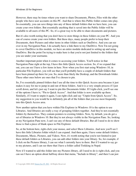However, there may be times where you want to share Documents, Photos, Files with the other people who have user accounts on this PC. And that is where this Public folder comes into play. So essentially, you can save things into any of these default folders that we have here, you can create your own folders. But essentially anything that is saved into the Public folder will be available to all users of this PC. So, it's a great way to be able to share documents and pictures.

But it's also worth noting that you don't have to store things in these folders on your PC. And you can of course create your own folders. But these days, many people prefer to keep their Documents, their Pictures and other items in other folders such as OneDrive. And you can see over in my Navigation Pane, I do actually have a link there to my OneDrive. Now I'm not going to cover OneDrive in this module, we have an entire module dedicated to setting up and using OneDrive. But the point I'm trying to make here is that you're not just limited to the folders that you see under your username.

Another important point when it comes to accessing your folders. You'll notice in that Navigation Pane right at the top, I have this little Quick Access section. So, if we expand that out, you can see I have a few items in here. Now when you first start using Windows 10, in particular File Explorer, you will see that you'll probably have a couple of default folders that have been pinned up there for you. So, more than likely the Desktop, and the Downloads folder. These other ones below are ones that I've chosen to pin.

So, I've essentially pinned folders that I use all the time to this Quick Access area because it just makes it easy for me to jump in and out of those folders. And it is a very simple process if I just scroll down, and let's just say I want to pin this Documents folder. If I right-click, you'll see one of the options I have is; "Pin to Quick Access". And that folder is now available up there. Similarly, if I want to unpin it again, I can right-click and say "Unpin from Quick Access". So, my suggestion to you would be to definitely pin all of the folders that you use most frequently into this Quick Access area.

Now another option that you have within File Explorer in Windows 10 is the option to use Libraries. And libraries are really a way of grouping folders together. And they're not essentially folders by themselves. They contain pointers to existing folders. Now, by default, you do get a set of libraries in Windows 10. But they're not always visible in the Navigation Pane. So, looking at my Navigation Pane now, I can't see any of those default libraries. But all I need to do to show those is find a piece of blank space in File Explorer.

So, at the bottom here, right-click your mouse, and select Show Libraries. And now you'll see I have this little Libraries folder which I can expand. And then again, I have some default folders; Documents, Music, Pictures, and Videos. Now, it's worth noting that you're not limited to just these default folders as Libraries, you can add other folders into your library. So, for example, if I click on the Pictures library, I can see what I currently have in there. But if I wanted to say go to my pictures, and I can see there that I have a folder called Trekking in Nepal.

Now if I wanted to add this folder into my Pictures library, all I need to do is right-click, and you can see I have an option about halfway down that menu, "Include in library", and then I can just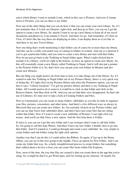select which library I want to include it into, which in this case is Pictures. And now if I jump down to Pictures, you can see there is my folder.

Now one of the other things that you can do here is that you can create your own Library. So, if I just minimize that, if I click on Libraries, right-click, and then go to New, you can see I get the option to create a new library. So, maybe I want to set up a new library to keep all of my travel documents and photos in, I can rename it Travel. And there we go. And remember, if I click on View, if I don't like the way these are displaying in titles, I can display them in a List like so. And there is my new Travel library.

Now one thing that's worth mentioning is that folders can of course be in more than one library. And this can be a really convenient way of catalog in folders of content. And one is a shortcut if you've got a particular folder, and you want to create a new library and start with that folder. Now let me just go back to the Trekking in Nepal folder again. When I right-clicked that to include it in a library, you'll see right at the bottom, we have an option to create new library. So, this will essentially create a new library called Trekking in Nepal. And it will also put a pointer to the Pictures folder in it. So, that's how you can put your own folders in libraries and also create new libraries.

But one thing you might need to do from time to time is to take things out of the library. So, if I wanted to take this Trekking in Nepal folder out of my Pictures library, there's a very quick way of doing this. If I right-click on my Pictures library and select the Properties option, you can see here it says; "Library locations". I've got my pictures library and there is my Trekking in Nepal folder. All I would need to do to remove it would be to click on that folder and click on the Remove button. And then click on Ok. And you can see that that's now disappeared. So that's the use of Libraries. It's time now to take a look at Creating Folders and Files.

Now as I mentioned, you can create as many folders, subfolders as you like in order to organize your files, pictures, screenshots, and other items. And there's a few different ways as always in Microsoft that you can create new folders. So, I'm currently clicked on my Pictures folder, and you can see that I have four subfolders there, and then I have just some files that are sitting within that folder. Now if I want to create a new subfolder of Pictures, I can right-click my mouse. And you'll see that I have a new option. And the first item there is Folder.

If select it, you can see I get this new folder and I can overtype what I want to call that folder. So, I'm going to call this Italy Photos. And there I have my new folder, I double click to go into that folder. And if I wanted to, I could go through and create a new subfolder. So, very simple to create folders and sub folders using the right-click options.

Another way that I can do this is I could utilize the Ribbon. So again, if I go up to the Home ribbon, you can see in this new group in the middle, I have an option for New Folder. And I can create my folder that way. So, a fairly straightforward process to create folders, but something that's talked about a lot less is how you can create files from within File Explorer.

Now, most of the time, the way that files are created is that you create them in the app that you're using. So, it might be that I've got Word open, and I'm writing up my itinerary. Or maybe I'm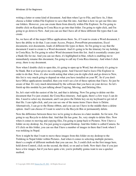writing a letter or some kind of document. And then when I go to File, and Save As, I then choose a folder within File Explorer to save that file into. And that is how we get our files into our folders. However, you can create them from directly within File Explorer. So I'm going to double click on Kayaking in Costa Rica to go into that folder. I'm going to right-click, and I'm going to go down to New. And you can see that I have all of these different file types that I can create.

So, we have all of the major Office applications there. So, if I want to create a Word document, I have the ability to do that. I can create Access, Project, PowerPoint presentations, Excel documents, text documents, loads of different file types in there. So I'm going to say that the document I want to create is a Word document. And it's going to be the itinerary for my holiday in Costa Rica. So I'm going to select Word document from this list. And it essentially creates just a blank file for me. And you can see there, it's highlighted in blue, which is enabling me to immediately rename this document, I'm going to call my Costa Rica itinerary. And when I click away, there is my document.

Now when I double click to open this, it's going to open up in Word, but obviously it's going to be blank. But it at least gives me a starting point. And I haven't had to leave File Explorer in order to do that. Now, it's also worth noting that when you do right-click and go down to New, this list is very much going to depend on what you have installed on your PC. So if you don't have Office applications installed, then you won't see a lot of these options that I have. So just be aware of that. It's very much determined by the software that you have on your device. So let's finish up this module by just talking about Copying, Moving, and Deleting files.

So, let's start with the easiest of the lot, and that is deleting. Now I'm going to delete out this document that I've just created, the Costa Rica itinerary. And again, there's a few ways I can do this. I need to select my document, and I can press the Delete key on my keyboard to get rid of that file. I can right-click, and you can see one of the menu items I have there is Delete. Alternatively, I can go to the Home ribbon, and you can see I have in the middle there a delete option. And I can choose if I want to send it to the Recycle Bin or permanently delete.

Now the difference between these two we're going to discuss in a later module. So for now, I'm going to say Recycle to delete that. And that file has gone. So, very simple to delete files. Now when it comes to moving and copying files, I'm going to jump back to Pictures. Now I have a folder on my desktop. So, I'm just going to expand Desktop. And this folder is called Camera. So if I click on this folder, you can see that I have a number of images in there that I took when I was trekking in Nepal.

Now it might be that I want to move these images from this folder on my desktop to the Trekking in Nepal folder within Pictures. And when it comes to selecting multiple pictures, there's a couple of different methods that you can use. So, I could click on the first image here, hold down Control, click on the second, the third, so on and so forth. Now that's fine if you just have a few images, but if you have quite a lot, you're probably gonna want to use a quicker method.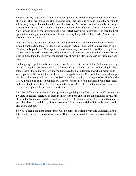So, another way to go quickly select all of your pictures is to draw a big rectangle around them all. So, if I click my mouse and click and drag until I get that blue box and let go, that's going to select everything within the boundaries of that box that I've drawn. So, that's a really nice way of making selections as well. Another thing you can do is click on the first image, hold down your Shift key and click on the last image and it will select everything in between. And then the final option if you really just want to select absolutely everything in this folder,  $Ctrl + A$  is also a shortcut, meaning select all.

Now that I have my pictures selected, I'm going to want to move them to the relevant folder where I want to store them. So, I'm going to expand Pictures, and I want to move them to this Trekking in Nepal folder. Now again, a few different ways we could do this. If we go up to our ribbons, we have a Move to option, where we can go in and we can choose the location that we want to move them to. But by far the easiest way of moving files to a folder, it's just a drag and drop.

So, I'm going to grab these files, drag and drop them on that correct folder. And you can see by default, doing that, the default action is Move not Copy. If I now click on the Trekking in Nepal folder, there's those images. Now maybe I'd moved them accidentally and what I meant to do was copy them. So essentially, I still wanted to keep them in the Camera folder on my desktop, but also make a copy and put it into the Trekking folder. Again, I'm going to select all of my files Ctrl A, I could utilize my ribbon and say Copy to, and then select a location. I could right-click and select the Copy option. And the shortcut for copy is  $Ctrl + C$ . I can then click on Camera on the desktop, right-click and paste those files in.

So, a few different ways there of managing and organizing your files. And again, if I decided that I wanted to actually delete all of these in this folder, I can click on the top one, hold down Shift, click on the bottom one and this time I'm going to right-click and select Delete from the menu to get rid of those. I could then go further now this folder is empty, right-click on the folder, and also delete that out.

So, you've seen a lot more options there when it comes to working with File Explorer. Have a little practice and a play around with those. That's it for this module, I will see you in the next one.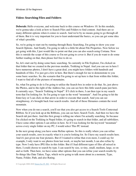## **Video: Searching Files and Folders**

**Deborah:** Hello everyone, and welcome back to this course on Windows 10. In this module, we're gonna take a look at how to Search Files and Folders to find content. And there are so many different options when it comes to search. And we're by no means going to go through all of them. But it is very important for you to least understand the basics, so you can get some idea of what's possible.

So, we're going to start out by running through Basic Searching, I'm going to show you your Search Options. And finally, I'm going to talk to a little bit about File Properties. Now before we get going with this, I just would like to point out that you can also search using Cortana. Now this is outside the scope of this course so I'm not going to cover it. But if you do want to do some further reading on that, then please feel free to do so.

So, let's start out by doing some basic searching. So currently in File Explorer, I'm clicked on that folder that we created in the previous module, Trekking in Nepal. And you can see in here I have numerous photos, I don't have a great deal, you might have folders with hundreds and hundreds of files. I've just got a few in here. But there's enough for me to demonstrate to you some basic searches. So, the scenario that I'm going to set up here is that from within this folder, I want to find all of the pictures of mountains.

So, what I'm going to do is I'm going to utilize the Search box in order to do that. So, just above the Photos, and to the right of the Address bar, you can see how this little search pane just here. It currently says; "Search Trekking in Nepal". If I click in there, I can then type in my search term that I'm looking for. So I'm going to type in the word "mountain". And I'm going to hit the Enter key or I can click on that arrow in order to execute that search. And you can see straightaway, it's brought back four search results. And all of those filenames contain the word mountain.

Now when you do run a search, you'll see that you also get access to a Search Tools Contextual Ribbon. So if you look up at the Ribbons, you can see here; Search Tools. And then we have the Search tab just there. And this first group is telling me where I'm actually searching. So because I'm clicked on the Trekking in Nepal folder, it's going to search in that folder, and all subfolders. I have some other options I can utilize in here. So if I was looking for the keyword "mountain" across every single folder on my PC, I would select This PC instead.

In the next group along you have some Refine options. So this is really where you can refine your search results, zero in exactly what it is you're looking for. So I have my search results here. And it's just given me four pictures. But if I wanted to refine that even more, I could say for example, I only want to see photos from last week, or maybe last month, I can also refine by type. Now I only have JPG files in this folder. But if I had different types of files all mixed in there, I could choose to search by type. I can search by size, so tiny, small, medium, large, so on and so forth. Then here, we have some other options that you can refine your search results by. So things like Date Taken, Tags, which we're going to talk more about in a moment, Type, Name, Folder, Path, and also Rating.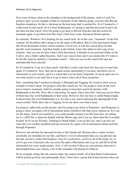Now some of these relate to the metadata in the background of the picture. And as I said, I'm going to show you an example of that in a moment. In the Options group, you have this Recent Searches dropdown. So this is showing me the last items that I searched for. So if I wanted to, I could rerun an old search. So if I select Kathmandu, it's going to add that keyword in and I can just then run that search. Now I'm going to go back to Recent Searches and just search for mountain again, to get those four files back. I then have some Advanced Search options.

So currently, Windows 10 is looking for my search term. So in this case, "mountain" in the File contents. So the photos that's going to be the name of the photo. But if I also had maybe things like Word documents in here, which contains a lot of text, it will also search those for that specific word mountain. And then finally at the bottom, I have the option to Save any of my searches. And you can see here when I click that button, it defaults to my personal folder on the C drive, into a folder called Searches. And I can come in here and I can rename this if I want to. So the file name by default is "mountain search". And you can see this search file type has automatically been selected.

So if I wanted to, I can save that search. And then I could come back into here just to rerun that, again, if I wanted to. Now, that can be quite useful, particularly if you have specified a lot of refinements to your search, and it's a search that you run fairly frequently. It can be quite nice to save that search so you don't have to go in and re-select all of those properties.

Now, something that I touched on already is Metadata and Tagging. So I want to show you an example of what I mean. I'm going to clear this search out. So, I'm going to click on the cross just to remove mountain. And I'm actually going to rerun that search for pictures with Kathmandu in the title. Now, this is interesting. So again, I have four files. And you can see three of them have the word Kathmandu in their name. However, this one here is called Nepal temple. It doesn't have the word Kathmandu in it. So why is my search returning this photograph in the search results? Well, that's due to Tagging. So let me show you what I mean.

I'm going to right-click on this picture, and I'm going to go down to Properties. And Properties is going to show you quite a bit of information about whichever file that you're clicked on. So I can see the name. And if you wanted to, you could actually rename your file from here. It's telling me it's a JPG file, it opens by default with the Photos app, and I can see where that file is actually located. So it's in my Pictures, Trekking in Nepal folder. I can see the size, and I can also see when this was created, modified and last accessed. So, quite a bit of information about each file through Properties.

However, the tab that I'm interested in here is this Details tab. Because this is where we have essentially our metadata for our files, and there's a lot of information that you can add into any file that you have within File Explorer. Now if I scroll down, you'll see all of the fields. So, if you've got a lot of pictures, this can seem like quite a Herculean task to go in, and fill in all the information for every single picture. Now, I will say that if these are your pictures that you've downloaded from your camera, a lot of this metadata will already be filled in.

So for example, things like the camera make, the camera model, all of that kind of information will be picked up from your photograph. Now, I don't have a great deal in here because these are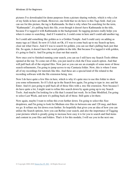pictures I've downloaded for demo purposes from a picture sharing website, which is why a lot of my fields in here are blank. However, one field that we do have is this Tags field. And you can see for this picture, the tag is Kathmandu. So that is why when I'm searching for the term, "Kathmandu", it's pulling back this file, even though it doesn't have Kathmandu in the title, because I've tagged it with Kathmandu in the background. So tagging pictures really helps you when it comes to searching. And if I wanted to, I could come in here and I could add another tag.

So I could add something like golden as is a Golden Temple. And I could carry on adding as many tags as I liked. So now if I click on Ok, if I was to come back up to my Search up here, clear out what I have. And if I was to search for golden, you can see that's pulling back just that file. So again, it doesn't have the word golden in the title. But because I've tagged it with golden, it's going to find it. And I'm going to clear out that search.

Now once you've finished running your search, you can see I still have my Search Tools ribbon opened at the top. To come out of this, you just need to click the Close search option. And that will pull back all of the original files. Now just so you can see an example of some more of those search refinements, I'm going to jump across to my Camtasia folder. Now, this is where I store all of my recordings for tutorials like this. And these are a special kind of file related to the recording software with the file extension being .trec.

Now I do have quite a few files in here, which is why it's quite nice to use this folder to show you some refinements. So if I click up in the Search box again, I'm going to type in .trec and hit Enter. And it's just going to pull back all of those files with a .trec file extension. Now because I do have quite a lot, I might want to refine this search down by again going up to my Search Tools. And maybe I'm looking for a file that I created last week. So in Date Modified, I'm going to select Last Week, and now it's pulling back all of those. Still quite a lot there.

Now again, maybe I want to refine this even further down. I'm going to select this Size dropdown, and I'm going to look for Medium size files in between one and 128 meg, and there we go. It refines my list down even further. So hopefully that gives you an idea of how you can utilize the Search options, how you can Refine your search, and also the importance of Tagging your pictures which is greatly going to increase how easy it is for you to search and find items and content in your files and folders. That's it for this module, I will see you in the next one.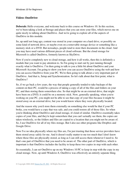## **Video: OneDrive**

**Deborah:** Hello everyone, and welcome back to this course on Windows 10. In this section, we've been taking a look at Storage and places that you can store your files, which moves me on quite nicely to talking about OneDrive. And we're going to explore all of the aspects of OneDrive in this module.

So, up until not long ago, content was stored in your computer on a hard drive, or possibly on some kind of network drive, or maybe even on a removable storage device or something like a memory stick or a DVD. But nowadays, people tend to store their documents in the cloud. And you may have used various different pieces of cloud software. But the cloud storage for Microsoft is called OneDrive, formerly known as SkyDrive.

Now if you're completely new to cloud storage, and how it all works, then this is definitely a module that you want to pay attention to. So I'm going to start out by just running through exactly what is OneDrive. I'm then going to talk to you a little bit about OneDrive and your Microsoft Account. I'm going to show you how you can access OneDrive using the web and how you can access OneDrive from your PC. We're then going to talk about a very important part of OneDrive. And that is, Setup and Synchronization. So let's talk about that first point, what is OneDrive?

So, if we go back a few years, the way that people generally tended to take backups of the content on their PC, would be a process of taking a copy of all of the files and folders on your PC, and then storing them somewhere else. So that might be on an external drive, that might have been on a DVD, it could be on a memory stick. Now, generally speaking, when you're working on your PC, you might not be able to see that copy of your files because it might be stored away on an external drive, but you would know where they were physically located.

And the reason why you'd store them externally on something else would be that if your PC broke, you would have a copy that was safe, and you could restore all of those files. So when you're thinking about OneDrive and cloud storage, it's kind of similar. OneDrive essentially takes copies of your files, and they're kept somewhere that you can't actually see them, the copies are taken wirelessly, so the folders and files are copied to a location that you might not be aware of. So, I use OneDrive for all of my files storage. But I also use other programs like Dropbox and Google Drive.

Now I've no idea physically where my files are, I'm just trusting that those service providers have them stored away safely for me. And it doesn't really matter to me too much that I don't know where those files are physically stored, as long as I can still access them whenever I need to. So that's one part of OneDrive that you need to be aware of. The other part of OneDrive, which is important is that OneDrive includes the facility to keep these two copies in step with each other.

So essentially, I can set OneDrive up on my Windows 10 PC to keep in step with the copy in my cloud storage. Now, up until Windows 8, OneDrive was effectively an entirely separate thing.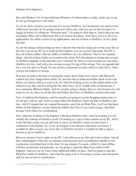But with Windows 10, it's been built into Windows 10 which makes it really, really easy to use. So let's go through how it all works.

So, let me show you how you can sign in to access OneDrive. As I mentioned, you need to have a Microsoft Account. So I'm going to log in to office.com. And you can see here because I've logged in before, it's telling me "Welcome back", I'm going to click Sign in. And it takes me into essentially Office 365 or Microsoft 365 as it's known nowadays. And I have access to all of my applications, the online version of my applications, and one of them is OneDrive. So let's jump into that.

So, the first thing worth pointing out here is that the files that I'm seeing are not the same files as the ones I see on my PC. So if I pull up File Explorer, you can see here that under This PC, I have all of these folders. But my folders in OneDrive are very different. They're two separate things. And all of these folders are located in the cloud. Now the amount of storage that you get in OneDrive depends on the plan that you've selected. So, there is a free account you can utilize OneDrive for free. And with a free account you get five gig of file storage. You can upgrade that for a very low price to 50 gig. Or you can have a premium account, which is what I have, where you get one terabyte of storage.

Now bear in mind at the time of writing this course, those limits were correct. But Microsoft could at any time changed those limits. So, just bear that in mind and double check on the web before you choose what you want to do. So, what I'm looking at here in this online portal is I'm clicked on my files, and I'm seeing the files that I have. So if I double click on Documents, I have numerous different folders. And I'm actually going to display these in a list because it's a bit easier to see. So, these are all the files and folders that I have in OneDrive stored in the cloud.

Now, if I pull up File Explorer, and I'm actually just going to use the Snapping feature here so we can get a side by side. You'll see that within File Explorer, I have my link to OneDrive just here. And if I expand that out, expand Documents, and click on Work Files, you'll see that these folders in File Explorer, exactly match the folders that I have in my cloud storage. And that's because I have these two synchronized.

Now, when I'm working in File Explorer with these OneDrive files, what I'm looking at is not actually the contents of OneDrive itself, I'm looking at a copy of that contents on my PC. And it works like this so that you can still look at what is in OneDrive when you don't have a connection to the Internet. So, if you can imagine if my internet connection went down, I wouldn't be able to access any of my files in OneDrive because I wouldn't be able to open a browser to get to OneDrive.

However, because I have copies on my PC, I can still access my files and work on them. And all that would happen is that once my internet connection has been reestablished, OneDrive will synchronize everything back to the cloud. So any changes I've made, whilst I've been offline, will then synchronize automatically. So, I'm going to open this Blog Posts folder in File Explorer. And you can see I have some additional folders in there. And I'm going to open the Blog Posts folder in OneDrive. And what I'm going to do is I'm going to create a new document and you can see how it synchronizes.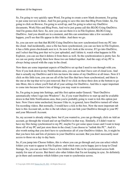So, I'm going to very quickly open Word, I'm going to create a new blank document, I'm going to put some test text in there. And I'm just going to save this into that Blog Posts folder. So, I'm going to click on Browse, I'm going to scroll up, and I'm going to select my OneDrive documents, Work Files and Blog Posts, And we're just gonna call this BLOG-Using OneDrive. And I'm gonna click Save. So, now you can see there it is in File Explorer, BLOG-Using OneDrive. And you should see in a moment, and this can sometimes take a few seconds to happen, you'll see that file appear in this folder. And there we go.

So, you can now see that that BLOG-Using OneDrive has now synchronized from my PC into the cloud. And incidentally, once a file has been synchronized, you can see here in File Explorer, it has a little green checkmark next to it. So now let's look at the reverse. If I go into OneDrive, and I select that blog post that we've just uploaded, and I delete it, watch what happens in File Explorer, you can see that it deletes it from there as well. So the synchronization is pretty fast. So we can see pretty clearly there how those two are linked together. And the copy of my PC is always being synced with the copy in the cloud.

Now there are some important aspects of OneDrive set up that I need to run through with you. Now if you look down in my Notifications area, you can see that I have sort of cloud icon. And that is actually my OneDrive and it lets me know the status of my OneDrive at all times. Now if I click on this little icon, you can see all of the last files that have been synchronized, and there is the one at the top that we've just removed. But if we click on these three dots at the bottom to go into More, this is where you'll find all of your settings for OneDrive. And this is super important to come into because there's lots of things you may want to customize.

So, I'm going to jump into Settings, and this first option under General; "Start OneDrive automatically when I sign into Windows". So, if you want OneDrive to start up and be available down in that little Notifications area, then you're probably going to want to tick this option just here. Now I have mine unchecked, because I like to, in general, have OneDrive turned off when I'm recording videos. But normally, I would have a tick in this box. Now the most important tab here is this Account tab, as this is the tab where you can link your OneDrive through to your PC and your Microsoft Account.

So, my account is already sitting there. but if you wanted to, you can go through, click on Add an account, go through the wizard and set up OneDrive in that way. Similarly, if I didn't want to have my files being synchronized to my PC, maybe I've got some space issues and I want to keep those off of my PC and just store them in the cloud, I can choose to "unlink this PC". And it's also worth noting that you don't have to synchronize all of your OneDrive folders. So, it might be that you have lots and lots of pictures in your OneDrive account. But you don't necessarily need access to those on a day to day basis.

So, if you jump into Choose folders, this is where you can go through and you can select which folders you want to appear in File Explorer, and which ones you're happy just to keep in Cloud Storage. So, you can see there I have a few folders that I like to be synchronized across both mainly for ease of access. But there's also other folders that I'm not keeping in sync. So definitely go in there and customize which folders you want to synchronize across.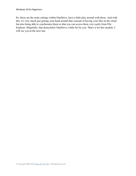So, those are the main settings within OneDrive, have a little play around with those. And with this, it's very much just getting your head around that concept of having your files in the cloud but also being able to synchronize them so that you can access them very easily from File Explorer. Hopefully, that demystifies OneDrive a little bit for you. That's it for this module. I will see you in the next one.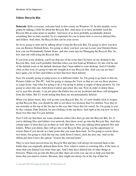## **Video: Recycle Bin**

**Deborah:** Hello everyone, welcome back to this course on Windows 10. In this module, we're gonna be talking a little bit about the Recycle Bin. And most of us have probably used the Recycle Bin at some point or another. And most of us have probably accidentally deleted something that we later needed. So it's important for you to know how to recover deleted files and folders. And often, the Recycle Bin can be your savior.

So we're going to start out by talking about Using the Recycle Bin, I'm going to show you how you can Restore Deleted Items. I'm going to show you how you can Locate your Deleted Items, how you can Permanently Delete Items, and also some tips for Managing the Recycle Bin. So, let's start out with using the Recycle Bin.

If you look at my desktop, you'll see that one of the icons that I do have on my desktop is the Recycle Bin. And you'll probably find that when you first load up Windows 10, this will be one of the default icons or the default shortcuts that's been added to your desktop. And if I double click on this icon, it's going to take me straight in to my Recycle Bin. And you can see that I have quite a lot of files and folders in here that have been deleted.

Now I'm actually going to jump across to a different folder. So, I'm going to go back to that my Pictures folder on This PC. And I'm going to change the View so that we can see these pictures to Large Icons. And what I'm going to do is I'm going to delete a couple of these pictures. So, I'm going to select this one, hold down Control and select this one. Now in order to delete these, we've seen this already, I can just press the Delete key on my keyboard and those will disappear from the folder. But it's worth noting that these are not permanently deleted.

When you delete items, they will go into your Recycle Bin. So, if I now double click to reopen up that Recycle Bin, you should be able to see those two pictures that I've deleted. Now they're not currently at the top of the list due to the way that I have this list sorted. So, I'm going to sort by this column, Date Deleted, by just clicking on the top there. And right at the top now we have those two files that I've just deleted.

Now I will say that there are some situations where files don't go into the Recycle Bin. So, if you're deleting files and folders over network, then those won't go into the Recycle Bin. And also certain types of item don't go in there as well. But here, we're just talking about general files and folders. When you delete, they will go into your Recycle Bin, giving you the opportunity to restore them if you decide at a later point that you want them back. So I'm going to restore these two items, I'm going to click the top one, hold down Control, click the next one. And on the ribbon just here I have the option; "restore the selected items".

They've now been moved from my Recycle Bin and they will always be restored back to the folder that you originally deleted them from. Now when it comes to restoring files, if the item or items that you deleted was some time ago. And I may have deleted lots of other things in between. When you go into the Recycle Bin, there are tools you can use to help you find the items that you need to restore. Because, they might not always be at the top of that list.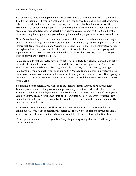Remember you have at the top here, the Search box to help you so you can search the Recycle Bin. So for example, if I type in Nepal, and click on the arrow, it's going to pull back everything related to Nepal. And remember that you also get that Search Tools Ribbon at the top. So if you're looking for something in particular, you have all of these refinement options. So you can search by Date Modified, you can search by Type, you can also search by Size. So, all of the usual searching tools apply when you're looking for something in particular in your Recycle Bin.

Now it's worth noting that you can also permanently delete items. So when you do your original delete, your item will go into the Recycle Bin. So let's use this blog as an example. If you want to restore that item, you can click on, "restore the selected item" in the ribbon. Alternatively, you can right-click and select restore. But if you delete it from the Recycle Bin, that's going to delete it permanently. And you can see as I've done that, I now get this message; "Are you sure you want to permanently delete this file"?

And once you do that, it's pretty difficult to get it back. In fact, it's virtually impossible to get it back. So, the Recycle Bin is kind of in the middle there as your safety net. Now I'm sure that I want to permanently delete this. So I'm going to click on Yes, and that is now gone forget. Another thing you also might want to utilize on this Manage Ribbon is this Empty Recycle Bin. So, as you continue to delete things, the number of items you have in this Recycle Bin is going to build up and that can sometimes build to quite a large size. And these items do take up space on your C drive.

So, it might be periodically, you want to go in, check the items that you have in your Recycle Bin, and just delete everything out of there permanently. And that is where this Empty Recycle Bin option comes in. It's going to get rid of everything and decrease the amount of space you're using on your C drive. Now if I just jump back to Pictures just here, if I want to permanently delete files straight away, so essentially, if I want to bypass that Recycle Bin and permanently delete a file, I can do that.

All I need to do is hold down the Shift key and press Delete. And you can see straightaway it's asking me; "Do you want to permanently delete this file"? Now I'm going to say no because I want to use that file later. But that is how you would do it by just adding in that Shift key.

That is pretty much it on the Recycle Bin. Very simple, very straightforward. I will see you in the next module.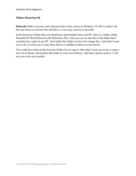### **Video: Exercise 04**

**Deborah:** Hello everyone, and welcome back to this course on Windows 10. We've made it all the way down to exercise four and this is a very easy exercise to describe.

In the Exercises Folder that you should have downloaded onto your PC, there is a folder called SimonSezIT-Win10-Exercise-04-Dolomites-Pics. And you can see that this is the folder that I currently have open on my PC. And within this folder we have five image files. And what I want you to do is I want you to copy those files to a suitable location on your device.

You could leave them in the Exercise Folder if you want to. But what I want you to do is create a new travel library and include that folder in your travel library. And that is pretty much it. I will see you in the next module.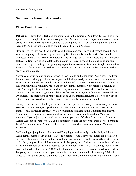## **Section 7 – Family Accounts**

#### **Video: Family Accounts**

**Deborah:** Hi guys, this is Deb and welcome back to this course on Windows 10. We're going to spend the next couple of modules looking at User Accounts. And in this particular module, we're going to concentrate on Family Accounts. So we're going to start out by taking a look at Family Accounts. And then we're going to walk through Children's Accounts.

Now I'm logged into my PC as myself. And if you remember, I have a Microsoft account. And what we're going to do is we're going to set up fictitious family members with fake email addresses in this demo. Now in Windows 10, the management of family users is a very powerful feature. So first, let's go in and take a look at our User Accounts. So I'm going to utilize this Search bar to go to Settings, I'm going to jump to the Accounts section, and straight down to this Family and Other users tab. And let's just make this window a little bit wider so we can easily see what we're doing.

So you can see up here in this top section, it says Family and other users. And it says; "add your families so everybody gets their own sign-in and desktop. And you can also help kids stay safe with appropriate websites, time limits, apps and games". And you can see underneath I have this plus symbol, which will allow me to add my first family member. Now before we actually do that, I'm going to click on this Learn More link just underneath. Now what this does is it takes us through to an important page that explains the features of setting up a family for use on Windows 10 devices. And there's lots of really, really good useful information here. So if you do want to set up a family on Windows 10, then this is a really, really great starting point.

So as you can see here, it talks you through the entire process of how you can actually log into your Microsoft account, set up what we call a Family group, and then add members of your family to that particular group. Now, it's worth noting just here in this little note box, it says; "your family group is a way to manage how members of your family use their Microsoft accounts. If you're just trying to add an account to your own PC, then C create a local user or Admin Account in Windows 10". So it's important to note the difference there between creating Local Accounts on your PC and creating a family group where everyone is using Microsoft Accounts.

So I'm going to jump back to Settings and I'm going to add a family member in by clicking on Add a family member. I'm going to say Add a member. And it says; "members can be children or adults. Children is safer when they have their own accounts". So that is exactly what I'm going to do. I'm going to add a child as a member. So I'm going to click down the bottom here and type in the email address of the child I want to add. And click on Next. It's now saying; "confirm that you want to add chloesweeney2000@outlook.com to your family group and this device". I do so I'm going to click Confirm. And you can see here it says you invited chloesweeney2000 to be added to your family group as a member. Until they accept the invitation from their email, they'll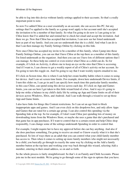be able to log into this device without family settings applied to their accounts. So that's a really important point to note.

So now I've added Chloe as a user essentially as an account, she can access this PC, but any settings that I've applied to the family as a group won't apply to her account until she's accepted the invitation to be a member of that family. So what I'm going to do now is I am going to let Chloe know that I've added her and remind her to check her email and accept the invitation. And there we go. Now that Chloe has accepted that invitation, I can now see her listed underneath here as part of my family. And you can see underneath that she is a child. And what I can do is that I can then manage my Family Settings Online by clicking on this link.

Now once Chloe has accepted my invite to be a member of this family, when I jump into those Family Settings Online, you can see that I have Chloe at the top there as a member of this family. I'm listed underneath as the organizer. And then you can see I have lots of different options that I can manage. So these help me control or even restrict what Chloe as a child can do. So for example, if I click on Activity, it allows me to keep an eye on the sites that Chloe is accessing. And if I want to, I can choose to get a weekly report of all of Chloe's activity on her account. So I'm going to turn this toggle on. And I'm going to say that I want weekly reports emailed to me.

If I click on Screen time, this is where I can help her create healthy habits when it comes to using her device. And I can set screen time limits. For example, down here underneath Device limits, if I turn this slider on, I can go in and I can specify how much time this particular family member, in this case Chloe, can spend using this device across each day. If I click on App and Games limits, you can see here I get taken to this little wizard kind of a box. And it says it's going to help me strike a balance in my child's daily life by setting up App and Game limits on all of their devices across Windows, Xbox, and Android. And I can walk through a wizard to set up those App and Game limits.

I also have links for things like Content restrictions. So I can set an age limit to block inappropriate apps and games. And I can even click on this dropdown box, and only allow Apps and Games that are rated for a certain age group. I can also control this spending via the Spending link at the top. So for example, if I don't want Chloe just spending lots of money on downloading items from the Windows Store, or maybe she uses a game that she's purchased and that game has in-app purchases. If I want to control that to a certain extent and help Chloe shop responsibly, I can change some of the settings underneath Spending in order to control that.

For example, I might require her to have my approval before she can buy anything. And also if she does purchase something, I'm going to receive an email so I know exactly what it is that she's purchased. So lots of ways there as an adult that you can control what your child family member has access to. Then when it comes to setting up more family members who might not necessarily be a child, you basically go through in exactly the same way by clicking on the Add a family member button at the top here and working your way back through this wizard, selecting Add a member, entering in their email address, so on and so forth.

So the whole process is fairly straightforward. So that's it on Family and Child Accounts. Please join me in the next module. We're going to go through some of the sign-in options that you have.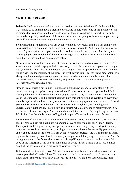## **Video: Sign-in Options**

**Deborah:** Hello everyone, and welcome back to this course on Windows 10. In this module, we're going to be taking a look at sign-in options, and in particular some of the alternative signin options that you have. And there's quite a few of them in Windows 10, something to suite everybody, hopefully. And some of the other options that I'm going to show you are particularly useful if you aren't particularly good at remembering passwords.

So the first thing I'm going to do is I'm going to jump into Accounts again. So I'm going to go back to Settings by searching for it, we're going to select Accounts. And one of the options we have is Sign-in options. And you can see here we have a whole host of them. And I'm by no means going to go through all of them. But we are going to look at a few of the more unusual ones that you may not have come across before.

Now, most people are fairly familiar with signing in with some kind of password. So if you're somebody who is fairly happy with that process, you have the option to set a password to signinto your device. You also have the option of setting up a Pin as opposed to a password and the pin is what I use the majority of the time. And I will say up until I got my brand new laptop, I've always used a pin to sign-into my laptop, because I tend to remember numbers more than I remember letters. I don't know why that is, it's just how I work. So you can set a password. Alternatively, you can have a pin.

Now as I said, I used a pin up until I purchased a brand new laptop. Because along with my brand new laptop, an updated copy of Windows 10 came some additional options that I find much quicker and easier to use when I'm trying to sign-in to my device. So what I now tend to use is the Windows Hello Fingerprint scanner. Now this option won't be available to everybody, it really depends if you have a fairly new device that has a fingerprint scanner area on it. Now, if you're not sure what I mean by that, if I was to look at my keyboard, as I'm doing now, underneath my number pad, I have a tiny little square, which allows me to rest my finger on it, the device will scan my finger. And if it matches what it has stored, it's going to log me into my PC. So it makes the whole process of logging in super-efficient and super quick for me.

So for those of you that do have a device that's capable of doing that, let me just show you very quickly how you can set that up, it's super simple. We're going to click on Windows Hello, Fingerprint. And I'm going to say set up. So you can see here it says; "say goodbye to entering complex passwords and start using your fingerprint to unlock your device, verify your identity and even buy things in the store". So I'm going to click Get Started. And it's asking me to verify my identity currently. So as I said, I currently use a pin, which I'm going to type in now. And it's telling me to touch the fingerprint sensor. And I keep lifting and touching until it takes a full copy of my fingerprint. And you can sometimes be doing this for a minute or so just to make sure that the device picks up a full copy of your fingerprint.

But once it does, it's going to say; "all set, you can use your fingerprint next time you want to unlock your device", and click on Close. And that is it. So now when I log in, I just touch my finger on the finger pad and I'm away. It logs me into my PC and I can start working, super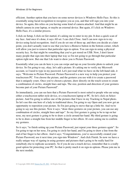efficient. Another option that you have on some newer devices is Windows Hello Face. So this is essentially using facial recognition to recognize you as you, and that will sign you into your device. So again, this relies on you having some kind of camera attached. And that might be an inbuilt camera in your laptop, or maybe an external device. But again, if I click on Windows Hello Face, it's a similar process.

I click on Setup, I click on Get started, it's asking me to enter in my pin. It does a quick scan of my face. And once it's done, it says All set. I can click Close. And I can now sign-in to my device using facial recognition. And if you do set one of these up, and then you decide at a later point, you don't actually want to use that you have a Remove button in the bottom corner, which will allow you just to remove that particular sign-in option. You can sign-in using a physical security key. So that might be something that you've got stored on USB. Now, I don't know many people that sign-into their laptop that way so I'm not going to go through that particular option right now. But one that I do want to show you is Picture Password.

Essentially what you can do here is you can swipe and tap on your favorite photo to unlock your device. So I'm going to say, okay, let's add a picture. It's asking me to verify my Microsoft account, so I need to type in my password. Let's just read what we have on the left-hand side, it says, "Welcome to Picture Password. Picture Password is a new way to help you protect your touchscreen PC. You choose the picture, and the gestures you use with it to create a password that is uniquely yours. Once you've chosen a picture, draw directly on the touch screen to create a combination of circles, straight lines and taps. The size, position and direction of your gestures become part of your Picture Password".

So immediately, you can see here that a Picture Password is most suited to people who are using either a touchscreen tablet style device, or a touchscreen laptop or PC. So let's click on Select picture. And I'm going to utilize one of the pictures that I have in my Tracking in Nepal photo. So let's use this one here of a lady in traditional dress, I'm going to say Open and you now get an opportunity to reposition your picture. So I'm just going to move that up a little bit. And we're going to say use this picture. Now it says; "draw three gestures on your picture, you can use any combination of circles, straight lines and taps". So my first gesture is going to be to tap on her nose, my next gesture is going to be to draw a circle around her hand. My third gesture is going to be to draw a straight line from her middle finger to her elbow. It's now asking me to confirm my gestures.

So it says; "to finish setting up your Picture Password, just repeat your three gestures again". So I'm going to tap on her nose, I'm going to circle her hand, and I'm going to draw a line from the end of her finger to her elbow. And it says; "Congratulations, you've successfully created your Picture Password, use it next time you sign-into Windows". And click Finish. So now we have a really unique way of signing in using gestures and pictures that's going to be really hard for somebody else to replicate accurately. So if you do use a touch device, remember that is a really good option for protecting your PC. So that is pretty much it on sign-in options. Please join me in the next module.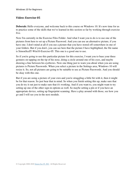## **Video: Exercise 05**

**Deborah:** Hello everyone, and welcome back to this course on Windows 10. It's now time for us to practice some of the skills that we've learned in this section so far by working through exercise five.

Now I'm currently in the Exercise Files Folder. And what I want you to do is to use one of the pictures from here to set up a Picture Password. And you can use an alternative picture, if you have one. I don't mind at all if you use a picture that you have stored off somewhere in one of your folders. But if you don't, you can see here that the picture I have highlighted, the file name is SimonSezIT-Win10-Exercise-05. This one is a good one to use.

So if you're going to use this particular picture for this exercise, I want you to base your three gestures on tapping on the tip of his nose, doing a circle around one of his eyes, and maybe drawing a line between his eyebrows. Now one thing just to warn you about when you are using pictures is Picture Passwords. When you select a picture in the Settings area, Windows 10 will resize it. So, not all pictures are going to be suitable to use as Picture Passwords. And you should be okay with this one.

But if you are using a picture of your own and you're struggling a little bit with it, then it might be for that reason. So just bear that in mind. So when you finish setting this up, make sure that you do try it out just to make sure that it's working. And if you want to, you might want to try setting up one of the other sign-in options as well. So maybe setting a pin or if you have an appropriate device, setting up fingerprint scanning. Have a play around with those, see how you go and I will see you in the next module.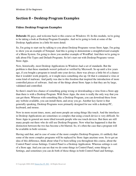# **Section 8 – Desktop Program Examples**

## **Video: Desktop Program Examples**

**Deborah:** Hi guys, and welcome back to this course on Windows 10. In this module, we're going to be taking a look at Desktop Program Examples. And we're going to look at some of the Desktop Applications in a little bit more detail.

So, I'm going to start out by talking to you about Desktop Programs versus Store Apps. I'm going to show you an example of Notepad. And this is going to demonstrate a straightforward example of a Menu System. I'm going to show you another example of WordPad. And then we're going to talk about File Types and Default Programs. So let's start out with Desktop Programs versus Store Apps.

Now, historically, most Desktop Applications in Windows had a set of standards. But the problem is that these standards weren't policed or verified by Microsoft. So up until a few years ago, if you bought a program to install onto your device, there was always a little bit of a chance that it wouldn't work properly, or it might mess something else up. Or that it contained a virus or some kind of malware. And partly was due to this freedom that inspired the introduction of more controlled pieces of software. And one of the things about Store Apps is that they are by large, validated and controlled.

So there's much less chance of something going wrong or downloading a virus from a Store app than there is with a Desktop Program. With Store Apps, the store is really the only way that you can get them. Whereas with something like a Desktop Program, you can download these from any website available, you can install them, and away you go. Another key factor is that generally speaking, Desktop Programs were primarily designed for use with a desktop PC, keyboard, and mouse.

Now in more recent times, more, and more people are using things like touch. And the interfaces in Desktop Applications are sometimes so complex that using a touch device is very difficult. So Store Apps in general are more tilted towards people who use touch devices. But there are still many people out there who do still use Desktop Programs. Now what has happened is that the distinction between the two has become a bit blurred. So, it's often the case that a program will be available in both versions.

Having said that, and in case of some of the more complex Desktop Programs, it's unlikely that some of the more complex programs will be replaced by Store Apps anytime soon. So to get an idea of this difference, think about what I've been telling you throughout this course, about the Control Panel versus Settings. Control Panel is a Desktop Application. Whereas settings is sort of a Store app. And you can see that we do some things in Control Panel, some things in Settings, and sometimes you can do both of those things in both Control Panel and Settings.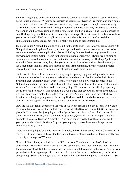So what I'm going to do in this module is to demo some of the main features of each. And we're going to use a couple of Windows accessories as examples of Desktop Programs, and show some of the main features. Now Windows accessories, in general is a good example, as traditionally, the Windows accessories were all Desktop Programs. Whereas now, they're starting to become Store Apps. And a good example of that is something like the Calculator. The Calculator used to be a Desktop Program. But now, it is essentially a Store app. So what I want to do first is to show you an example of a Desktop Application that has a Menu System. And we've used this application in other modules, but it's just a really good one to demonstrate this.

I'm going to use Notepad, I'm going to click it in the list to open it up. And you can see here with Notepad, it uses a dropdown Menu System, as opposed to that new ribbon structure that we've seen in some of our other applications. Some of the key features Desktop apps generally have our windows control buttons. So up in the top right-hand corner, you'll always see a minimize button, a maximize button, and a close button that is standard across your Desktop Applications. And with these menu options, they give you access to various other options. So whenever you see a menu item that has three dots after it like this Print command, the three dots in general means that it's going to invoke some kind of dialogue to do more things.

So if I was to click on Print, you can see it's going to open up my print dialog ready for me to make my printer selections, my setting selections, and then print. So the idea behind a Menu System is that you simply select what it is that you want to do. Now, when it comes to this Notepad application, the main part of the application is really just a sheet of paper that you can write on. So I can click in here, and I can start typing. If I want to save this file, I go up to my Menu System, I select File, I go down to Save As. Notice that Save As has those three dots. So it's going to invoke a dialog box, in this case, the Save As dialog box. I can then select my location. And I'm just going to save this to my Desktop. And then at the bottom, we have some controls, we can type in our file name, and we can also select our file type.

Now the file type really depends on the type of file you're creating. So any file that you want to save from Notepad is essentially a text file. Hence why the Save As type is .txt. So I'm going to give this file a name, I'm just going to call it Quick Fox, and click on Save. And because I've saved that to my Desktop, you'll see it appear just here, Quick Fox.txt. So Notepad is a great example of a classic Desktop Application. And once you're used to how these menus work, if you open another classic Desktop Program, you're going to know how to do things because everything is very similar.

There's always going to be a File menu for example, there's always going to be a Close button in the top right-hand corner. It has a standard, and it has consistency. And consistency is really one of the big advantages of Windows.

Now with Store Apps, it's a little bit of a different story. There's not so much of a level of consistency. Developers from all over the world can create Store Apps and make them available for you to download. But there's no consistency amongst all developers in the world. And so, you get variations from app to app. So let's now look at a similar example to Notepad, but this time using an app. So for this, I'm going to use an app called WordPad. I'm going to search for it. So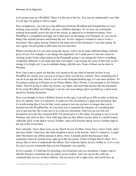we're gonna type in a WordPad. There it is the top of the list. You can see underneath it says that it is an app, I'm going to click to open.

Now straightaway, you can see a big difference between WordPad and Notepad that we were looking at previously. WordPad, you uses a Ribbon Interface. So we have our commands running horizontally across the top of the screen, as opposed to in dropdown menus. Now WordPad is a straightforward app, but it does have an advantage over Notepad. As you can do things like include pictures and format the text. So let's suppose I wanted to start to write a document. Once again, having clicked in the main area of the document, I can start typing. So once again, I'm just going to add some test text into here.

What I can then do is I can select using the mouse. And I can do many different things with this piece of text. For example, I can change the alignment. So I could move it into the center by clicking on the Center align button in the Paragraph group, I can change the font to something completely different. I can make that font a lot larger, I can change the color of that font, so let's change it to bright red. I can do multiple things with this text. None of those can be done in Notepad.

Now I just want to point out that this isn't meant to be any kind of tutorial on how to use WordPad. It's merely just a lesson in trying to show you the key controls. Now something else I can do in an app like this, which I can't do in the Notepad desktop app, is I can insert pictures. So I'm going to jump up to Picture on my Home ribbon, select Picture, I can navigate to my Pictures folder. And I'm going to select my picture, say Open, and insert that picture into the document. So by using WordPad over Notepad, I can do a lot more things and I can build up a much more attractive looking document.

Now even though we have a Ribbon System in this app, I can still go to File in order to find my Save As options. Now if I wanted to, I could save this document as a plain text document. But it's worth noting that if you do that, you're going to lose any pictures or images that you've inserted into the WordPad file. So your best way to maintain the integrity of everything that you've put into this file is just save it as a rich text document. And you can see rich text documents have the file extension RTF. I'm gonna give it a file name, I'm going to save it to my Desktop, and click on Save. Now with apps that use this ribbon system, there is a useful feature called the QAT or the Quick Access Toolbar. And you'll find the Quick Access Toolbar right at the top of the screen here.

Now currently, I have three icons on my Quick Access Toolbar; I have Save, I have Undo, and I also have Redo. I then have this little dropdown arrow at the bottom. And if I wanted to, I could show this below my ribbon instead of above. Now, I actually prefer that because I find sometimes when it's tucked away right up in the top corner, I kind of forget that it's there. So I always like to move it underneath the ribbon. Now what the Quick Access toolbar is, is it's a way for you to access commands that you use frequently very quickly.

So for example, if I find that I'm inserting a lot of pictures into my document, I might want to add this Pictures command onto my quick access toolbar. And you can do this with any command that you see on these ribbons. All you need to do is right-click, and you'll have an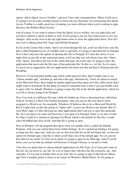option "add to Quick Access Toolbar", and now I have that command there. When I click on it, it's going to let me select another picture to insert into my document. So customizing this Quick Access Toolbar is a really good way of making you more efficient when you're working in apps that have this Ribbon Menu System.

And of course, if you want to remove from the Quick Access toolbar, you can right-click and you have a Remove option in there as well. So I'm going to use my Save button just to save my changes, click on the cross in the top right-hand corner to close the application down. Now let's move on to talking about File Types and Default Programs.

So I'm in the Course Files folder. And if you look through this list, you'll see that I have one file, that's called Notepad test.txt. If I double click to open this, it's going to open that file in Notepad. Now I don't only have the option of opening this file in Notepad. If I close this down, if you right-click on any file in the contextual menu, you'll see that you will always have this "Open with" option. And above the line in this menu that pops out to the side, it's going to show the application that most suits the file type of that particular file. So this is a .txt file. So of course, it's given me as suggestions, the two applications that most suit that and that is Notepad and also WordPad.

However, if I downloaded another app which could open text files, then I might want to say "choose another app", and then go and select that app. Alternatively, I have an option to search in the Microsoft Store, there might be another application that opens text files really nicely that I might want to download. So the thing you need to remember here is that if you just double click to open a file, by default, Windows is going to open that file in the default application, which for a txt file is always going to be Notepad.

Now if we look at a different file type a little bit further up, I have a document here called Inca Trail.rtf. So that is a Rich Text Format document. And you can see the icon that it's been assigned is a Word icon. So essentially, Windows 10 believes this to be a Microsoft Word file. But if I right-click on this file and go to "Open with", it gives me Word as my default. But if I click More Apps, it's then showing me other applications that I can use to open this particular file. So I can open it in some web browsers, I can open it in Notepad, Paint, so on and so forth. So what I could do is instead of opening it in Word, which is the default for this file, I could select WordPad and click on Ok. And that file is going to open.

Now in Windows 10, the program that opens when you double click is called the Default Program. And you can control these from within Settings. So I've opened up Settings, I'm going to jump into this Apps area. And you can see that from that list on the left-hand side, we have an option for Default apps. And this is where you'll find a list of the default apps. So you can see here that for my email, if I click on an email, it's going to open in my Mail app. And if I scroll down, you can see that my default web browser is Google Chrome, so on and so forth.

I also have an option here to choose default applications by File Type. So if I just pick some in this list, let's go down to .aac file. So a lot of music files will have the file extension .aac. And currently, if I was just to double click on an AAC file, it's going to open in the Groove Music app. Now I actually prefer to listen to my music on Windows Media Player. So I'm going to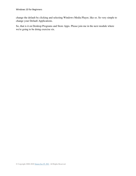change the default by clicking and selecting Windows Media Player, like so. So very simple to change your Default Applications.

So, that is it on Desktop Programs and Store Apps. Please join me in the next module where we're going to be doing exercise six.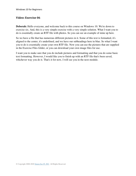## **Video: Exercise 06**

**Deborah:** Hello everyone, and welcome back to this course on Windows 10. We're down to exercise six. And, this is a very simple exercise with a very simple solution. What I want you to do is essentially create an RTF file with photos. So you can see an example of mine up here.

So we have a file that has numerous different pictures in it. Some of this text is formatted, it's aligned to the center, it's underlined, and we have our subheadings here in blue. So what I want you to do is essentially create your own RTF file. Now you can use the pictures that are supplied in the Exercise Files folder, or you can download your own image files for use.

I want you to make sure that you do include pictures and formatting and that you do some basic text formatting. However, I would like you to finish up with an RTF file that's been saved, whichever way you do it. That's it for now, I will see you in the next module.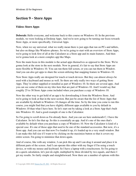## **Section 9 – Store Apps**

### **Video: Store Apps**

**Deborah:** Hello everyone, and welcome back to this course on Windows 10. In the previous module, we were looking at Desktop Apps. And we're now going to be turning our focus towards Store Apps, or more specifically, Universal Apps.

Now, when we say universal, what we really mean there is just apps that run on PCs and tablets, but also on things like Windows phones. So we're going to start with an overview of Store Apps, we're going to look first of all at the Calculator as a Store app and its main features. And then we're gonna look at a more complex app like Maps.

Now the main focus in this module is the actual apps themselves as opposed to the Store. We're gonna look at the store in the next module. Now in general, it's fair to say that Store Apps are more flexible in Windows 10. You can run them full screen, or you can run them in Window. And you can also get apps to share the screen utilizing that snapping feature in Windows 10.

Now Store Apps really are designed for touch or touch devices. But they can almost always be used with a keyboard and mouse as well. So there are only really two ways of getting Store Apps. They're either supplied or installed as part of Windows 10. So there are several apps. And you can see some of them on my tiles here that are part of Windows 10. And I would say that roughly 25 to 30 Store Apps come included when you purchase a copy of Windows 10.

Now the other way to get hold of an app is by downloading it from the Windows Store. And we're going to look at that in the next section. But just be aware that the list of Store Apps that are available by default in Windows 10 changes all the time. So by the time you come to run this course, you might find that you have slightly different apps available to you by default in Windows 10 than what I have here. So let's start out by taking a look at a Store App that's built into Windows 10. And a good example of one is the Calculator.

So I'm going to scroll down as I'm already there. And you can see here underneath C, I have the Calculator. So let's fire that up. So this is essentially an app. And it's one of the ones that's available by default when you purchase a copy of Windows 10. Now the Calculator is kind of a special case. It's one of those apps that used to be one of the standard accessories. But now, it's a Store app. And you can see that now I've loaded it up, it's loaded up in a very small window. But I can make this full size if I want to by clicking on the maximize button so that it covers my entire screen. I'm going to minimize that down again.

And of course, like with any window, I can pick this up and I can drag it around and place it in different parts of the screen. And I can operate this either with my finger if I'm using a touch device, or with my mouse and keyboard. So I have a laptop with a touchscreen. So I'm going to do a quick calculation, let's just do eight, multiplied by three divided by two equals, and there I get my results. So fairly simple and straightforward. Now there are a number of options with this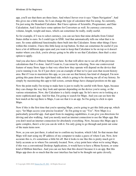app, you'll see that there are three lines. And when I hover over it says "Open Navigation". And this gives me a little menu. So I can change the type of calculator that I'm using. So currently, I'm just using the Standard Calculator. But I have options of Scientific, Programmer, and Date Calculation. And I also have some options for Converters as well. So currency conversion, volume, length, weight and mass, which can sometimes be really, really useful.

So for example, if I was to select currency, you can see here that mine defaults from United States dollar to euro. So I could type in \$500. And that automatically tells me what that is in euro. So some additional functionality there built into the Calculator. Some other things I have within this window, I have this little keep on top button. So that can sometimes be useful if you have a lot of different apps open and you want to keep that Calculator to be on top so it doesn't matter where you click, you're always going to be able to see that Calculator, then that's a nice option to apply.

And you also have a History button just here. So that will allow me to see all of the previous calculations that I've done. And if I want to, I can rerun by selecting. Now one controversial feature of many Store Apps is that very often how they operate will depend on the device that you're running it on. So if I just show you an example of that we've just seen that recent history area. But if I was to maximize this app, so you can see that history has kind of changed, I'm now getting this pane down the right-hand side, which is going to be showing me all of my history. So simply by maximizing this app to full screen, certain things have changed position on the app.

Now the point really I'm trying to make here is just to really be careful with Store Apps, because they can change the way they look and operate depending on the device you're using, or the various orientations. Now, the Calculator is a fairly simple app. So let's move on to looking at a more sophisticated app. And for that, I'm going to search for Maps. And you can see here the best match at the top there is Maps, I can see that it is an app. So I'm going to click to open Maps.

Now if this is the first time that you're opening Maps, you're going to get this little pop up, which says; "let Maps access your precise location". So I'm going to say "Yes". Now Maps is a particularly powerful app. And apart from its mapping capabilities, it can give you directions for driving and also walking. And you mostly need an internet connection to use the Maps app. But you don't need an internet connection for absolutely everything. Now, because this Maps app is quite complex, there's a lot you can do with it. I'm only going to go through and point out some of the main items now.

Now, as you saw just there, it asked me to confirm my location, which I did. So that means that Maps will start using my IP address of my computer to make a guess of where I am. Now, how accurate this is, it's sometimes a little bit off. But it looks to me like this is pretty much got it fairly accurate as to where I'm currently located. Now, a key point here when we're using Maps, if this was a conventional Desktop Applications, it would have to have a Menu System, or some kind of Ribbon Interface. And you can see here that this doesn't because it is an app. But this Maps app does do so much that the user interface has had to be thought out quite cleverly.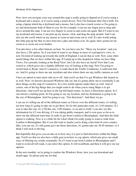Now, how you navigate your way around this map is really going to depend on if you're using a keyboard and a mouse, or if you're using a touch device. Now I'm fortunate that I have both, I'm using a laptop which has a keyboard and a mouse, but it also has a touch screen so I'm going to try and demonstrate both of them to you. So for example, I can use my finger just to drag and move around this map. I can use two fingers to zoom in and zoom out again. But if I want to use my keyboard and mouse, I can pick up my mouse, click, and drag the map around. And I can also use the scroll wheel on my mouse to zoom in and zoom out as well. It's also worth noting this little pop up bar that we have here has a plus and minus icon. So again, that's gonna let me zoom in or zoom out even further.

You also have a few other buttons on here. So you have one for, "Show my location", and you also have a Tilt option. So if you kind of want to see things in more of a perspective view, so now I'm kind of looking up towards the north of England, I can do that as well. Now some other useful things that we have within this app. If I jump up to this dropdown where we have Map Views, I'm currently looking at the Road View, but I do also have an Aerial View that I can switch to, which gives me a slightly different way of looking at this map. Now I'm going to switch back to Road. And if I wanted to, I could check the Traffic Conditions, I could turn that on. And it's going to show me any incidents and also where there are any traffic cameras as well.

I have an option to turn street side on or off. And you'll see that I've got Windows Ink turned on as well. Now, we haven't discussed Windows Ink yet, but it's gonna allow me to essentially I can draw things on this map if I wanted to. So a few useful options under there as well. And of course, one of the big things that you might want to do when you're using Maps is to get directions. And you'll see up here in the top left-hand corner, we have a Directions option. So I can choose a starting point. So I'm going to say my location, and my destination is going to be the city of Birmingham. And I'm going to say, "Get directions". And there we go.

I can see it's telling me all of the different routes as I hover over the different routes, it's telling me how long it's going to take me to get there. So for this particular route, it's 2:44 minutes. If I was to take this one, it's 2:50 this one, 3:09 minutes, so on and so forth. I can also see this information for if I was driving, if I was taking public transport, and it even goes so far as to show me the different train lines in order to get from London to Birmingham. And then the final option is walking. Now it is a little bit far I don't think I'm really going to want to walk from London to Birmingham. But if you did want to maybe you're doing some kind of cross country hike, you can see, it's still gonna give me those directions, it's gonna take me 38:45 minutes, so I think I will stick to driving.

But hopefully that gives you an idea as to how easy it is just to find directions within the Maps app. You'll see that we also have a little gear icon here or cog option, which just gives me small ways of filtering my results essentially. So if I want to get from London to Birmingham and I want to avoid all toll roads, I can select this option. It will recalibrate and then it will give me my options.

In the next module, we're going to explore the Windows Store, how you can download and install apps. So please join me for that.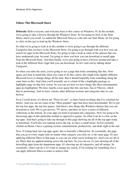#### **Video: The Microsoft Store**

**Deborah:** Hello everyone, and welcome back to this course on Windows 10. In this module, we're going to take a browse through the Windows Store. So I'm going to click on the Start Menu, and if you recall, we added the Microsoft Store as a tile into our Start Menu. So I'm going to click on this just to load up the Windows Store.

So what we're going to look at in this module is we're going to go through the different Categories that you have in the Microsoft Store. I'm going to go through with you how you can search for apps in the Microsoft Store, I'm going to take a look at some of the options that you have underneath your Account. I'm going to show you how you can download or install apps from the Microsoft Store. And then finally, we're just going to have a browse around and take a look at the different Store Apps that you can download. So let's start out by talking about Categories.

So when you enter the store, you're going to see a page that looks something like this. Now again, just bear in mind that when you come to do this course, this might look slightly different. Microsoft loves to change things all the time. But it should hopefully look something along the same lines as this. And what you'll normally see is a kind of like a highlights package or highlights page on that first screen. So you can see here we have things like Best entertainment apps are highlighted. We have maybe a new game like this one here, Sea of Thieves, which they're promoting. And we have various other different sections and categories that we can browse.

So as I scroll down, it's shown me "Picks for me", so that's based on things that I've searched for before. And you can see some of the "Most popular" apps that have been downloaded. We've got the top free apps, the top free games. And there's also things like Windows themes that you can download as well. We've got movies, TV shows, and then we have a series of different collections at the bottom. So your apps are kind of grouped into categories. Now I'm going to be discussing apps in this particular module as opposed to games. So what I can do is click on the top apps. And that's going to take me through to this page showing me all of the top apps ready to download. You'll also see running across the top, we have a small menu. So I'm currently clicked on Home, I have a gaming section, entertainment, productivity, and deals right at the end.

Now, if I jump back into top apps again, this is basically a filtered list. So essentially, the page that you go to every single time no matter what category you click on, is the same page. It's just applying different filters to that page so you can see what you're looking for. And I can see all of my filters that are applied running across the top here. So you can see, it's just showing all of the bestselling apps from the department apps. It's showing me all categories, and all ratings. So essentially, what I can do is if I want to change my search, if I'm looking for something else, I can apply different filters in order to achieve that.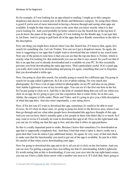So for example, if I was looking for an app related to reading, I might go to this category dropdown and choose to search just in the Books and Reference category. So using these filters is good if you're sort of more interested in having a browse through and seeing what apps are available. It might be that when you come to the store that you know exactly what it is that you're looking for. And you'd probably be better suited to use the Search bar at the top here if you do know the name of the app. So again, if I was looking for the Kindle app, I can type that in, hit Enter. And it's going to pull back all of the apps that have Kindle somewhere in the title or the description.

Now one thing you might have noticed when I use this Search bar, if I remove that, again, let's search for something else. Let's do Twitter. You can see I get a dropdown menu. So again, the store is suggesting to me apps that I might want to download that are related to my search term. Now one of the points to note here is that you can see that the top one there is Twitter, which is exactly what I'm looking for. But underneath you can see that it says owned. So you'll see that if this is an app that you've already downloaded and is available on your PC. So this essentially prevents you from downloading the same app twice. That's particularly useful. If it's a paid app, you really don't want to be downloading and paying for again, something that you've forgotten that you downloaded a while ago.

Now, I'm going to clear this search, I'm actually going to search for a different app, I'm going to search for an app called Lightroom. So I do a lot of photo editing, I'm very much into photography. So I have a lot of apps related to photography on my PC and also on my phone. And Adobe Lightroom is one of my favorite apps. You can see it's the first one here in the list. So I'm just going to click on it. And this is the kind of standard thing that you will see when you click on an app. So it's going to give you the corporation that it comes from. So in this case, Adobe, the category it falls under, Photo and Video, and it's going to give you a little description of what that app does. And also more importantly, a star rating above.

Now, if I'm not sure if I want to download this app, sometimes it's useful to be able to read reviews. So if I click on these stars, it's going to jump me down to the Reviews area, where I can then go through and see what other people have downloaded this app have thought of this app. And you can see here, there's actually quite a few people in there who didn't like it so much. So I may want to revise if I actually do want to download this app at all. Over on the right-hand side, you can see it's telling me that this app is free, and also that it offers in-app purchases.

So this is a really important point to make. Because I know that sometimes I've downloaded an app that is supposedly completely free. And then I find that when I open it, there's really not a great deal that I can do unless I pay additional money. So again, be very wary of that and check to make sure that the functionality you need to get out of the app is available. So just be a little bit careful of that when you're downloading your apps.

Now I'm going to download this app and to do it, all you do is click on the Get button. And you can see now I'm getting a progress bars was telling me that it's downloading Adobe Lightroom. It's worth noting that as this is downloading, if you cast your eyes into the top right-hand corner, you can see I have a little down arrow with a number one next to it. If I click that, that's going to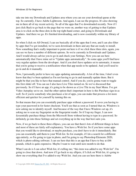take me into my Downloads and Updates area where you can see your download queue at the top. So currently, I have Adobe Lightroom. And again, I can see the progress. It's also showing me in there all of my recent activity. So all of the apps that I've downloaded recently. Now if I just click Back to go back to the page that we were on, another way of getting to that Updates area is to click on the three dots in the top right-hand corner, and going to Downloads and Updates. And there we go. It's finished downloading, and is now essentially within my library of apps.

So when I click on All Owned, I can see basically all of the apps that I own, and I can also filter by apps that I've got installed, we've seen downloads in there and any that are ready to install. Now something that's really important to point out here is if we click these three dots, again, you can see we have a number of different options. So we're currently in Downloads and Updates. And I would always advise you to go in and check your Settings. Now you can see here automatically that I have mine set to "Update apps automatically". So some apps you'll find have very regular updates from the developer. And if you don't have updates set to automatic, it means that you're going to receive a notification when that app needs to be updated. And you'll need to go in and do it manually.

Now, I personally prefer to have my apps updating automatically. A lot of the time, I don't even know that they've been updated as I'm not having to go in and manually update them. But it might be that you like to have that manual control. And if you do, you're gonna want to toggle this first slider off. You can see I also have Live Tiles turned on. So we've discussed that previously. So if I have an app, it's going to be shown as a Live Tile in my Start Menu. I've got Video Autoplay set to on. And the other option that's important in here is this Purchase sign-in as well. So if you're somebody who purchases a lot of apps, you can make that process a lot more efficient and quicker for yourself by turning this on.

So that means that you can essentially purchase apps without a password. It saves you having to type your password in for faster checkout. You'll see that as soon as I turned that on, Windows is now asking me to identify myself. And because of the way that I have Windows set up, it's asking me to scan my fingerprint on the fingerprint reader. So if I tap my finger, I can now £essentially purchase things from the Microsoft Store without having to type in a password. So definitely go into those Settings and set everything up in the way that best suits you.

Now, if we go back to these three ellipses, you can see that there's lots of different things in here and most of these are fairly self-explanatory. You have a Wish list. So if you have some apps that you would like to download, or maybe purchase, you don't have to do it immediately. But you can essentially add them to your Wish list. So for example, if I do a search for a different app entirely, so I'm going to type in photo, and I'm going to say Photoshop Elements 2020, which is photo editing software. I can see here that this is an app that I have to buy at £66 pounds, which is quite expensive. Maybe I want to wait until next month to do that.

What I can do is I can select Wish list, it's telling me; "this item was added to my Wish list". I'm going to close that down. And now if I go back to my ellipsis, if I click on Wish list, it's going to show me everything that I've added to my Wish list. And you can see here there is Adobe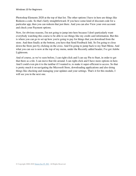Photoshop Elements 2020 at the top of that list. The other options I have in here are things like Redeem a code. So that's fairly straightforward. If you have some kind of discount code for a particular app, then you can redeem that just there. And you can also View your own account and check your Payment options.

Now, for obvious reasons, I'm not going to jump into here because I don't particularly want everybody watching this course to be able to see things like my credit card information. But this is where you can go to set up how you're going to pay for things that you download from the store. And then finally at the bottom, you have that Send Feedback link. So I'm going to close down the Store just by clicking on the cross. And I'm going to jump back to my Start Menu. And what you can see is now at the top of my menu, under the Recently added header, I've got Adobe Lightroom.

And of course, as we've seen before, I can right-click and I can say Pin to Start, in order to get that there as a tile. I can move that tile around. I can right-click and I have more options in here. And I could even pin it to the taskbar if I wanted to, to make it super-efficient to access. So that is pretty much it on navigating the Microsoft Store, downloading applications and also doing things like checking and managing your updates and your settings. That's it for this module, I will see you in the next one.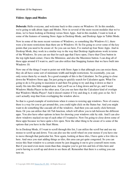## **Video: Apps and Modes**

**Deborah:** Hello everyone, and welcome back to this course on Windows 10. In this module, we're going to talk about Apps and Modes. Now in several of the more recent modules that we've done, we've been looking at Desktop versus Store Apps. And in this module, I want to look at some of the features of running Store Apps in Desktop Mode, and Desktop Apps in Tablet Mode.

Now in some of the more recent versions of Windows, so something like Windows 8.1, there were a lot more restrictions than there are in Windows 10. So I'm going to cover some of the key points that you need to be aware of. So you can see here, I've started up four Store Apps. And in Desktop Mode, they work in a similar way to the way that Desktop Applications work in terms of the Windows. So you can see that for each app that I have open, I have that Close button in the top right-hand corner, I have the Minimize, and also the Maximize button. I can drag all of these apps around if I want to, and I can also utilize that Snapping feature that we have built into Windows 10.

Now one of the things I want to point out with Store Apps is that although you can resize them, they do all have some sort of minimum width and height restrictions. So essentially, you can only resize them by so much. So a good example of this is the Calculator. So I'm going to close down the Windows Store app, I'm just going to quickly search for Calculator again. What I'm going to do is I'm going to maximize it and then I'm going to try and drag it down so that it neatly fits into this little snapped area. And you'll see as I drag down and let go, and I want Windows Media Player in the other area. Can you see here that the Calculator kind of overlaps that Windows Media Player? And it doesn't matter if I try and drag it, it only goes so far. So I can't actually stop that from overlapping the window above.

So that is a good example of restrictions when it comes to resizing app windows. Now of course, there is a way for you to get around this, you could right-click on the Status bar. And you might want to do something like cascade all of the windows. And then you can easily click between them. Or you can utilize that Alt Tab function, which will allow you to tab between the different apps. You also have other options in here for showing your windows side by side. And I can also show windows stacked on top of each other if I wanted to. Now I'm going to close down some of these apps because we have quite a few open. Now the other thing to be aware of is some of the options that you have in the Start Menu.

So in Desktop Mode, if I want to scroll through this list, I can utilize the scroll bar and use my mouse to scroll up and down. You can also use the scroll wheel on your mouse if you have one to move through that particular list. Now again, looking at these tiles, I have quite a few tiles in here. And once you start adding things as tiles, this area can get quite congested. So you can resize this Start window to a certain extent by just dragging it out to give yourself more room. But if you need even more room than that, imagine you've got lots and lots of tiles here and you're having to scroll up and down to see them all. Remember that there is a setting you can turn on.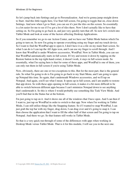So let's jump back into Settings and go to Personalization. And we're gonna jump straight down to Start. And this little toggle here, Use Start full screen, I'm going to toggle that on, close down Settings. And now when I go to Start, you can see it's just the tiles on this screen. So essentially is a lot easier for me to see if I've got a lot of tiles there. Now I don't actually like to have that setting on. So I'm going to go back in, and just very quickly turn that off. So now let's switch into Tablet Mode and look at some of the factors affecting Desktop Applications.

So if you remember we go to our Action Center, and we have our Tablet Mode button which I'm going to turn on. So now I'm going to operate everything using my finger and my touch device. So I want to find the WordPad app to open it, I don't have it as a tile on my main Start screen. So what I can do is I can tap the All Apps icon, and I can use my finger to scroll through. And I know that WordPad is under Windows accessories, WordPad. Now in Tablet Mode, you can see that WordPad automatically starts in full screen. If I try and restore it down by tapping on the Restore button in the top right-hand corner, it doesn't work, it stays in full screen mode. So essentially, what I'm saying here is that for some of these apps, and WordPad is one of them, you can only run them in full screen if you're using Tablet Mode.

Now, obviously, there are one or two exceptions to this. But for the most part, that is the general rule. So what I'm going to do is I'm going to go back to my Start Menu, and I am going to open up Notepad this time. So again, that's underneath Windows accessories, and we'll tap on Notepad. And again, you'll see what I mean. It opens up in full screen, and I am unable to restore that app down. So with these apps opening in full screen, it makes it a bit more difficult to be able to switch between different apps because I can't minimize Notepad down to see anything that's underneath it. So this is where I would probably use something like Task View Mode. And you'll find that in the Status bar at the bottom.

I'm just going to tap on it. And it shows me all of the windows that I have open. And I can then if I want to, just tap on WordPad in order to switch to that app. Now when I'm working in Tablet Mode, I can still utilize things like the Snapping feature. So if I wanted to snap WordPad, I can just grab the top bar with my finger, drag down, I can drag over and it's going to snap it. I can then choose the application that I want to fill the other half of that screen and I'm going to tap on Notepad. And there we go. So that feature still works in Tablet Mode.

So that is a very quick run through of some of the differences with apps when working in Desktop Mode versus Tablet Mode. That is it for this module, I will see you in the next one.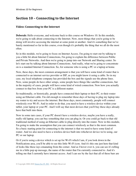# **Section 10 – Connecting to the Internet**

#### **Video: Connecting to the Internet**

**Deborah:** Hello everyone, and welcome back to this course on Windows 10. In this module, we're going to talk about connecting to the Internet. Now, most things that you're going to be doing will involve accessing the internet at some point or another. And it's something that we've barely mentioned so far in this course, even though it's probably the thing that we all do the most often.

So in this module, we're going to focus on Internet Access. I'm going to start out by talking to you a little bit about Internet Connections, I'm going to explain the difference between Public and Private Networks. And then we're going to jump into our Network and Sharing center. So let's start out by talking about Internet Connections. And really, what we're going to concentrate on is a standard Internet Connection. So, for someone who is using a PC or a laptop at home.

Now, these days, the most common arrangement is that you will have some kind of router that is connected to an internet service provider or ISP, as you might know it using a cable. So in my case, my local telephone company has provided the box and the signals use the phone lines. Now, some people do have other setups, some people have things like satellite connections, but in the majority of cases, people will have some kind of wired connection. Now how you actually connect to that box from your PC is a different matter.

So traditionally, or historically, people have connected their laptop or their PC, to their router using an Ethernet cable. I'm old enough to remember those days of having to plug my laptop into my router to try and access the internet. But these days, most commonly, people will connect wirelessly over Wi-Fi. And in order to do that, you need to have a wireless device within your tablet, your laptop or your PC. And I will say that most devices that you'll buy these days already have that built into them.

Now in some rare cases, if your PC doesn't have a wireless device, maybe you have a really, really old laptop, you can buy something that you can plug in. Or you could go back to that old traditional method of using an Ethernet cable to plug directly into the router. Now in this module, I'm going to make the assumption that you can connect wirelessly as that is the most common. So a basic starting point for connecting to the internet is that we need to have some kind of router. And we also need to have a wireless device built into whichever device we're using, our PC or our laptop.

Or if you're using a device which is set up for Wi-Fi which I am, if you look down in the Notifications area, you'll be able to see this little Wi-Fi icon. And it's this one just here that kind of looks like these rays emanating from the corner. And as I hover over it, you can see it's telling me in a little pop up message, the name of the router that I'm currently connected to. And it's telling me that I currently have internet access. And I can see by the fact that all of these bars are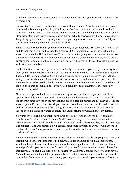white, that I have a really strong signal. Now when I click on this, you'll see that I now get a list of router IDs.

So essentially, my device can connect to lots of different routers. Now the one that I'm currently connected to is at the top of the list, it's telling me that I am connected and secured. And if I wanted to, I could choose to disconnect from my internet just by clicking that Disconnect button. Now these other ones that you can see listed are not actually located in my house. So essentially, I'm picking up the routers of my neighbors. And you might think to yourself, well, can't I just select one of my neighbors' and utilize their Wi-Fi.

Firstly, I wouldn't advise that you'll have some very angry neighbors. But secondly, if you do try and do that you're going to be asked for a password. So for example, I can't just click on this second one in the list BTHub6 and say Connect, because it's going to ask me to enter the network security key. Now normally, when you receive your router, your network security key is printed either on the bottom or on the side. And you'll normally be given a little card by the engineer as well with those details on it.

So the first time you connect your device wirelessly to your router, you have your security key. Now you'll see underneath where it's got the name of my router and it says connect and secured, I have a little link to properties. So if I click on that it's going to jump me across into Settings. And you can see the name of my router listed at the top there. And you can see that I have this little toggle turned on, so that it will connect automatically when in range. Now I like to have this toggled on so that as soon as I boot up my PC, I don't have to do anything, it automatically connects to my Wi-Fi.

Now the next options that I have are related to my network profile. And you see that I have options for Public and Private. And I currently have Public selected. So it says; "Your PC is hidden from other devices on the network and can't be used for printer and file sharing". And the second option, Private; "For network you trust such as at home or work, your PC is discoverable and can be used for printer and file sharing if you set it up". So I might decide to choose this second option if I kind of wanted to create like a mini private network amongst my family.

So within my household, we might have three or four different laptops for different family members, we're all attached to the same Wi-Fi. So essentially, we can create our own little private network, which will enable us to do things really easily like share files, and also do things like connect to a shared printer. Now I actually don't share any files or a printer with anyone in my household, so I'm happy to leave mine on public. Another option we have in here is Random hardware addresses.

So you can essentially use Random hardware addresses to make it harder for people to track your location when you connect to this Wi-Fi network. So for example, if you have lots of apps, which do things like use your location, such as the Maps app that we looked at earlier, if you would prefer that your location wasn't disclosed, you could choose to use a random address for this network. We then have some options in here for a Metered Connection. Now I don't have a Metered Connection, but a lot of people do. Now a metered connection is more like a controlled connection. So it means that you essentially pay only for the time that you're connected, or for a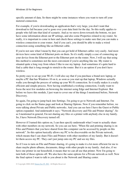specific amount of data. So there might be some instances where you want to turn off your metered connection.

For example, if you're downloading an application that's very large, you don't want that download to fail because you've gone over your data limit for the day. So this really applies to people who fall into that kind of scenario. And as we move down towards the bottom, we just have some information about our IP settings, and also some Properties related to my router. So really, it is important to come in here and check these settings to make sure that you can make a wireless connection to your router. And if you can't, you should be able to make a wired connection using something like an Ethernet cable.

If you're not sure what I mean by that you can get hold of Ethernet cables very easily. And most devices have some kind of Ethernet ports on them. So it's really simply a case of connecting up your device from the Ethernet port to the Ethernet port on the router. Now, I will say that using this method is sometimes not the most convenient if you're anything like me. My router is situated quite a long way from where I like to use my laptop. And sometimes it's quite hard to find a cable that is long enough to stretch to the router. But it is an option if you don't have wireless.

So pretty easy to set up your Wi-Fi. I will also say that if you purchase a brand new laptop, or maybe a PC that has Windows 10 on it, as soon as you start up that laptop, Windows actually walks you through the process of setting up your Wi-Fi connection. So it really makes it a really efficient and simple process. Now having established a working connection, I really want to focus the next few modules on browsing the internet using Edge and Internet Explorer. But before we leave this module, I just want to cover one of the things I mentioned before, Network Discovery.

So again, I'm going to jump back into Settings. I'm going to go to Network and Internet. I'm going to click on the Status page and look at Sharing Options. Now if you remember before, we were talking about Private and Public networks. And you can see here I have the Guest or Public option expanded. And underneath it says; "Network discovery and File and Printer sharing". So as I mentioned in general, I'm not sharing any files or a printer with anybody else in my family. So, I have Network Discovery turned off.

However if I turned this option on, I can then specify underneath what I want to actually share with other members on my network. So you can see here; 'When file and printing sharing is on Files and Printers that you have shared from this computer can be accessed by people on this network". So this option basically allows my PC to be discoverable on the Private network, which means that I can share Files and Printers with other members of my family. But it doesn't let them access my PC. They can't just jump onto my PC and see my files.

So if I was to turn on File and Printer sharing, it's going to make it a lot more efficient for me to share maybe photo albums, documents, things with other people in my family. And also, if we have one printer in our household, it means that we can all use that printer. Now I'm going to turn both of those options off. We also have the same options for a Private network as well. Now the final option I want to talk to you about is the Network and Sharing center.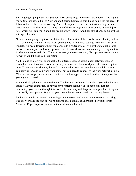So I'm going to jump back into Settings, we're going to go to Network and Internet. And right at the bottom, we have a link to Network and Sharing Center. So this dialog box gives me access to lots of options related to Networking. And at the top here, I have an indication of my current active network. And if I want to change any of those settings, I can click on this little link just here, which will take me in and I can see all of my settings. And I can also change some of these settings if I need to.

Now we're not going to get too much into the technicalities of this, just be aware that if you have to do something like that, this is where you're going to find those settings. Now for most of this module, I've been describing how you connect to a router wirelessly. But there might be some occasions where you need to set up some kind of network connection manually. And again, this is where you come to do this. You can see here you have an option; "Set up a new connection, or network". And it gives you four options.

So it's going to allow you to connect to the internet, you can set up a new network, you can manually connect to a wireless network, or you can connect to a workplace. So this last option here, Connect to a workplace, this will cover situations such as one where you might have a company laptop, and you work from home, but you need to connect to the work network using a VPN or a virtual private network. If that is a case that applies to you, then this is the option that you're going to need.

And the final option that we have here is Troubleshoot problems. So again, if you're having any issues with your connection, or having any problems setting it up, or maybe it's just not connecting, you can run through this troubleshooter to try and diagnose your problem. So again, that's really just a pointer for you so you know where to go if you do run into any issues.

So that's it on this module for connecting to the Internet. We're now going to move into using web browsers and the first one we're going to take a look at is Microsoft's newest browser, Microsoft Edge. So please join me in the next module for that.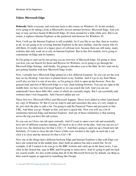## **Video: Microsoft Edge**

**Deborah:** Hello everyone, and welcome back to this course on Windows 10. In this module, we're going to be taking a look at Microsoft's newest internet browser; Microsoft Edge. And you may or may not have heard of Microsoft Edge. It's been around for a little while now. But to an extent, it replaces Internet Explorer as the preferred web browser for Windows 10.

Now, I will say the Internet Explorer is still available. So if you like to use that, then no worries at all, we are going to be covering Internet Explorer in the next module. And the reason why it's still there, it's really more of a legacy piece of software now, because there are still many, many websites that only work on or rely on Internet Explorer. But in this first module, we're going to concentrate on Edge and its features.

So I'm going to start out by just giving you an overview of Microsoft Edge. I'm going to show you how you can Search for Items and Browse for Websites, we're going to go through the Microsoft Edge Settings. And finally, I'm going to introduce you to the Hub. So let's start out by just getting familiar with how Microsoft Edge works.

Now, I actually have Microsoft Edge pinned in a few different locations. So you can see the icon here on my Desktop. I also have it pinned down in my Taskbar. And if I go to my Start Menu, you'll also see but it is one of my tiles, so I'm going to click to open up the browser. Now the general look and feel of Microsoft Edge is a very clean looking browser. You can see right in the middle here, we have our Universal Search so we can search the web. And you can see underneath I have these little tiles, some of which are currently empty. But I can essentially add websites that I visit frequently. And I haven't added any yet.

These first two, Microsoft Office and Microsoft Support, Those were added in when I purchased my copy of Windows 10. But if you do want to add and customize this area, it's very simple to do, just click the plus to add a site. I'm going to add the Financial Times and just paste in that URL. And there you go. Simple as that, you have a quick title. Now you will see a lot of similarities between Edge and Internet Explorer. And one of those similarities is that running across the top you have this tab system.

So you can see I have one tab open currently. And if I want to open a new tab and essentially have lots of different searches running, all I need to do is click on the plus. And you can see as I hover over, the shortcut key for that is Ctrl + T. And that's going to open me up a brand new tab. Similarly, if I want to close the tab, I have a little cross located to the right on each tab, I can click it to close and the shortcut for that is  $Ctrl + W$ .

Now one of the things that's different between Edge and Internet Explorer is that with Edge you have one central bar in the middle here, that's both an address bar and a search bar. So for example, if all I wanted to do was go to the BBC website and catch up on the latest news, I can click in this Search bar, type in BBC and I'm going to select news. And it's going to pull me back my search results. It's also worth noting that all of the Microsoft browsers by default, use Bing as their search engine as opposed to something like Google.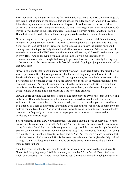I can then select the site that I'm looking for. And in this case, that's the BBC UK News page. So let's take a look at some of the controls that we have in the Edge browser. And I will say that a lot of these, again, are very similar to Internet Explorer. If we look over in the top left-hand corner, we have our basic Navigation controls. So I can click to go Back to my search results. Or maybe Forward again to the BBC homepage. I also have a Refresh button. And then I have a Home link as well. So if I click on Home, it's going to take me back to where I started from.

Now moving across to the right-hand side you can see we have a number of different icons up here and I'm going to cover those in a little while. Running down the right-hand side I have my Scroll bar, so I can scroll up or I can scroll down to move up or down the current page. And running across the top as is fairly standard with all browsers we have our Address bar. Now if I wanted to navigate to the BBC news website from the address bar, all I would need to do is type in www.BBC. And as I'm typing you can see the Edge is giving me suggestions or recommendations of where I might be looking to go. So in this case, I am actually looking to go to the news site, so I'm going to select this first link. And that's going to jump me straight back to that news page.

Now, Edge is pretty intelligent in many different ways. So it does keep track of the sites that you visited previously. So if I was to go to a site that I accessed frequently, which is a site called Pexels, which is a royalty free image site, if I start typing p-e-x, because the browser knows that I visited this site before, it's going to give me that website in my list of recommendations. I can then just click, and it's going to jump me straight to that particular website. So let's now finish out this module by looking at some of the settings that we have, and also some things which are going to make your life a little bit easier and a little bit more efficient.

Now, if you're anything like me, there's kind of like maybe five to 10 websites that you visit on a daily basis. That might be something like a news site, or maybe a weather site. Or maybe websites which are more related to the work you do, and the interests that you have. And it can be a little bit of a pain to every time you want to go to one of these sites having to come up to the address bar and type that in. And so what you're probably going to want to do is bookmark sites that you visit frequently. And that's a very simple process in most web browsers and in particular, in Microsoft Edge.

So I'm currently on this BBC News homepage. And this is one that I look at every day to catch up with what's going on in the world. And what I'm going to do is I'm going to add this website to my Favorites. So all I need to do is navigate to the page. And then over on the right-hand side, you can see I have this little star icon with a plus. It says; "Add this page to favorites". I'm going to click. It's telling me that a favorite has been added. And it's given me a chance to rename that particular favorite. And what you'll find is that sometimes the name that is given by Edge is kind of long, it's a bit too long for a favorite. You're probably going to want something a little bit more concise in there.

So in this case, I'm actually just going to delete out where it says Home, so that it just says BBC News. And I'm going to say; "Add this on to my favorite bar". So let's click Done. And you might be wondering, well, where is your favorite spa. Currently, I'm not displaying my favorite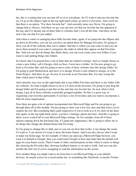bar, this is a setting that you can turn off or on as you please. So if I want to turn my favorite bar on, if I go to the ellipses right in the top right-hand corner, go down to Favorites. And you'll see that there is an option, "For show favorite bar". And currently mine says Never, I'm going to change that to Always. And there we go, you can now see that my favorite bar has appeared at the top, and I've already put on there links to websites that I visit all the time. And there on the end is the one that I've just added.

And when it comes to managing these little favorite links, again, if we jump into the ellipses and go down to Favorites, you can see you have an option there for Manage Favorites. It's going to show you all of the websites that you've added. And this is where you can come in and you can move them around if you want to reorganize the order in which they appear on that Favorites Bar. And you can also do things like delete them, you can even create your own folders if you want to start putting things into folders.

So I know that I in general have a lot of links that are related to design. And so I might choose to create a new folder, call it Design, click on Save, I now have a folder. So I'm now going to go back to Favorites Bar, and I'm going to move some of these websites into this design folder. So I'm going to grab Shutterstock and move it to design. Pexels is also related to design, as is the Noun Project. And there we go. So now if you look at my Favorites Bar, I'm only seeing the links which aren't in that folder.

And currently way over on the right-hand side it says Other Favorites and there is my folder with my websites. So what I might choose to do is if I click on the favorites, I'm going to just drag the design folder and I'm going to put that on the end onto my favorite bar. So now when I click design, I get all of those websites essentially grouped together. So this is a great way of organizing your favorites particularly if you have a lot of favorites and you want to incorporate a little bit more organization.

Now there are quite a lot of options incorporated into Microsoft Edge and I'm not going to go through them all in this module. I'm just going to show you a few key ones and then leave you to explore the rest. But something that's quite impressive if you to look at is if we click on the three dots again, in the top right-hand corner, you have a Settings option just here. And this is going to allow you to control all of your Microsoft Edge settings. So for example, from all of these options running down the left-hand side, if I jump into Appearance, this is going to allow me to do things like change the default theme that I'm using.

So I'm going to change this to dark, just so you can see how that works. I can change the zoom, if I want to, I can choose if I want to show the home button. And I can also choose what I want to make my home page. So for example, if when you open up a Microsoft Edge browser, you want it to default to Google, then you could insert Google in here and make that the default web page for your home screen. There's loads of other customizations in here when it comes to things like showing the Favorites Bar, showing feedback button, so on and so forth. And you can also modify the font size if you're struggling to read the information on the screen.

Now another thing you might want to do from here is set Microsoft Edge as your default browser. So maybe you're on a social media site, so something like Facebook, or maybe Twitter.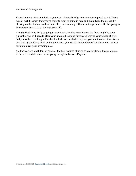Every time you click on a link, if you want Microsoft Edge to open up as opposed to a different type of web browser, then you're going to want to come in here and make Edge the default by clicking on this button. And as I said, there are so many different settings in here. So I'm going to leave those for you to go through yourself.

And the final thing I'm just going to mention is clearing your history. So there might be some times that you will need to clear your internet browsing history. So maybe you've been at work and you've been looking at Facebook a little too much that day and you want to clear that history out. And again, if you click on the three dots, you can see here underneath History, you have an option to clear your browsing data.

So, that's a very quick tour of some of the key features of using Microsoft Edge. Please join me in the next module where we're going to explore Internet Explorer.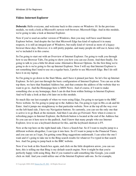## **Video: Internet Explorer**

**Deborah:** Hello everyone, and welcome back to this course on Windows 10. In the previous module, we took a look at Microsoft's newest web browser; Microsoft Edge. And in this module, we're going to take a look at Internet Explorer.

Now if you've used an earlier version of Windows, then you may well have used Internet Explorer before. And despite the fact that Microsoft Edge has kind of replaced it in many respects, it is still an integral part of Windows, but really kind of viewed as more of a legacy browser these days. However, it is still pretty popular, and many people do still use it, hence why we've included it in this course.

So I'm going to start out with an Overview of Internet Explorer. I'm going to walk you through how to use Browser Tabs, I'm going to show you how you can use Zoom. And then finally, I'm going to talk to you a little bit about some Alternative Browser Options. So the first thing we're going to do is we're going to fire up Internet Explorer. Now I will say that Internet Explorer is not something that I tend to use on a regular basis, I prefer to use Microsoft Edge. But I do still have it on my laptop.

So I'm going to go down to the Start Menu, and I have it pinned just here. So let's fire up Internet Explorer. So let's just run through the basic configuration of Internet Explorer. You can see at the top there, we have that Standard Address bar, and that contains the address of the website that we want to go to. And the Homepage here is MSN News. And of course, if I want to make something else as my homepage, then I can do that from within Settings in Internet Explorer. And we'll take a look at that a bit later on in this module.

So much like our last example of when we were using Edge, I'm going to navigate to the BBC News website. So I'm going to jump up to the Address bar, I'm going to type in bbc.co.uk and hit Enter. And it jumps me straightaway to that particular website. Now at the top all the way over on the left-hand side, I have my Navigation buttons. So currently, you can see the only one that is active is to go Back at the moment. And then I can also go Forward. Now when it comes to refreshing pages in Internet Explorer, the Refresh button is located at the end of the Address bar. So you can see it here next to the padlock. And I know that many people who use Internet Explorer, love to use a keyboard shortcut for this, and the keyboard shortcut is F5.

Now at the top here on the right-hand side, I have a Search bar. So if I want to maybe jump to a different website altogether, I can type it into here. So if I want to jump to the Financial Times, and you can see as I type, I'm getting some Bing suggestions underneath. I can select the one I want and it's going to take me to the Bing search results for whatever I've typed in that search box. And I'm going to jump back to the BBC website.

Now if we look at this Search box again, and click on the little dropdown arrow, you can see here, this is telling me that Bing is my default search engine. Now it might be that you're perfectly happy with using Bing. But if you wanted to add something like Google, you could click on Add. And you could utilize one of the Internet Explorer add-ons. So for example,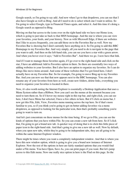Google search, so I'm going to say add. And now when I go to that dropdown, you can see that I also have Google as well as Bing. And all I need to do is select which one I want to utilize. So I'm going to select Google, type in Financial Times again, and select it. And this time it's doing a Google search as opposed to Bing.

Moving on that bar across to the icons over on the right-hand side we have our Home icon, which is going to just take us back to that MSN homepage. And the star is where you can view your favorites, your feeds, and your history. Now as with Microsoft Edge, if there are websites that I like to access frequently, you can add those on to the Favorites Bar as well. Now my Favorites Bar is showing but I don't currently have anything on it. So I'm going to add this BBC Homepage to my Favorites Bar. And very simply, all you need to do is navigate to the page that you want to add. And then on the left-hand side, you can see you have a star with a green arrow. And when you hover over it says; "Add to Favorites Bar". And there we go. I now have that link.

And if I want to manage those favorites again, if I go over to the right-hand side and click on the star, I have an additional Add to Favorites option in there. So there are essentially two ways of adding websites to your favorites. But I also have an option to organize my favorites. So I can do things like move items around. And some of these websites that I've got listed here, I don't actually have on my Favorites Bar. So for example, I'm going to move Bing up to my Favorites Bar. And you can now see that that now appears next to the BBC homepage. You can also rename any of your favorites from here as well, create new folders, delete links, everything you need to organize your favorites is located in there.

Now, it's also worth noting the Internet Explorer is essentially a Desktop Application that uses a Menu System rather than a Ribbon. Now you can't see the menus at the moment because you need to turn them on. So if I hover my mouse right in this top bar, and right-click, you can see here, I don't have Menu bar selected, I have a few others in here. But if I click on menu bar, I now get this File, Edit, View, Favorites menu running across the top here. So if that's more familiar to you, so if you think you're going to get on better adding favorites via a menu dropdown, as opposed to looking for the particular icon, then that's probably something you're going to want to turn on.

And let's just concentrate on these menus for the time being. If we go to File, you can see the kinds of options that you have within File. So you can create a new tab from here. So if I click that, I'm going to get a brand new tab. A quicker way of doing that is to click this little piece of paper icon to the right-hand side. And that's going to give me a new tab as well. Now by default, when you open new tabs, whilst they're going to be independent tabs, they are all going to be within the same Internet Explorer window.

There might be times where you want a completely independent window. And that is where you have this new window option, which is going to give you a brand new instance of Internet Explorer. Now the rest of the options in here are fairly standard options that you would find under a File menu. You have Open, Save As, you can print pages if you want. But let's jump across to this Edit menu. Now one really nice option in here is the Find on this page. So the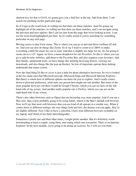shortcut key for that is Ctrl F, it's gonna give you a find box at the top. And from there, I can search for anything on this particular page.

So if I type in the word food, it's telling me that there are three matches. And I'm gonna say highlight all of the matches, it's telling me that there are three matches, and I can navigate using the previous and next options. But I can see just from this page that we're looking at now, I can see the word food highlighted just here. So it's really useful if you're searching for something particular on any web page.

Moving across to that View menu. This is where you can go in and turn those toolbars off and on. And you can also do things like Zoom. So if say I want to zoom in to 200% to make everything a little bit easier for you to read. And that is slightly too large for me. So I'm going to zoom out to a 125. Again, we have a menu dropdown for our Favorites. So this is where you can go to add favorite websites, add them to the Favorites Bar, and also organize your favorites. And then finally, underneath tools, we have things like deleting browsing history, viewing our downloads, and also things like the pop up blocker. So lots of important options there lurking underneath that menu system.

Now the final thing I'd like to cover is just a little bit about alternative browsers. So we've looked at the two main ones that Microsoft provide; Microsoft Edge and Microsoft Internet Explorer. But there's a whole host of different options out there for you to explore. And it really comes down to personal preference, what suits one person best might not suit another. But some of the more popular browsers out there would be Google Chrome, which you can see here on the lefthand side of my screen. And another really popular one is Firefox, which you can see on the right-hand side of my screen.

There's also other browsers such as Opera that are becoming way more popular. And if you are a Mac user, then you're probably going to be using Safari, which is the Mac's default web browser. Now we'll say that most web browsers that you use kind of all operate in a similar way. When it comes down to different settings, the way things look and feel, the themes you can apply, they're all slightly different. Now I like to have a selection, I have four different browsers available on my laptop, and I kind of use them interchangeably.

Sometimes I prefer one and then other times, I might prefer another. But it's definitely worth downloading at least a couple, using them, and seeing which one you prefer. That's it on Internet Explorer. In the next module, we're going to be doing an exercise. So, I will see you there.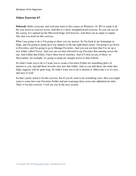## **Video: Exercise 07**

**Deborah:** Hello everyone, and welcome back to this course on Windows 10. We've made it all the way down to exercise seven. And this is a fairly straightforward exercise. So you can see on the screen, I've opened up the Microsoft Edge web browser. And there are no input or output files that you need for this exercise.

What I am going to do is I'm going to show you my answer. So I'm back at my homepage in Edge, and I'm going to jump up to my ellipses in the top right-hand corner. I'm going to go down to Favorites, and I'm going to go to Manage Favorites. And you can see here that I've set up a new folder called Travel. And you can see that reflected in my Favorites Bar running across the top. And within that folder, I have three travel websites. And if I click on any of these, so Skyscanner, for example, it's going to jump me straight across to that website.

So what I want you to do is I want you to create a Favorites Folder for something that's of interest to you, and add three favorite sites into that folder. And as you add them, the name that Edge suggests will be quite long. So what I want you to do is shorten it, abbreviate it so it's nice and easy to read.

So that's pretty much it for the exercise, but if you do want to do something extra, then you might want to come into your Favorites Folder and just rearrange these icons into alphabetical order. That's it for this exercise. I will see you in the next section.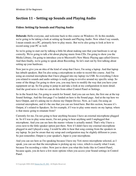# **Section 11 – Setting up Sounds and Playing Audio**

## **Video: Setting Up Sounds and Playing Audio**

**Deborah:** Hello everyone, and welcome back to this course on Windows 10. In this module, we're going to be taking a look at setting up Sounds and Playing Audio. Now when I say sounds, I mean sounds on a PC, primarily how to play music. But we're also going to look at how to record using your PC as well.

So we're going to start out by talking a little bit about making sure that your hardware is set up correctly. We're going to talk a bit about playing music from CDs. I'm going to show you the Media Library, I'm going to introduce you to Microsoft's New Music Playing app called Groove. And then finally, we're going to speak about Recording. So let's start out by first talking about setting up your hardware.

Now just to give you an idea of the kind of setup that I have, I'm using a laptop. And that laptop has inbuilt speakers. But I'm also using a microphone in order to record this course. And I'm using an external microphone that I have plugged into my laptop via USB. So everything I show you related to sounds and audio settings is really going to revolve around my specific setup. So some of the things I'm going to show you, you may have to modify the way that you have your equipment set up. So I'm going to jump in and take a look at my configuration in more detail. And the good news is that we can do this from either Control Panel or Settings.

So in the Search bar, I'm going to search for Sound. And you can see here, the first one at the top Sound Settings. And the first page I've landed on here is the Sound page. And at the top here we have Output, and it's asking me to choose my Output Device. Now, as I said, I'm using an external microphone, and it's the one that you can see listed here. But this section, because it's Output, it's related to Speakers. So for example, if I was to play some music on my laptop, where is that music going to emanate from?

Currently for me, I'm not going to hear anything because I have an external microphone plugged in. So if I was to play some music, I'm not going to hear anything until I unplugged that microphone. And you can see here the master volume is actually muted. That's why I have a cross next to the little speaker option just there. Now if I didn't have my external microphone plugged in and I played a song, I would be able to hear that song coming from the speakers in my laptop. So just be aware that my setup and configuration may be slightly different to yours. So just remember, Output is your speaker's, Input is your microphone.

And you can see here as I'm speaking because I have my Yeti stereo microphone selected, as I speak, you can see that the microphone is picking up my voice, which is exactly what I want, because I'm recording a video. Now just to show you what this looks like in Control Panel, because again, you do have a few more options when you access your Sound settings in Control Panel.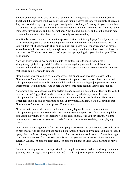So over on the right-hand side where we have our links, I'm going to click on Sound Control Panel. And this is where you have your four tabs running across the top. I'm currently clicked on Playback. And this is going to show you exactly what it is that you're using. So you can see here the one with the green tick is the Yeti stereo microphone, and that is the one that I'm using at the moment for my speakers and my microphone. Now this one just here, and also this one up here, those are both headsets that I own but are currently not connected up.

And finally this one in here relates to the speakers that are within my laptop. So if I jump across to the Recording tab, we have something very similar in there, you can see the device that I'm using in this list. If you want to click on it, you can drill down into Properties, and you have a whole host of other options that you might want to change or at least look at. Now I will say for the most part, Windows 10 is pretty good at picking up anything that you plug into your PC or your laptop.

So when I first plugged my microphone into my laptop, it pretty much recognized it straightaway, picked it up, I didn't really have to do anything too much. But if that doesn't happen, and you find that you're speaking and it's not picking up your voice, then this is the area that you're going to want to come to.

Now another area you can go to to manage your microphone and speakers is down in the Notifications Area. So you can see here I have a microphone icon because I have an external microphone plugged in. And if I actually click on that icon, it's going to jump me across to the Microphone Area in settings. And in here we have some more settings that we can change.

So for example, I can choose to allow certain apps to access my microphone. Then underneath, I have a series of Toggle Sliders where I can specify exactly which apps can utilize my microphone. So I'm probably going to want to utilize my microphone for things like Cortana, which rely on being able to recognize or pick up my voice. Similarly, if we stay down in that Notifications Area, we have our Speaker Controls as well.

Now, as I said, my speakers are actually muted on my laptop, because I don't want my microphone to pick up any sounds that are coming from my laptop. But if you want to quickly just adjust the volume of your speakers, you can click on that. And you can drag the volume control up and down to suit your own needs. So now let's move on to talking about playing music.

Now in this day and age, you'll find that most people use some kind of streaming service in order to play music. And I'm one of those people, I use Amazon Music and you can see that I've loaded up my Amazon Music library onto the screen. And just for the record, Amazon Music is an app that you can download from the Microsoft Store. And you can see at the top of my list there Recently Added, I'm going to right-click, I'm going to pin that to Start. And I'm going to move that across.

So with streaming services, it's super simple to compile your own playlists, add songs, and then just play them through your laptop or your PC. It really is just a simple case of selecting your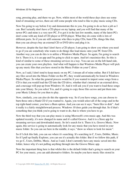song, pressing play, and there we go. Now, whilst most of the world these days does use some kind of streaming service, there are still some people who tend to like to play music using CDs.

Now I'm going to say before I try and demonstrate this to you, I'm going to do as best a job as I can. But I actually don't have a CD player on my laptop, and you will find that many of the newer PCs and mine is a very new PC, I've got it in the last few months, many of the latest PCs don't come with any kind of CD player or DVD player. What they do come with is lots of different ports. So if you are still someone who likes to play CDs, burn CDs, things like that, then you can always buy an external CD or DVD drive and plug it in.

However, despite the fact that I don't have a CD player, I am going to show you where you need to go if you are somebody who wants to do things like load music onto your PC from CDs. Another way you can do this is to utilize a Windows Media Player. So again, I'm going to search for it. There it is, it is an app and I'm going to click to open. And let's maximize this. So this is kind of similar to some of these streaming services in a way. You can see on the left-hand side, you can create your own playlists. And what will happen is that Windows Media Player will pick up any music files that you have stored in the Music Folder on your C drive.

Now, as I said, I don't tend to keep music on my PC, I stream all of mine online. But if I did have any files saved into the Music Folder on this PC, they would automatically be listed in Windows Media Player. So what the general process would be if you wanted to import some songs from a CD is that you would load the CD into the CD drive, whether that's internal or an external drive, and a message will pop up from Windows 10. And it will ask you if you want to load these songs into your library. So you select Yes, and it's going to copy those files across and put them into your Music Library for you then to play.

Now, similarly, you can also do this the opposite way. So if you have songs, you can choose to burn those onto a blank CD if you wanted to. Again, you would select all of the songs and in the top right-hand corner, you have a Burn option. And you can see it says; "burn files to disk". And it really is a fairly straightforward process. Windows 10 does guide you through that. So if that's something that you think you're going to want to do, that is where you have to go.

Now the third way that you can play music is using Microsoft's own music app. And this was updated recently, it's now changed its name and it's called Groove. And it is a Store app for streaming services and downloaded music. So let's search for it. There it is, Groove Music. Now again, this service is going to automatically look for any music that you have stored in your music folder. So you can see here in the middle, it says; "show us where to look for music".

So if I click this link, you can see where it's searching. It's searching in C, Users, Debbie, Music. So if I pull up finally Explorer, you can see it's actually this folder. But if we follow this path, if we go C, Users, Debbie, Music. And as I said, I don't currently have any music saved into this folder, hence why it's not pulling anything through into the Groove Music app.

Now the important thing here is that whilst this is the default folder that's going to search on your PC for your music, you can add alternative folders. So maybe you have music files stored in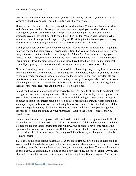other folders outside of this one just here, you can add as many folders as you like. And then Groove will pull any relevant music files into your library for you.

Once you have them all in, it's a fairly straightforward interface. You can sort by songs, artists, and albums. You can look for songs that you've recently played, you can show what's now playing, and you can even create your own playlists by clicking on the plus button. So if I wanted to create a playlist, I might do something like "Chillout Music", click Create playlist. And now I can add songs into this specific playlist. Don't forget at the bottom, you have a cog icon as well, which is going to take you into your settings for Groove Music.

And again, up here you can specify where you want Groove to look for music, and it's going to take you back to that same screen. There's other options that you can customize in here. So you can get Groove to automatically retrieve things like Album Art. Also, you can change your Mode, so Light, Dark, or Use System Setting. And if you're not a huge fan of this rather large menu running down the side, you can click on those three lines, that's going to minimize that menu. It just gives you more room in order to see and manage all of your music files.

Now the final thing I want to mention in this module is Recording. So you may have a time when you want to record your own voice to make things like audio notes, maybe, or you may just want to use your voice for speech recognition or maybe for Cortana. So the most important element here is to make sure that your microphone is set up correctly. Now again, Microsoft has its own inbuilt app for this and it's called the Voice Recorder. So I'm going to click and we're going to search for the Voice Recorder. And there it is, let's click to open.

And if you have your microphone set up correctly, then it's going to allow you to go straight into the app and just start recording your voice. If there is some problem with your microphone, then you will get a warning message in the middle here, which is going to direct you to Settings just to adjust or set up your microphone. So if you do get a message like that, it's worth jumping into search just typing in Microphone, and selecting Microphone Setup. This is the little wizard that you want to go through by clicking the Get Started button, which will take you through the process of selecting and setting up your microphone. Reopen the Voice Recorder, and you should be good to go.

So now in order to record my voice, all I need to do is click on this microphone icon. Hello, this is Deb, it's the sixth of June 2020. And this is a test recording. Click on the stop button and then it's going to load up that recording into this window. And of course I have some handy little options at the bottom. So I can choose to Delete the recording that I've just done, I can Rename the recording. So this is quite useful. I'm going to click on Rename, and I'm going to call this, "Test Recording".

I also have some basic editing in here. So I can choose to trim my clip. So this is quite good. If you have a lot of maybe blank space at the beginning or end, then you can trim either end of your recording, simply by moving these guides along, and then selecting Save. You can either choose to save a copy. So essentially, it's going to save a new recording, the edited version. Or you can choose to essentially overwrite your original. So I'm going to say Update Original. And now if I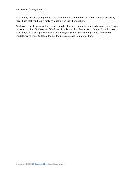was to play that, it's going to have the front and end trimmed off. And you can also share any recordings that you have simply by clicking on the Share button.

We have a few different options there. I might choose to mail it to somebody, send it via Skype or even send it to OneNote for Windows. So this is a nice place to keep things like voice note recordings. So that is pretty much it on Setting up Sounds and Playing Audio. In the next module, we're going to take a look at Pictures so please join me for that.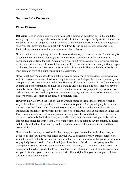## **Section 12 - Pictures**

#### **Video: Pictures**

**Deborah:** Hello everyone, and welcome back to this course on Windows 10. In this module, we're going to be looking at the wonderful world of Pictures, and specifically at Still Pictures. So I'm going to start out by going through with you some Picture Sources and Formats. I'm going to show you the Photos app that you get with Windows 10. I'm going to show you some Basic Photo Editing techniques, and also how you can Share Photos.

Now when it comes to getting pictures, the most obvious way is to use a camera. Another way is to get a picture sent to you that might be via email from somebody else. Or you can also download pictures from the web. Alternatively, you might have a scanner where you've scanned in pictures and save them off into a folder on your PC. Now whilst there are many different types of pictures, the one that we're going to focus on in this module is Photos, which is probably the most common form of picture you're going to deal with.

Now, sometimes you do have to be a little bit careful when you're downloading pictures from a website. If you want to download something that you see, and it's purely for your own use, your own personal use, then that's normally fine. However, if you want to use a picture from a website in some kind of presentation, or maybe in a training video like I'm doing here, then you have to be really careful about copyright. It's not the case that you can just jump onto any website, take their picture, and then use it to promote your own company, yourself or any other material. If it's just for personal use, most of the time, it's absolutely fine.

However, I always err on the side of caution when it comes to these kinds of things, which is why I like to have a really good set of free resources for photos. And probably my favorite one is the web page that I'm on now, it's called pexels.com. And this is a really great library that has millions and millions of royalty free pictures for you to use. And you can use these in things like PowerPoint presentations, Word documents, anything you like. And the thing I like most about the pexels website is that it does have just a really clear simple interface. All you do is click in this box and search for what it is that you want to find. So I'm going to say mountains, hit Enter, and it pulls back all of these really great high quality images that you can click on and then download for free.

Now remember, when you do download an image, and you can see it downloading there, it's going to go into your Downloads folder on your PC. So pexels is a really great resource. Now when it comes to actually downloading pictures that you find in a website, I'm going to show you very quickly how to do that. But as I said, just please be careful when you're going to utilize those photos. So I've just very quickly jumped on to Amazon, UK. I've done a quick search for cameras, and maybe I decide that I really like this picture of a camera, and I want to download it. All you do is when you see a picture on a website, if you right-click your mouse you will have this option here Save image as.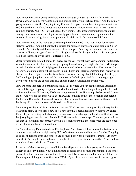Now remember, this is going to default to the folder that you last utilized. So for me that is Downloads. So you might want to go in and change that to your Pictures folder. And I'm actually going to rename this file, I'm going to say Camera. And you can see here, it's gonna save it as a JPG image file. Now if you're not sure about the different picture file formats, a JPG is a very common format. And JPG is great because they compress the image without losing too much quality. So it means you kind of get that really good balance between image quality and the amount of space that's going to take up on your hard drive. So I'm going to click Save.

Now another type of file type that you'll see quite often is PNG. And that stands for Portable Network Graphic. And all the time, this is used for normally drawn or painted graphics. So for example, I've actually just done a search on PNG images, it's taking me to our website where we have lots of lovely images of parrots. So if I right-click on this image, and go to Save image as, you'll see that the file type there is different; PNG.

Other formats used when it comes to images are the GIF format that's very common, particularly where the number of colors in the image is pretty limited. And you might also find BMP images as well. But these are kind of dying out, but those tend to be associated with older images. And before we get on to opening these images in our Photos app, there's something that I want you to check first of all. If you remember from before, we were talking about default apps by file type. So I'm going to jump into here and I'm going to say Default apps. And I'm going to go right down to the bottom and choose this link, choose Default Applications by file type.

Now we came into here in a previous module, this is where you can set the default application that each file type is going to open in. So what I want to do is I want to go through this list and make sure that any JPSs or any PNGs are going to open in the Photos app. So let's scroll down to the J's. And you can see there we've got JPEG, and .jpg, and both of those open in that default Photos app. Remember if you click, you can choose an application. Now some of the ones that I'm being offered here are some of the older applications.

So you've probably used Paint before if you are a Windows user, we're probably all very familiar with using paint. There's also a new one, a new app that's been added into Windows 10, called Paint 3d, you have Snip and Sketch or you can look for another app in the Microsoft Store. Now, I'm just going to quickly check that the PNG files open in the same app. There we go. And I can see that this default is set correctly as well. So it makes sure that those file types are set to open in the Photos app before you continue.

So I'm back in my Pictures folder in File Explorer. And I have a folder here called Nature, which contains some really nice high quality JPGs of different scenes within nature. So what I'm going to do is I'm going to open one of these and because I know the default app is Photos, I'm fairly confident it's going to open in the correct application, I'm going to maximize that. Now you have a number of tools within this Photos app.

In the top left-hand corner, you can click on See all photos. And this is going to take me into a gallery of all of my photos. Now, I'm not going to scroll down because this contains a lot of the personal folders from my personal OneDrive account. Now how do you know which folder the Photos app is picking up those files from? Well, if you click on the three dots in the top right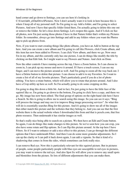hand corner and go down to Settings, you can see here it's looking in C:\Users\deb\_a\OneDrive\Pictures. Now I don't actually want it to look in here because this is where I keep all of my personal stuff. So I'm going to say Add a folder, and I'm going to select Pictures. And now I have that specific folder listed there, I'm actually going to delete this one out or remove the folder. So let's close down Settings. Let's reopen this again. And if I click on See all photos, now I'm just seeing those photos I have in that Nature folder that's within my Pictures folder. So remember, always go into Settings and add in any folders where you want the Photos app to pick up photos from.

Now, if you want to start creating things like photo albums, you have an Add to button at the top here. And you can create a new album and I'm going to call this Flowers, click Create album, and this item has now been added to Flowers. I can click View album, and there we go. Now once I'm in my album, and this currently only has one picture, I can do things like modify the title by clicking on that Edit link. So I might want to say Flowers and Nature. And click on Done.

Now the other controls I have running across the top, I have a Zoom button. So I can choose to zoom in, I can pick up my mouse and move it around. If I have a touch screen, I can use my finger, and I can move the picture around as well. And I'm going to zoom all the way back out. I have a Delete button to delete that picture. I can choose to add it to my Favorites. So I want to create a list of all of my favorite pictures. That's particularly good if you do a lot of photo editing. You have a rotate button, which will allow you to rotate that picture around. And I also have a Crop utility up here as well. So I'm actually going to do some cropping on this.

I'm going to drag this down a little bit. And in fact, I'm just going to have the little face of the squirrel like so. I'm going to go down to the bottom, I'm going to click Save a copy, and there we go. My image has now been edited. The final group of options on the right-hand side here I have a Search. So this is going to allow me to search using this image. So you can see it says; "Bing will process the image and may use it to improve Bing image processing services". So what this will do is essentially searches Bing for this picture. And it's going to show me all of the images that either match this picture and the websites that they belong to. And you can see that the first website there is the actual website where I downloaded this from and that is pexels.com, that free photo resource. Then underneath it has similar images as well.

So that's really nice being able to search on a picture. We then have an Edit and Create button. So again, I can do things like make changes to this picture. So we've seen how you can crop, you also have some rotate and flip options. So I can flip this picture around. At the top here I have Filters. So if I want to enhance or add a nice effect to this picture, I can go through the different options that I have underneath Filter. And then I can do some more granular adjustments. So I can up the clarity or I can pull it back down again, I can add a vignette. So that is kind of a shadowing that comes in from the sides, which sometimes can look really nice.

I can remove Red eye. Now this is particularly relevant for this squirrel picture. But in pictures of people, some people particularly people with blue eyes are susceptible to red eyes in pictures, you may want to remove the red eye. And also Spot fix will allow you to remove any small spots and blemishes from the picture. So lots of different adjustments that you can make there.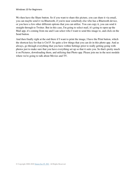We then have the Share button. So if you want to share this picture, you can share it via email, you can maybe send it via Bluetooth, if you're near somebody else who has a Bluetooth device, or you have a few other different options that you can utilize. You can copy it, you can send it straight through to Twitter. But in this case, I'm going to select mail, it's going to open up the Mail app, it's coming from me and I can select who I want to send this image to, and click on the Send button.

And then finally right at the end there if I want to print the image, I have the Print button, which the shortcut key for that is Ctrl P. So quite a few things that you can do in this photo app. And as always, go through everything that you have within Settings prior to really getting going with photos just to make sure that you have everything set up so that it suits you. So that's pretty much it on Pictures, downloading them, and utilizing that Photo app. Please join me in the next module where we're going to talk about Movies and TV.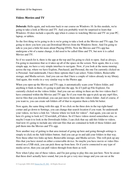## **Video: Movies and TV**

**Deborah:** Hello again, and welcome back to our course on Windows 10. In this module, we're going to take a look at Movies and TV. And you probably won't be surprised to learn that Windows 10 does include a specific app when it comes to watching Movies and TV on your PC, laptop, or tablets.

So the first thing we're going to do is we're going to take a look at the Movies and TVs app, I'm going to show you how you can Download Movies from the Windows Store. And I'm going to talk to you just a little bit more about Playing DVDs. Now the Movies and TVs app has undergone a bit of a name change, it did used to be called films and TV, but now it is called Movies and TV.

So if we search for it, there is the app at the top and I'm going to click to open. And as always, I'm going to maximize that so it takes up all of the space on the screen. Now again, this is a very simple app, we have a very simple interface to navigate. Now, if you look at the menu running across the top, where we have Explore, Purchased, and Personal, the one I'm currently clicked on is Personal. And underneath, I have three options that I can select; Video folders, Removable storage, and Media servers. And you can see that I have a couple of videos already in my library. And again, this works in a very similar way to the Photos app.

When you open up the Movies and TVs app, it automatically scans your Videos folder, and anything it finds in there, it's going to pull into the app. So if I pull up File Explorer, I'm currently clicked on the videos folder. And you can see sitting in there are the two videos that I have contained within the Movies and TV app. So if you want the app to pick up any mp4 files, movie files that you download, you can just move them into this videos folder. And of course, if you want to, you can create sub folders off of that to organize them a little bit better.

Now again, the same thing with this app. If we click on the three dots in the top right-hand corner and go down to Settings, you can change that search location if you want. So underneath your videos, we have a link for; "choose where we look for videos". And again, you can see in here it's going to look in C:\Users\deb\_a\Videos. So if I have videos stored somewhere else, so maybe I want it to look in the Downloads folder, I can click that say add this folder to videos. And now it's going to include any relevant files that are contained in both of those folders and pull them into the Movies and TVs app.

Now another way of getting to that area instead of going up here and going through settings is simply to click on the Add folders button. And you can go in and add your folders in that way. Now these other two links up here; Removable storage, and Media servers. This will pick up any files that you have stored on either a removable device. So maybe you have movie or video files stored on a USB stick, you can pick those up from here. Or if you're connected to any type of media server, then you can pull videos through from there as well.

Now when I play one of these videos, and I'm just going to play this one just here. Now be aware that these don't actually have sound, but you do get a very nice image and you can see at the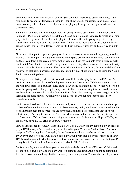bottom we have a certain amount of control. So I can click on pause to pause that video, I can skip back 10 seconds or forward 30 seconds, I can show a menu for subtitles and audio. And I can also change the volume of the clip whilst I'm playing the clip. On the right-hand side I have some other icons.

So this first one here is Edit in Photos, now I'm going to come back to that in a moment. The next one is Play in mini views. If I click that, it's just going to make that a really small little mini player in the top corner. I can choose to play in full screen. So that's going to get rid of my Taskbar and anything around the outside. Then finally I have those three ellipses again where I can do things like Cast to a device, Zoom to fill, I can Repeat, Autoplay, and also Play as a 360 video.

Now this Edit in photos option is going to allow me to make some minor editing changes to this video. So for example, if I want to trim some blank space off the front of the end, I can definitely do that. I can draw, I can create a slow motion video, or I can save a photo from a video as well. So if I click Save Photo from Video, it's gonna allow me using these arrows at the bottom to skip through this video frame by frame. Then once I find the frame that I want, I can essentially take a snapshot of that particular frame and save it as an individual photo simply by clicking the Save a Photo link at the top there.

Now apart from playing videos that I've made myself, I can also play Movies and TV that I've got from other sources. So one of the biggest sources for Movies and TV shows is going to be the Windows Store. So again, let's click on the Start Menu and jump into the Windows Store. So what I'm going to do is I'm going to jump across to Entertainment using this link. And you can see here, I can now see a list of all of the new films, I can click into any of these categories if I'm searching for more movies. Alternatively, I can use the search bar at the top to search for something specific.

So if I wanted to download one of these movies, I just need to click on the movie, and then I get a choice of renting this movie, or buying it. So remember, again, you'll need to be signed in with your Microsoft account in order to make any purchases in the Microsoft Store. But once you select to buy, it's going to download. And then when you open that movie, it's going to open in the Movies and TV app. Now another thing that you can also do is you can still play DVDs, as long as you have a DVD drive in your PC or laptop.

Now as I mentioned previously, I don't have a DVD or a CD drive in my laptop. Now in order to play a DVD once you've loaded it in, you will need to go to Windows Media Player. And you can play DVDs using this. Now again, I can't demonstrate this to you because I don't have a DVD drive. But if you do, I will have a little play around with that. So try inserting one of your DVDs. And in general, what happens is that as soon as you load your DVD in, your laptop or PC recognizes it. It will be listed as an additional drive in File Explorer.

So for example, underneath here, you can see right at the bottom, I have Windows C drive and not much else. But if I was to put a DVD in, it's going to load it up. And it might be something like the E drive or something like that. Similarly, once you go into Windows Media Player, you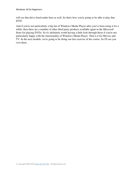will see that drive listed under here as well. So that's how you're going to be able to play that DVD.

And if you're not particularly a big fan of Windows Media Player after you've been using it for a while, then there are a number of other third party products available again in the Microsoft Store for playing DVDs. So it's definitely worth having a little look through those if you're not particularly happy with the functionality of Windows Media Player. That is it for Movies and TV. In the next module, we're going to be doing our last exercise of the course. So I'll see you over there.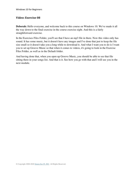## **Video: Exercise 08**

**Deborah:** Hello everyone, and welcome back to this course on Windows 10. We've made it all the way down to the final exercise in the course exercise eight. And this is a fairly straightforward exercise.

In the Exercises Files Folder, you'll see that I have an mp3 file in there. Now this video only has sound. It has some music, but it doesn't have any images and I've done that just to keep the file size small so it doesn't take you a long while to download it. And what I want you to do is I want you to set up Groove Music so that when it comes to videos, it's going to look in the Exercise Files Folder, as well as in the Default folder.

And having done that, when you open up Groove Music, you should be able to see that file sitting there in your songs list. And that is it. See how you go with that and I will see you in the next module.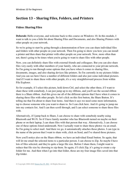# **Section 13 – Sharing Files, Folders, and Printers**

## **Video: Sharing Files**

**Deborah:** Hello everyone, and welcome back to this course on Windows 10. In this module, I want to talk to you a little bit about Sharing Files and Documents, and also Sharing Printers with other people on your network.

So we're going to start by going through a demonstration of how you can share individual files and folders with other people on your network. Then I'm going to show you how you can install a printer and then share that printer with other people on your network. Now, more often than not, there's going to be times when you're going to want to share files with other people.

Now, you can definitely share files with external friends and colleagues. But you can also share files very easily with other members of your family, who are connected to your private network. So I'm going to run through some options that you have when it comes to sharing files, documents, images, and also sharing devices like printers. So I'm currently in my pictures folder. And you can see here I have a number of different folders and also just some individual pictures. And if I want to share these with other people, it's a very straightforward process from within File Explorer.

So for example, if I select this picture, hold down Ctrl, and select the other three, if I want to share these with somebody, I can just jump up to my ribbons, and you'll see the second ribbon there is a Share ribbon. And this gives me all of the different options that I have when it comes to sharing these files with other people. So let's click on this first button, the Share Button. It's telling me that I'm about to share four items. And then it says we need some more information, tap to choose someone who you want to share to. So I can click here. And it's going to jump me into my contacts list. And I can then scroll through, and I can select someone to share these files with.

Alternatively, if I jump back to Share, I can choose to share with somebody nearby using Bluetooth and Wi Fi. So if I have family member who has Bluetooth turned on maybe on their phone or on their laptop, I can share files with that person that way. Alternatively, I can choose one of these options listed underneath. Now I actually want to share these photos via an email. So I'm going to select mail. And there we go, it automatically attaches those photos. I can type in the name of the person that I want to share with, click on Send, and I've shared those pictures.

Now you'll notice also on the Share ribbon, we have an individual Email button. So again, that will let me email the selected items to a particular person. I can choose to Zip. So maybe I have lots of files selected, and they're quite a large file size. Before I share them, I might want to reduce that file size by choosing to zip them. So again, if I click Zip, it's going to create a zip folder for me. And then when I go into that folder, those are my four image files saved into that Zip folder.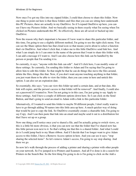Now once I've got my files into my zipped folder, I could then choose to share this folder. Now one thing to point out here is that these folders and files that you can see sitting here underneath this PC Pictures, these are actually in my OneDrive. So if I expand OneDrive up here, you can see I have my Pictures folder. And we basically seeing in there exactly what I'm seeing when I'm clicked on Pictures underneath this PC. So effectively, these are all saved or backed up into OneDrive.

Now the reason why that's important is because if I now want to share this particular folder, and this time, I'm going to use a slightly different method, I'm going to use the right-click menu. You can see the Share option there has that cloud icon so that means you're about to select a function that's in OneDrive. And when I click that, it takes me to this little OneDrive send link box. And what I can simply do is I can enter in the name of the person that I want to share this folder with, I can add a message if I want to. And I can also choose how this link can be handled by the person or people that I'm sending it to.

So currently, it says; "anyone with this link can edit". And if I click here, I can modify some of these settings. So currently, I'm sending this folder to Adam and I'm saying that I'm going to allow him to edit this folder. So that might be that he can do things like move the files around, delete the files, things like that. Now, if you don't want anyone touching anything in that folder, you just want them to be able to view the folder, then you can come in here and untick this option. I can also set an expiration date.

So essentially, this says; "you can view this folder up until a certain date, and at that date, this link will expire, and the person's access to that folder will be removed". And finally, I could also set a password if I wanted to. Now I'm not going to in this case, I'm just going to say Apply to those settings. And I have a couple of different options down here. So I can click on the Send Button, and that's going to send an email to Adam with a link to this particular folder.

Alternatively, if I wanted to send this folder to maybe 50 different people, I don't really want to have to go through adding 50 names into this little area up here. A much quicker way of doing that would be just to copy the link. So OneDrive essentially creates a shareable link, I'm going to say Copy. And I can then paste that link into an email and maybe send it out to a distribution list that I have set up or a group.

Now one thing you'll notice once you've shared a file, and I'm actually going to switch views, so this is a little bit more obvious, is that you can now see that the folder that I've shared now has this little person icon next to it. So that's telling me that this is a shared folder. And what I could do is I could jump back to my Share ribbon. And if I decide that I no longer want to give Adam access to this folder, I have a Remove Access option in here. And you can see it says; "stop sharing the selected items". So let's remove Adam's access, I'm going to say stop sharing. And there we go.

So now let's walk through the process of adding a printer and sharing a printer with other people on your network. So I've jumped in to Printers and Scanners. And all I've done is do a search for Printers in the Search Bar. So the first thing I'm going to do is I'm going to click on the Add a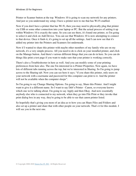Printer or Scanner button at the top. Windows 10 is going to scan my network for any printers. And just so you understand my setup, I have a printer next to me that has Wi Fi enabled.

Now if you don't have a printer that has Wi Fi, then you may need to physically plug that printer via USB or some other connection into your laptop or PC. But the actual process of setting it up within Windows 10 is exactly the same. So you can see there, it's found one printer, so I'm going to select it and click on Add Device. You can see that Windows 10 is now attempting to connect to that device. Once it finds it, it's going to set up all the settings. And I can now see that it's added my printer into the Printers and Scanners list underneath.

Now if I wanted to share this printer with maybe other members of my family who are on my network, it's a very simple process. All you need to do is click on your installed printer, and click on the Manage button. And there's various different things that you can do in here. So you can do things like print a test page if you want to make sure that your printer is working correctly.

There's also a Troubleshooter in here as well. And you can modify some of your printing preferences from here also. The one I'm interested in is Printer Properties. Now again, we have lots of different tabs running across the top, but we're interested in Sharing. So I'm going to jump across to the Sharing tab. Now you can see here it says; "if you share this printer, only users on your network with a username and password for this computer can print to it. And the printer will not be available when the computer sleeps".

So I'm going to say Change Sharing Options. I'm going to say, Share this Printer. And I might want to give it a different name. So I want to say Deb's Printer - Canon, so everyone knows which one we're talking about. I'm going to say Apply and then Okay. And now essentially anybody else who is connected to my network, when they go into File Print or they invoke that print dialog box in any way, they're going to be able to see that canon printer listed.

So hopefully that's giving you more of an idea as to how you can Share Files and Folders and also set up a printer and share that with other people on your network. That's it for this module. I will see you in the next one.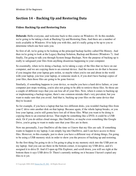# **Section 14 – Backing Up and Restoring Data**

### **Video: Backing Up and Restoring Data**

**Deborah:** Hello everyone, and welcome back to this course on Windows 10. In this module, we're going to be taking a look at Backing Up and Restoring Data. And there are a number of tools available in Windows 10 to help you with this, and it's really going to be up to you to determine which one best suits you.

So first of all, we're going to be looking at the principal backup facility called File History. And then we're going to look at the Legacy Backup Solution, Backup and Restore (Windows 7). And finally, I'm going to talk you through System Image Backups. Now the purpose of backing up is really to safeguard your files from anything disastrous happening to your computer.

So essentially, when we're doing a backup, we're taking a copy of the files that we have on our computer, and we are copying them to an external device. And the reason we do that is because if you imagine that your laptop gets stolen, so maybe when you're out and about in the world with your laptop, you lose your laptop, or someone steals it, if you don't have backup copies of your files, then those files are going to be gone forever.

Similarly, if something happens to your device, so maybe you have a hard drive failure, or your computer just stops working, you're also not going to be able to retrieve those files. So those are a couple of different ways that you can lose all of your files. Now, when it comes to backing up or implementing a backup regime, there's one common mistake that's very prevalent, but you want to make sure that you avoid. And that is, backing up your files on the same device that they're located.

So for example, if you have a laptop that has two different disks, you wouldn't backup files from your C drive onto another disk on that laptop. Because again, if the whole laptop breaks, or you lose your laptop, you're still gonna have lost all of those files. What you want to be doing is copying them to an external device. That might be something like a DVD, it could be a USB stick. Or if you do utilize cloud storage, like OneDrive, or maybe even something like Google Drive, you're going to want to make sure that your files are in there.

Now me personally, I use OneDrive all the time so I know that my files are safe. If something wants to happen to my laptop, I can simply log into OneDrive, and I can have access to those files. However, in this example, just to show you have a different way of doing things, I'm going to be using a USB memory stick in order to show you the process of backing up and restoring.

So the first thing I'm going to do is I'm going to plug in my memory stick into the USB port on my laptop. And you can see there in the bottom corner, it recognize my USB drive, and it's assigned it to drive D. And if I open up File Explorer, and scroll down, you will see right at the bottom there it says USB drive D. There's currently nothing on it because I haven't copied any files to it yet.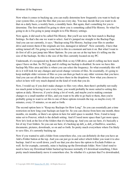Now when it comes to backing up, you can really determine how frequently you want to back up your system files, or just the files that you use every day. You may decide that you want to do that on a daily basis, a weekly basis, a monthly basis. But again, that's something for you to determine. The first method I'm going to show you is something called File History. So what I'm going to do is I'm going to jump straight in to File History settings.

Now again, it did used to be called File History. But you'll see now the best match is Backup Settings. So that's the one we want to select. And it's jumped me straight to the Backup Page. And you can see currently, it says; "Backup using File History, backup your files to another drive and restore them if the originals are lost, damaged or deleted". Now currently, I have that setting turned off. I'm going to come back to this in a moment and turn it on. But what I want to do first of all is just jump into More Options. So you can see at the top here it's telling me the size of the backups. So this is the size of the files currently located on my PC.

Underneath, it's recognized my Removable Disk so my USB drive, and it's telling me how much space I have on that. So 58.5 gig, and it's telling me backup is disabled. So now we have this backup My Files area and this is where you can select the frequency. So what essentially this will do is it will look for any changes and saved change versions of files. So essentially, it's going to keep multiple older versions of files so you can then go back to any older versions that you have. And you can see all the choices that you have there in the dropdown. Now what you choose to select in here will very much depend on the kind of work that you do.

Now, I would say if you don't make changes to files very often, then there's probably not really too much point in having it save every hour, you would probably be more suited to setting this option at daily. However, if you're doing a lot of work, and maybe you're making constant changes to a small number of files, and you want to be able to go back to them, then you're probably going to want to set this to one of these options towards the top, so maybe every 10 minutes, every 15 minutes, so on and so forth.

The second option here is "Keep my Backups for How Long". So you can essentially put a time restriction on how long your backups are kept for. So you can choose from here one month, three months, six months, or there's an option in here for until space is needed. Now, I tend to keep mine set to Forever, which is the default setting. And if I need more space than I get more space. Now let's look at the list of the folders that it's backing up. And you can see here, it's basically a list of my User folders. So you can see here, it's backing up deb\_a, deb\_a OneDrive, searches, documents, pictures, downloads, so on and so forth. So pretty much everywhere where I'm likely to save files, it's currently backing up.

Now if you wanted to add a folder from somewhere else, you can definitely do that you have an Add a Folder button at the top. And you can just go in and select which folder you want it to also backup. And if we scroll down, you'll see that you also have the option to Exclude Folders as well. So for example, currently, mine is backing up the Downloads folder. Now I don't tend to need to have my Download folder backed up because normally if I download something, I then pretty much immediately move it somewhere else. So whether it's a picture that I've downloaded,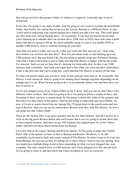that will get moved to the pictures folder, or whatever it might be, I normally take it out of downloads.

So for this, I'm going to say Add a Folder. And I'm going to say I want to exclude the Downloads folder. And finally, this option that we have at the bottom, Backup to a Different Drive. It says; "you'll need to stop using your current backup drive before you add a new one. This won't delete any files from your current backup drive". So essentially, if you find out that the device that you're backing up to whether that's an external drive, USB stick or DVD, there will come a point where that drive is going to fill up. So you're probably going to want to use another DVD or another USB memory stick to continue backing up your files.

And what you need to make sure you do is that you come into here and you say; "stop using drive before you switch to the new drive". Now I'm just about ready to start backing up to my USB memory stick. But just before I do, I'm just going to quickly jump into Advanced Settings. And what I want to do in here is just to make sure that File History is happy with the drive that I've selected. And you can see here that it's showing my removable disk. So this is my USB memory stick essentially. And what you might find is that when you come into here, particularly if this is the first time that you're using this, you'll find that File History is turned off like that.

So what you need to make sure you do is come in here and just click turn on. So essentially, File History is now turned on. And it's going to be running those backups regularly depending on the settings that I've set. What I'm now going to do is to accidentally delete a file and then show you how to restore it.

So I've just jumped across to my Videos folder on my C drive. And you can see that I have a few different videos in there. And what I'm going to do is I'm going to delete a couple of these, and I'm going to show you how to restore them. So I'm going to delete this video of the guitarist and then these two that I have of the galaxy. And I'm just going to right-click and select Delete. So now, if I want to restore those from my backup file, I'll jump down to the search menu and just type in Restore. And you can see the option there, Restore your files with File History. So now I can jump into that Videos folder.

There are the backup files, I can select guitarist and the two that I deleted. And all I need to do is click on the big green Restore button and you'll notice that it says it's going to restore those files to their original location. And there we go, File Explorer has popped open. It's in the Videos folder, and there are those files restored from my backup.

Let's now look at the Legacy Backup and Restore options. So I'm going to jump into Control Panel. One of the options we have in here is Backup and Restore (Windows 7). So this essentially can be used to back and restore instead of File History. So what I want to do is go into Setup Backup. So you can see here it's asking me to select where I want to save my backup. Now you might have multiple things listed in here, depending on what you have plugged into your computer. The only external drive or USB memory stick I have plugged in is this one just here. So I'm going to select it, and also know that I have an option to save on a network.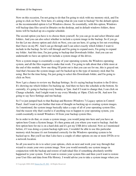Now on this occasion, I'm not going to do that I'm going to stick with my memory stick, and I'm going to click on Next. Now here, it's asking what do you want to backup? So the default option or the recommended option is Let Windows choose. So essentially, with this option, Windows will backup data files saved in libraries on the desktop, and in default windows folders, these items will be backed up on a regular schedule.

The second option you have is to choose them yourself. So you can go in and select libraries and folders. And you can also select whether to include a system image in the backup. So if you go for the Let me choose option and click on Next, you can see here, it's going to list out everything that I have on my PC. And I can go through and I can select exactly which folders I want to include in the backup. So let's roll through and I'm going to expand users, I'm going to expand my folder. And this time, I'm just going to backup that Downloads folder. And you can see underneath we have an option for include a system image of the drives.

Now a system image is essentially a copy of your operating system, the Windows operating system, and all the files required to make that work. I'm going to talk about that a little more at the end of this module. Now one thing I'll point out is that you can see for me, this is grayed out. And that's because the system image can't be backed up to the type of memory stick that I'm using. But for the time being, I'm just going to select this Downloads folder, and I'm going to click on Next.

Now I get a chance to review my Backup Settings. So it's saying backup location is the D drive. It's showing me which folders I'm backing up. And then we have the schedule at the bottom. So currently, it's going to backup every Sunday at 7pm. And if I want to change that, I can click on Change schedule. And I might want to say every Monday at 10pm. Click on Ok. And now I'm going to say Save Settings and run backup.

So I've just jumped back to that Backup and Restore (Windows 7) Legacy option in Control Panel. And I want to just further that train of thought on backing up or creating system images. As I mentioned, the system image basically takes a copy of all of your operating system files. And the reason why that's useful is if anything was to happen to your operating system, you could essentially re-install Windows 10 from your backup system files.

So in order to do that, or create a system image, you would jump into here and you have an option here Create a System Image. It's then gonna ask you where you want to backup. And the first option here for me is on a hard disk and it's got my USB drive selected. Now as I mentioned before, if I was doing a system backup right now, I wouldn't be able to use this particular memory stick because it's not formatted correctly for the Windows operating system to be backed up to. But you'll see that I also have a couple of other options on one or more DVDs or to a network location.

So all you need to do is to select your options, click on next and work your way through that wizard to create your own system image. Now you would normally use system image in conjunction with the backup and restore of individual files if something absolutely terrible happened to your system. You'd want to restore your system files and then you'd want to restore your User files and data from File History. I would advise you to take a system image when you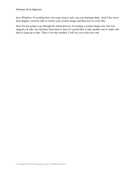have Windows 10 working how you want, keep it safe, run your backups daily. And if the worst does happen, you'd be able to restore your system image and then recover your files.

Now I'm not going to go through the whole process of creating a system image now, but I do suggest you take one and then from time to time it's a good idea to take another one to make sure that it's kept up to date. That's it for this module, I will see you in the next one.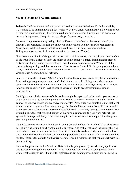#### **Video: System and Administration**

**Deborah:** Hello everyone, and welcome back to this course on Windows 10. In this module, we're going to be taking a look at a few topics related to System Administration. Now one or two of them are about managing the system. And one or two are about fixing problems that might occur or being aware of ways to improve the performance of your device.

So we're going to start out by taking a look at User Account Control. I'm going to walk you through Task Manager, I'm going to show you some options you have in Disk Management. We're going to take a look at Disk Cleanup. And finally, I'm going to show you how Defragmentation works. So let's start out with User Account Control.

Now there are all kinds of dangers that exist which might at some point impair your device. One of the ways is that a piece of software might do some damage, it might install another piece of software, or it might change some settings. Now there are some features in Windows 10 that restrict this happening, and that comes under User Account Control. So I'm going to jump down to my search bar and type in User Account Control. And the best match there is in Control Panel, Change User Account Control settings.

And you can see here it says; "User Account Control helps prevent potentially harmful programs from making changes to your computer". And then we have the sliding scale where we can specify if we want the system to never notify us of any changes, or always notify us of changes. And you can specify which level of change you're willing to accept without any kind of confirmation.

So if I give you a little example of this, so there might be a piece of software that you use every single day. So let's say something like a VPN. Maybe you work from home, and you have to connect to your work network every day using a VPN. Now when you double click on that VPN icon to connect to your work network, it might be that the User Account Control kicks in, and it warns you that you're about to do something which could potentially damage your network. And whilst I'm sure that that wouldn't happen with a simple connection to your work network, the system has recognized that you are connecting to an external source where potential changes to your computer may occur.

That is the kind of situation where User Account Control will kick in. And you'll be asked to say yes, this is fine, or no, I don't want to do this anymore. And that all relies on the setting that you have in here. You can see here we have four different levels. And currently, mine is set at level three. Now we'll say that the level of protection provided at levels two and three is pretty similar, but level three is the default. So if you're not sure, I would recommend that you do stick with this default setting.

So what happens here is that Windows 10 is basically going to notify me when any application tries to make a change to my computer or my computer files. But it's not going to notify me when I make changes. So if I'm in File Explorer, and I'm deleting system files, it's not going to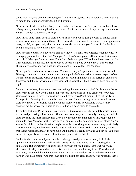say to me; "No, you shouldn't be doing that". But if it recognizes that an outside source is trying to modify those important files, then it will prompt.

Now the most extreme setting that you have in here is this top one. And you can see here it says; "always notify me when applications try to install software or make changes to my computer, or I make a change to Windows settings".

Now this is quite harsh, because there's often times when you're going to want to change things in your windows settings. And there's often times where you want to download a new application onto your PC, and you really don't want to be notified every time you do that. So for the time being, I'm going to keep mine at level three.

Now another tool that you have available in Windows 10 that's really helpful when it comes to managing your system is the Task Manager. And there's a couple of different ways that you can get to Task Manager. You can press Control Alt Delete on your PC, and you'll see an option for Task Manager. But for me, the easiest way to access it is going down to my Status bar, rightclicking my mouse, and you'll see we have an option here called Task Manager.

Now if you've used an earlier version of Windows, then you're probably very familiar with this. We've got a number of tabs running across the top which shows various different aspects of our system, and in particular, what's going on on our system right now. So I'm currently clicked on Processes and this is showing me a live snapshot of everything that I currently have running on my PC.

So you can see here, the top one there that's taking the most memory. And this is always the top one for me is the software that I'm using to record this tutorial on. You can see there Google Chrome is running, I have five windows open, I have PowerPoint running, I've got the Task Manager itself running. And then this is another part of my recording software. And I can see there how much CPU each is using how much memory, disk, network and GPU. It's also showing me the power usage here as well. So this is a good thing to come into.

If you find that your PC is running really slow, or it keeps hanging, it's definitely worth jumping in here and just taking a look at the different processes that you're currently running, and which ones are using the most memory and CPU. Now probably the main reason that people tend to jump into Task Manager is when they have an application that somehow got itself stuck. So I'm sure we've all been in that situation, maybe we've been working away on something particularly memory intensive, maybe an extremely large Excel spreadsheet. And all of a sudden, you find that that spreadsheet appears to have hung. And there's not really anything you can do, you click around the spreadsheet, you can't close it down, you're kind of stuck.

So this is where you would jump into Task Manager. And you can essentially kill off the application from here. Now, I will say that doing this is quite a harsh way of closing down an application. But sometimes if an application truly has got itself stuck, there isn't really any alternative. So all you would need to do is come into here, and let's say it was PowerPoint that was hung, I would click on the PowerPoint process. And then right down in the bottom corner, I have an End Task option. And that's just going to kill it off, close it down. And hopefully then it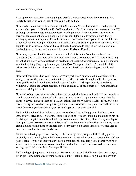frees up your system. Now I'm not going to do this because I need PowerPoint running. But hopefully that gives you an idea of how you would do that.

Now another interesting to have in here is the Startup tab. So this lists processes and apps that start up when you start Windows 10. So if you find that it's taking a long time to start up your PC or laptop, or maybe things are automatically starting that you don't particularly need or want, then you can disable them from here. Now in general, I don't like to have too many things starting up when I start up my PC. And you can see I've disabled a couple of these, but I do have a few enabled. For example, Microsoft OneDrive, I like that to start up automatically as soon as I log into my PC. Just remember with any of these, if you want to toggle between enabled and disabled, just right-click, and you can either select Enable or Disable.

Now many aspects of a Windows 10 system need administration from time to time. Now sometimes this requires more of an advanced knowledge of Windows. But the ones we're going to look at are ones you're most likely to need to use throughout your lifetime of using Windows. And the first thing I'm going to show you is the Disk Management utility. So what this little utility does is it basically looks at my hard drive, and it tells me what's going on on this hard drive.

Now most hard drives that you'll come across are partitioned or separated into different disks. And you can see that mine is separated into three different parts. If I click on this first part just here, you'll see that it highlights in the list above. So this is Disk 0 partition 1, I then have Windows C, this is the largest partition. So this contains all of my system files. And then finally we have Disk 0 partition 4.

Now each of these partitions are also referred to as logical volumes, and each of them occupies a certain amount of space. Now as I said, some of them don't take up too much space. This first partition 260 meg, and this last one 518. But this middle one Windows C Drive is 953.9 gig. So this is the big one. And one thing that's good about this window is that you can actually see how much free space you have left on your particular partition or particular disk.

So if I click on that C drive Windows, you can see here, I have 860 gigs worth of free space. 90% of my C drive is free. So for me, that's a good thing. It doesn't look like I'm going to run out of disk space anytime soon. Now I will say I've mentioned this before, I have a very new laptop that I purchased two months ago. And because I have the majority of my files stored away in the cloud, I'm not storing them on the hard drive of my laptop. So that is kind of how I managed to keep the space that I'm using fairly low.

So if you are having speed issues with your PC or things have just got a little bit sluggish, it's definitely worth jumping into Disk Management and checking how much space you have left on your C drive. If you find that you don't have a great deal of space left, you're probably going to want to start to clear some space out. And that is what I'm going to move on to discussing now, we're going to talk about Disk Cleanup utilities.

So I'm going to jump down to Search and I'm going to type in Disk Cleanup. And there we go, it's an app. Now automatically mine has selected my C drive because I only have one drive on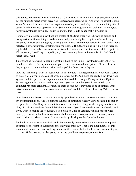this laptop. Now sometimes PCs will have a C drive and a D drive. So if that's you, then you will get the option to select which drive you're interested in cleaning up. And what it's basically done when I've started this up is it's done a quick scan of my disk, and it's given me some things that I can safely delete to free up some space. So Downloaded Program Files, well that is zero bytes. I haven't downloaded anything. But it's telling me that I could delete that if I wanted to.

Temporary internet files, now those are created all the time when you're browsing around and doing various different things. So they're normally absolutely fine to get rid of as well, they're not going to cause any damage by deleting them. There's some other options in here, which aren't selected. But for example, something like the Recycle Bin, that's taking up 48.6 gig of space on my hard drive currently. Now remember, Recycle Bin is where files that you've deleted go to. So if I wanted to, I could say to myself, yep, I don't want anything in the recycle bin. And I could select that as well.

I might not be interested in keeping anything that I've got in my Downloads folder either. So I could select that to free up some more space. Once I've selected my options, if I then click on Ok, it's going to remove those options and hopefully free up lots of space.

Now the final thing I want to speak about in this module is Defragmentation. Now over a period of time, files on your drive can get broken into fragments. And these can really slow down your system. So let's open the Defragmentation utility. And there we go, Defragment and Optimize Drives. Again, this is an app and it says here; "you can optimize your drives to help your computer run more efficiently, or analyze them to find out if they need to be optimized. Only drives on or connected to your computer are shown". And then below, I have my C drive shown there.

Now I have my drive set to be automatically optimized. And you can see underneath it says that my optimization is on. And it's going to run that optimization weekly. Now because I do that on a regular basis, it's telling me when this was last run, and it's telling me that my system is now okay. So this is something I would definitely turn on if you don't have it turned on already. And if you want to change the frequency, if you click on Change Settings, you can choose when exactly you want that optimization to run. And of course, if you just want to manually run a quick optimized drives, you can do that simply by clicking on the Optimize button.

So that is it on those system admin tools that are really going to help you manage cleanup and optimize your system so that it runs efficiently and smoothly. That is the final module of this section and in fact, the final working module of this course. In the final section, we're just going to close off this course, and I'm going to say my goodbyes, so please join me for that.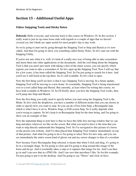# **Section 15 – Additional Useful Apps**

### **Video: Snipping Tools and Sticky Notes**

**Deborah:** Hello everyone, and welcome back to this course on Windows 10. In this section, I really want to just tie up some loose ends with regards to a couple of apps that we haven't covered yet, but I think are super useful for most people's day to day work.

So we're going to start out by going through the Snipping Tool or Snip and Sketch as it's now called. And then I'm going to show you something called Sticky Notes. So let's start out with the Snipping Utility.

If you're not sure what it is, well, it's kind of a really nice way of being able to take screenshots and insert them into other applications or the documents. And the cool thing about the Snipping Tool is that you aren't just stuck with taking a shot of the entire screen, you can specify which regions you want to take a screenshot of. So let's open up the Snipping Tool. Now I will say that for a few years, it has been called the Snipping Tool. So I'm just going to search for it here. And you'll see it still listed at the top there. So it's still available. So let's click to open.

Now the first thing you'll see here is that it says Snipping Tool is moving. In a future update, Snipping Tool will be moving to a new home. So essentially, Snipping Tool is being transitioned over to a tool called Snip and Sketch. But currently, at least when I'm writing this course, we have both available in Windows 10. So I'll briefly show you how the Snipping Tool works, then we'll jump into Snip and Sketch.

Now the first thing you really need to specify before you start using the Snipping Tool is the Mode. So let's click the dropdown, you have a number of different modes that you can choose in order to specify how you want to snip. So you can do a Free-form Snip, a Rectangular snip, which is what I have it set to, Window Snap, or Full-screen Snip. So it really depends what you're trying to capture. So let's keep it on Rectangular Snip for the time being, and I'm going to show you an example of that.

Now the important thing to note here is that we have this little free moving window that we can drag and place wherever we like on the screen. But what you need to have is the item that you want to snip directly underneath this Snipping Tool. So I've navigated to this picture of a horse on the pexels.com website. And I've then placed that Snipping Tool window immediately on top of that picture. And what I'm going to do is I'm going to select New for new snip, and you can see immediately the entire screen kind of ghosts out and my cursor changes to that of a crosshair.

Now because I have Rectangular Snip selected, it means that when I click and drag, it's going to be in a rectangle shape. So I'm going to click and I'm going to drag around this image of the horse and let go. And it essentially takes a snip or it captures that image for me. And I can then go in and I can save that as a PNG file. And I can save that anywhere I like. So for this example, I'm just going to put it on the desktop. And I'm going to say "Horse" and click on Save.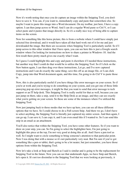Now it's worth noting that once you do capture an image within the Snipping Tool, you don't have to save it. You can, if you want to, immediately copy and paste that somewhere else. So maybe I want to paste this image into a Word document. On my toolbar, just here, I have a copy option. I can then jump across to Word. And I can do a regular Word paste so Ctrl V, or I can select paste and it pastes that image directly in. So it's a really nice way of being able to capture items on the screen.

Now for something like this horse picture, this is from a website where I could have simply just selected free download, and it would have taken all that hard work out of it for me and just downloaded the image. But there are occasions when Snipping Tool is particularly useful. So if I jump across to this other window that I have open, you can see here this is just a Google search window where I'm looking for instructions on how to share a printer in Windows 10. And the first result there pretty much gives me exactly what I want.

So I guess I could highlight this and copy and paste it elsewhere if I needed those instructions, but another way that I could do that would be to utilize the Snipping Tool. So if I click on the New button again, I can then drag over these instructions, Let go, and I've now captured instructions and I can do exactly the same thing; save this off as an image file, or I can click Copy, jump into that Word document again, and this time, I'm going to do Ctrl V to paste those in.

Now, this is also particularly useful if you have things like error messages on your screen. So if you're at work and you're trying to do something on your system, and you get one of those little annoying pop up error messages, it might be that you want to send that error message to tech support or an IT help desk. This Snipping Tool is really useful for that as well, because you can just jump on there, take a snip, send it to the Help Desk as an image, and they can see exactly what you're getting on your screen. So those are some of the instances where I've utilized the Snipping Tool.

Now just jumping back to those modes that we have up here, you can see all these different options that we have. So I could choose to do a Full-screen Snip. And there we go, I don't have to select anything, the Snipping Tool is literally just captured my entire screen. And then again, I can go up, I can save it, I can copy it, and I can even email this if I wanted to. So I can send this snip in an email as an attachment.

You'll also notice that within the Snipping Tool, you have some other features. So if you want to draw on your snip, you can. So I'm going to select the highlighter here, I'm just going to highlight this piece at the top, I'm not very good at doing this at all. And I have a pen tool as well. So I might want to circle something to bring someone's attention to that particular point. Now I was doing that with a mouse so it's not particularly very neat. But I'm sure if you've got something like a pen or tablet, that's going to be a lot neater, but just remember, you have those options from within the Snipping Tool.

Now let's take a look at Snip and Sketch as I said is similar and is going to be the replacement for Snipping Tool in the future. Now you can see that underneath Apps, we have Snip and Sketch, let's open it. It's not too dissimilar to the Snipping Tool that we were looking at previously, it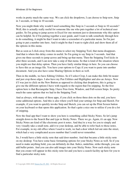works in pretty much the same way. We can click the dropdown, I can choose to Snip now, Snip in 3 seconds, or Snip in 10 seconds.

Now you might think why would I need something like Snip in 3 seconds or Snip in 10 seconds? Well, this is actually really useful for someone like me who puts together a lot of technical user guides. So I'm going to jump across to Excel for one moment just to demonstrate why this option can be helpful. So if I'm putting together a user guide, and I want to talk somebody through how to do something, it might be that I want to take a screenshot of a particular menu. So I'm just going to put a number into here. And it might be that I want to right-click and show them all of the options in this menu.

But as soon as I click away from this menu to select my Snipping Tool, that menu disappears. And that is where this delay comes in useful. So I'm going to say Snip in 3 seconds. And that gives me three seconds to jump across and bring up that menu. Then the Snipping Tool kicks in after three seconds, and I can now take a snip of that menu. So that is kind of the situation where you might use that delay option. Then you have fairly similar things in here. So you can choose to Save this as an image file. You have your options to Copy if you want to paste into another document. And you also have some Sharing Options in there as well.

Then in the middle, we have Editing Utilities. So if I select Crop, I can make this little bit neater and just crop those edges. I also have my Pen Utilities and Highlighter and also an Arrays. Now if I was just to click on the New Button as opposed to clicking that dropdown, this is going to give me the different options I have with regards to the region that I'm snipping. So the first option here is that Rectangular Snip, I have Free-form, Window, and Full-screen Snips. So pretty much the same options that we had in the Snipping Tool.

And as always, with many of these apps, if you click on those three dots on the end, you have some additional options. And this is also where you'll find your settings for Snip and Sketch. For example, if you want to quickly invoke Snip and Sketch, you can set up the Print Screen button on your keyboard so that opens this application. So that's quite a nice one to utilize if you do a lot of snipping.

Now the final app that I want to show you here is something called Sticky Notes. So let's jump straight down to the Search Bar and type in Sticky Notes. There we go. Again, it's an app. Now Sticky Notes are kind of like electronic post-it notes. And they're a way for you to simply and very visually take a small note, add it to your desktop, and be able to refer back to those notes. For example, in my old office where I used to work, we had a door which led out onto the street, which had a very complicated access number that I could never remember.

So, I would have a little sticky note that said door number. And that became a little sticky note on my desktop. You have some basic formatting options for your Sticky Notes as well. So if you need to make anything bold, you can definitely do that. Italics, underline, strike through, you can add bullet points. And you can also add images into your Sticky Notes. Now each sticky note that you create will appear in this sticky note list and you have a search facility up here for you to find a particular sticky note.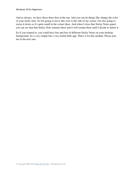And as always, we have those three dots at the top. And you can do things like change the color of your sticky note. So I'm going to move this over to the side of my screen. I'm also going to resize it down so it's quite small in the corner there. And when I close that Sticky Notes panel, you can see that that Sticky Note remains there and it will remain there until I decide to delete it.

So if you wanted to, you could have lots and lots of different Sticky Notes on your desktop background. So a very simple but a very useful little app. That's it for this module. Please join me in the next one.